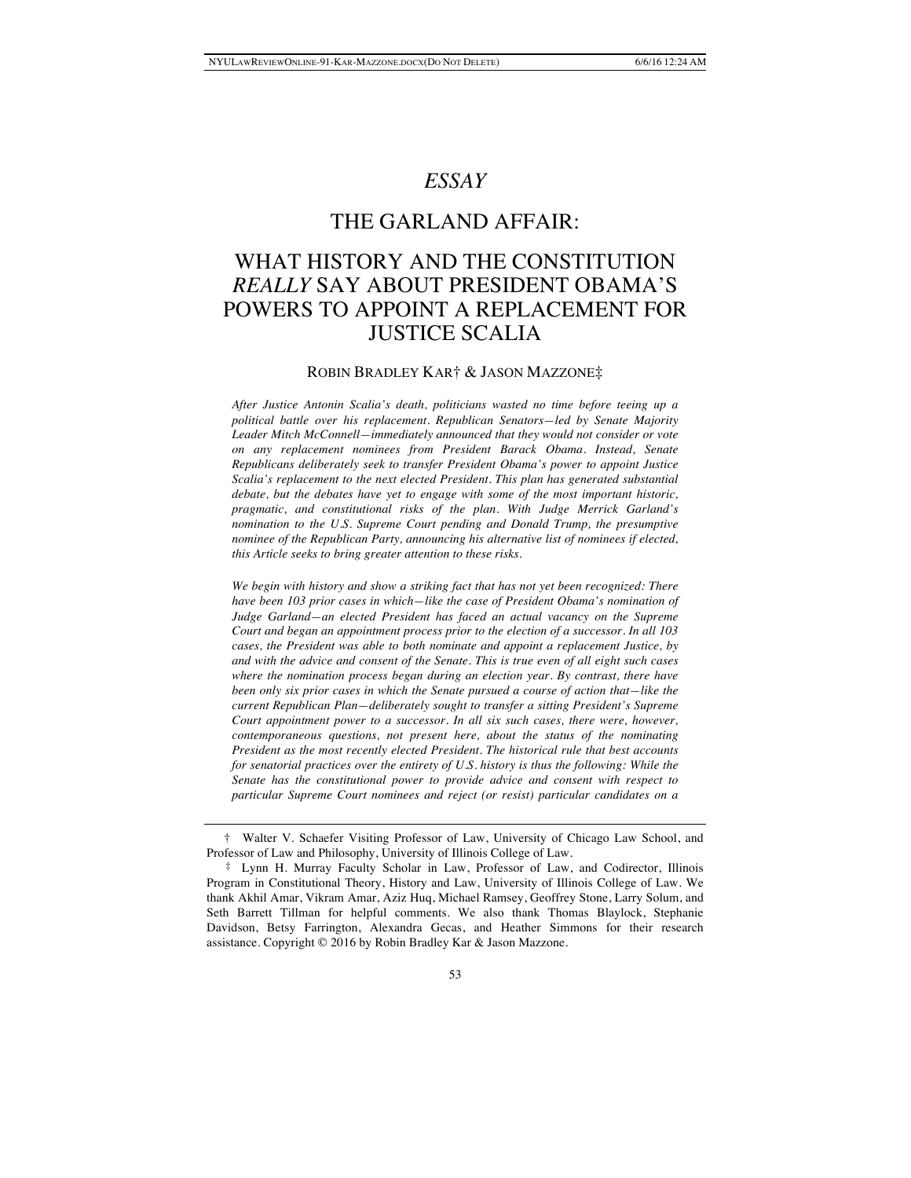# *ESSAY*

# THE GARLAND AFFAIR:

# WHAT HISTORY AND THE CONSTITUTION *REALLY* SAY ABOUT PRESIDENT OBAMA'S POWERS TO APPOINT A REPLACEMENT FOR JUSTICE SCALIA

#### ROBIN BRADLEY KAR† & JASON MAZZONE‡

*After Justice Antonin Scalia's death, politicians wasted no time before teeing up a political battle over his replacement. Republican Senators—led by Senate Majority Leader Mitch McConnell—immediately announced that they would not consider or vote on any replacement nominees from President Barack Obama. Instead, Senate Republicans deliberately seek to transfer President Obama's power to appoint Justice Scalia's replacement to the next elected President. This plan has generated substantial debate, but the debates have yet to engage with some of the most important historic, pragmatic, and constitutional risks of the plan. With Judge Merrick Garland's nomination to the U.S. Supreme Court pending and Donald Trump, the presumptive nominee of the Republican Party, announcing his alternative list of nominees if elected, this Article seeks to bring greater attention to these risks.*

*We begin with history and show a striking fact that has not yet been recognized: There have been 103 prior cases in which—like the case of President Obama's nomination of Judge Garland—an elected President has faced an actual vacancy on the Supreme Court and began an appointment process prior to the election of a successor. In all 103 cases, the President was able to both nominate and appoint a replacement Justice, by and with the advice and consent of the Senate. This is true even of all eight such cases where the nomination process began during an election year. By contrast, there have been only six prior cases in which the Senate pursued a course of action that—like the current Republican Plan—deliberately sought to transfer a sitting President's Supreme Court appointment power to a successor. In all six such cases, there were, however, contemporaneous questions, not present here, about the status of the nominating President as the most recently elected President. The historical rule that best accounts for senatorial practices over the entirety of U.S. history is thus the following: While the Senate has the constitutional power to provide advice and consent with respect to particular Supreme Court nominees and reject (or resist) particular candidates on a* 

<sup>†</sup> Walter V. Schaefer Visiting Professor of Law, University of Chicago Law School, and Professor of Law and Philosophy, University of Illinois College of Law.

<sup>‡</sup> Lynn H. Murray Faculty Scholar in Law, Professor of Law, and Codirector, Illinois Program in Constitutional Theory, History and Law, University of Illinois College of Law. We thank Akhil Amar, Vikram Amar, Aziz Huq, Michael Ramsey, Geoffrey Stone, Larry Solum, and Seth Barrett Tillman for helpful comments. We also thank Thomas Blaylock, Stephanie Davidson, Betsy Farrington, Alexandra Gecas, and Heather Simmons for their research assistance. Copyright © 2016 by Robin Bradley Kar & Jason Mazzone.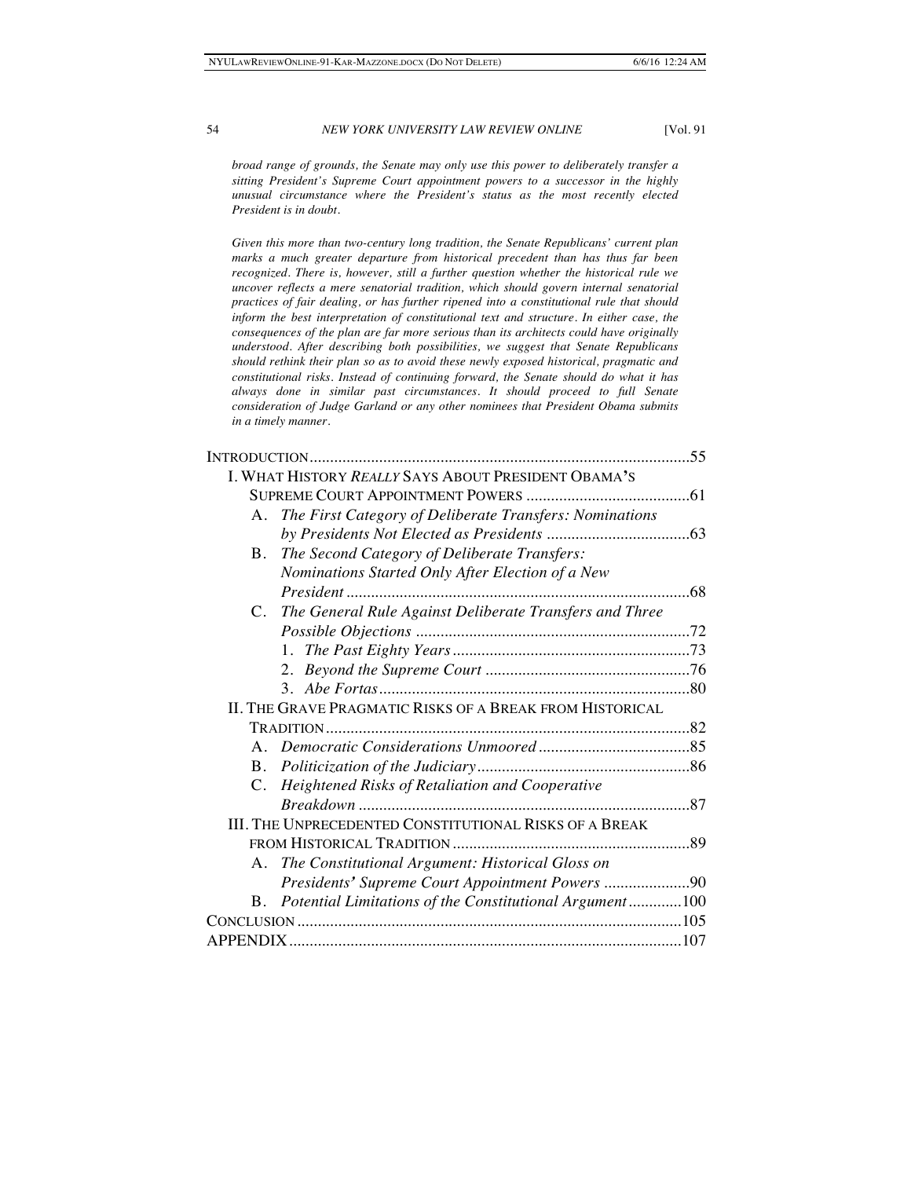*broad range of grounds, the Senate may only use this power to deliberately transfer a sitting President's Supreme Court appointment powers to a successor in the highly unusual circumstance where the President's status as the most recently elected President is in doubt.*

*Given this more than two-century long tradition, the Senate Republicans' current plan marks a much greater departure from historical precedent than has thus far been recognized. There is, however, still a further question whether the historical rule we uncover reflects a mere senatorial tradition, which should govern internal senatorial practices of fair dealing, or has further ripened into a constitutional rule that should inform the best interpretation of constitutional text and structure. In either case, the consequences of the plan are far more serious than its architects could have originally understood. After describing both possibilities, we suggest that Senate Republicans should rethink their plan so as to avoid these newly exposed historical, pragmatic and constitutional risks. Instead of continuing forward, the Senate should do what it has always done in similar past circumstances. It should proceed to full Senate consideration of Judge Garland or any other nominees that President Obama submits in a timely manner.*

|    | INTRODUCTION                                                  | 55  |
|----|---------------------------------------------------------------|-----|
|    | I. WHAT HISTORY REALLY SAYS ABOUT PRESIDENT OBAMA'S           |     |
|    |                                                               |     |
|    | A. The First Category of Deliberate Transfers: Nominations    |     |
|    |                                                               |     |
| B. | The Second Category of Deliberate Transfers:                  |     |
|    | Nominations Started Only After Election of a New              |     |
|    |                                                               | .68 |
|    | C. The General Rule Against Deliberate Transfers and Three    |     |
|    |                                                               |     |
|    |                                                               |     |
|    |                                                               |     |
|    |                                                               |     |
|    | II. THE GRAVE PRAGMATIC RISKS OF A BREAK FROM HISTORICAL      |     |
|    |                                                               |     |
|    |                                                               |     |
|    |                                                               |     |
| C. | Heightened Risks of Retaliation and Cooperative               |     |
|    |                                                               |     |
|    | <b>III. THE UNPRECEDENTED CONSTITUTIONAL RISKS OF A BREAK</b> |     |
|    |                                                               |     |
|    | A. The Constitutional Argument: Historical Gloss on           |     |
|    | Presidents' Supreme Court Appointment Powers 90               |     |
|    | B. Potential Limitations of the Constitutional Argument100    |     |
|    |                                                               |     |
|    |                                                               |     |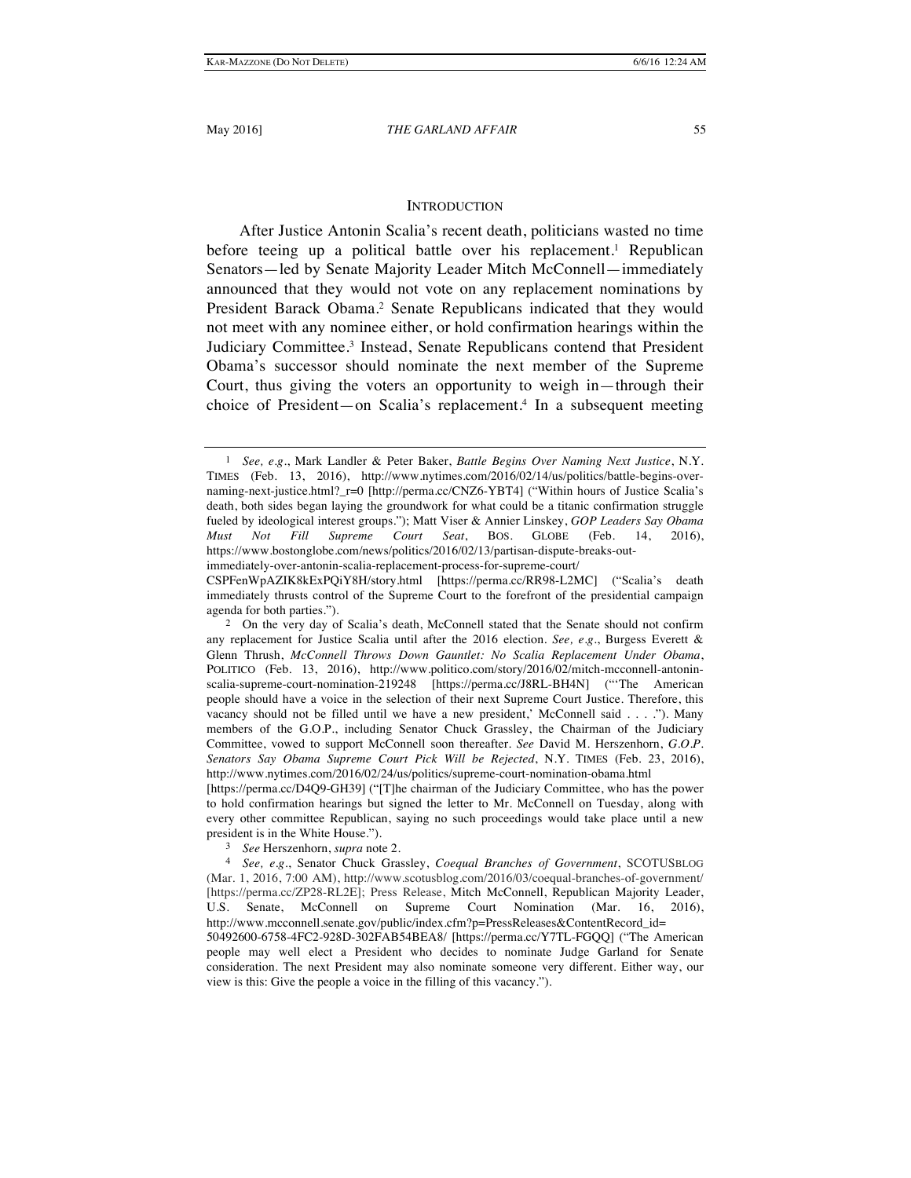#### **INTRODUCTION**

After Justice Antonin Scalia's recent death, politicians wasted no time before teeing up a political battle over his replacement.<sup>1</sup> Republican Senators—led by Senate Majority Leader Mitch McConnell—immediately announced that they would not vote on any replacement nominations by President Barack Obama.<sup>2</sup> Senate Republicans indicated that they would not meet with any nominee either, or hold confirmation hearings within the Judiciary Committee.3 Instead, Senate Republicans contend that President Obama's successor should nominate the next member of the Supreme Court, thus giving the voters an opportunity to weigh in—through their choice of President—on Scalia's replacement.<sup>4</sup> In a subsequent meeting

immediately-over-antonin-scalia-replacement-process-for-supreme-court/

3 *See* Herszenhorn, *supra* note 2.

<sup>1</sup> *See, e.g.*, Mark Landler & Peter Baker, *Battle Begins Over Naming Next Justice*, N.Y. TIMES (Feb. 13, 2016), http://www.nytimes.com/2016/02/14/us/politics/battle-begins-overnaming-next-justice.html?\_r=0 [http://perma.cc/CNZ6-YBT4] ("Within hours of Justice Scalia's death, both sides began laying the groundwork for what could be a titanic confirmation struggle fueled by ideological interest groups."); Matt Viser & Annier Linskey, *GOP Leaders Say Obama Must Not Fill Supreme Court Seat*, BOS. GLOBE (Feb. 14, 2016), https://www.bostonglobe.com/news/politics/2016/02/13/partisan-dispute-breaks-out-

CSPFenWpAZIK8kExPQiY8H/story.html [https://perma.cc/RR98-L2MC] ("Scalia's death immediately thrusts control of the Supreme Court to the forefront of the presidential campaign agenda for both parties.").

<sup>2</sup> On the very day of Scalia's death, McConnell stated that the Senate should not confirm any replacement for Justice Scalia until after the 2016 election. *See, e.g.*, Burgess Everett & Glenn Thrush, *McConnell Throws Down Gauntlet: No Scalia Replacement Under Obama*, POLITICO (Feb. 13, 2016), http://www.politico.com/story/2016/02/mitch-mcconnell-antoninscalia-supreme-court-nomination-219248 [https://perma.cc/J8RL-BH4N] ("'The American people should have a voice in the selection of their next Supreme Court Justice. Therefore, this vacancy should not be filled until we have a new president,' McConnell said  $\dots$ .'). Many members of the G.O.P., including Senator Chuck Grassley, the Chairman of the Judiciary Committee, vowed to support McConnell soon thereafter. *See* David M. Herszenhorn, *G.O.P. Senators Say Obama Supreme Court Pick Will be Rejected*, N.Y. TIMES (Feb. 23, 2016), http://www.nytimes.com/2016/02/24/us/politics/supreme-court-nomination-obama.html

<sup>[</sup>https://perma.cc/D4Q9-GH39] ("[T]he chairman of the Judiciary Committee, who has the power to hold confirmation hearings but signed the letter to Mr. McConnell on Tuesday, along with every other committee Republican, saying no such proceedings would take place until a new president is in the White House.").

<sup>4</sup> *See, e.g.*, Senator Chuck Grassley, *Coequal Branches of Government*, SCOTUSBLOG (Mar. 1, 2016, 7:00 AM), http://www.scotusblog.com/2016/03/coequal-branches-of-government/ [https://perma.cc/ZP28-RL2E]; Press Release, Mitch McConnell, Republican Majority Leader, U.S. Senate, McConnell on Supreme Court Nomination (Mar. 16, 2016), http://www.mcconnell.senate.gov/public/index.cfm?p=PressReleases&ContentRecord\_id= 50492600-6758-4FC2-928D-302FAB54BEA8/ [https://perma.cc/Y7TL-FGQQ] ("The American people may well elect a President who decides to nominate Judge Garland for Senate consideration. The next President may also nominate someone very different. Either way, our view is this: Give the people a voice in the filling of this vacancy.").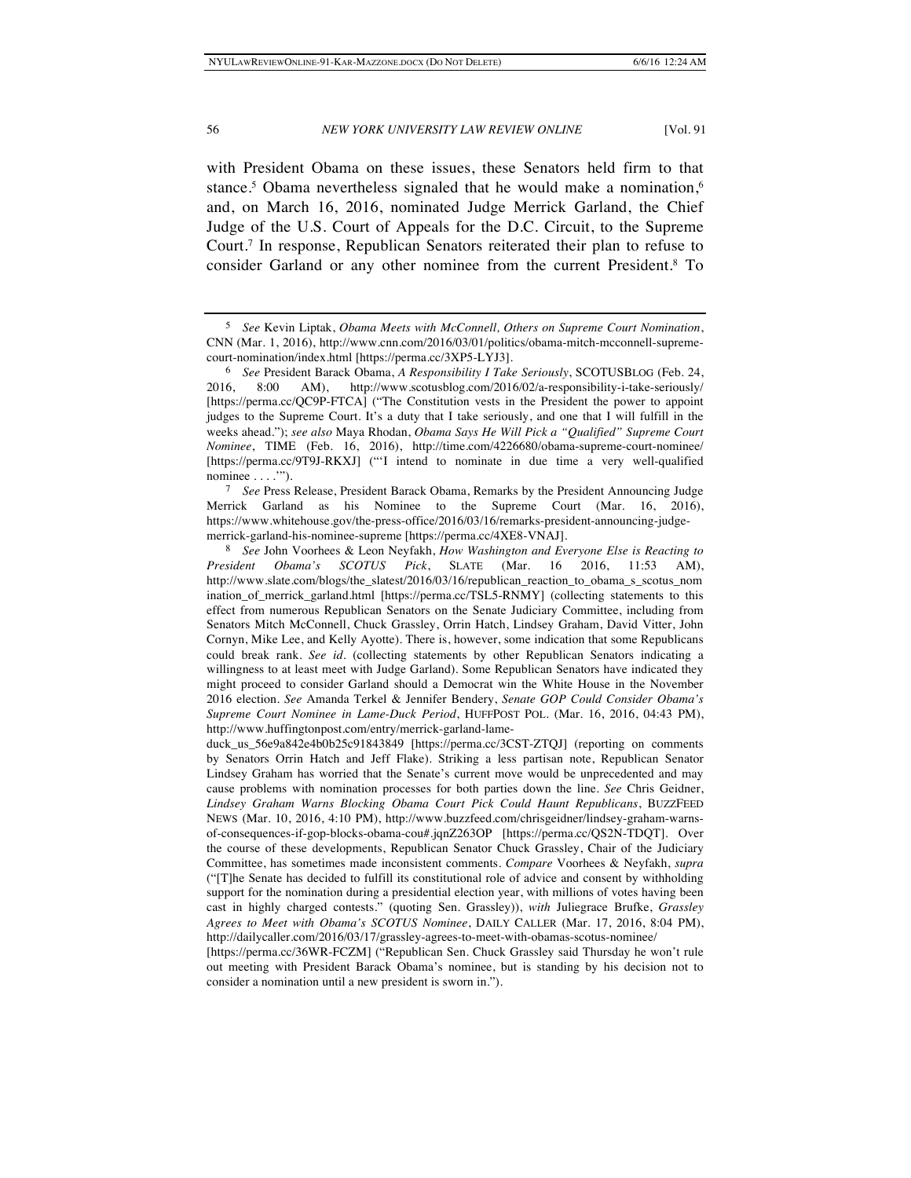with President Obama on these issues, these Senators held firm to that stance.<sup>5</sup> Obama nevertheless signaled that he would make a nomination,<sup>6</sup> and, on March 16, 2016, nominated Judge Merrick Garland, the Chief Judge of the U.S. Court of Appeals for the D.C. Circuit, to the Supreme Court.7 In response, Republican Senators reiterated their plan to refuse to consider Garland or any other nominee from the current President.8 To

7 *See* Press Release, President Barack Obama, Remarks by the President Announcing Judge Merrick Garland as his Nominee to the Supreme Court (Mar. 16, 2016), https://www.whitehouse.gov/the-press-office/2016/03/16/remarks-president-announcing-judgemerrick-garland-his-nominee-supreme [https://perma.cc/4XE8-VNAJ]. 8 *See* John Voorhees & Leon Neyfakh, *How Washington and Everyone Else is Reacting to* 

*President Obama's SCOTUS Pick*, SLATE (Mar. 16 2016, 11:53 AM), http://www.slate.com/blogs/the\_slatest/2016/03/16/republican\_reaction\_to\_obama\_s\_scotus\_nom ination\_of\_merrick\_garland.html [https://perma.cc/TSL5-RNMY] (collecting statements to this effect from numerous Republican Senators on the Senate Judiciary Committee, including from Senators Mitch McConnell, Chuck Grassley, Orrin Hatch, Lindsey Graham, David Vitter, John Cornyn, Mike Lee, and Kelly Ayotte). There is, however, some indication that some Republicans could break rank. *See id.* (collecting statements by other Republican Senators indicating a willingness to at least meet with Judge Garland). Some Republican Senators have indicated they might proceed to consider Garland should a Democrat win the White House in the November 2016 election. *See* Amanda Terkel & Jennifer Bendery, *Senate GOP Could Consider Obama's Supreme Court Nominee in Lame-Duck Period*, HUFFPOST POL. (Mar. 16, 2016, 04:43 PM), http://www.huffingtonpost.com/entry/merrick-garland-lame-

duck\_us\_56e9a842e4b0b25c91843849 [https://perma.cc/3CST-ZTQJ] (reporting on comments by Senators Orrin Hatch and Jeff Flake). Striking a less partisan note, Republican Senator Lindsey Graham has worried that the Senate's current move would be unprecedented and may cause problems with nomination processes for both parties down the line. *See* Chris Geidner, *Lindsey Graham Warns Blocking Obama Court Pick Could Haunt Republicans*, BUZZFEED NEWS (Mar. 10, 2016, 4:10 PM), http://www.buzzfeed.com/chrisgeidner/lindsey-graham-warnsof-consequences-if-gop-blocks-obama-cou#.jqnZ263OP [https://perma.cc/QS2N-TDQT]. Over the course of these developments, Republican Senator Chuck Grassley, Chair of the Judiciary Committee, has sometimes made inconsistent comments. *Compare* Voorhees & Neyfakh, *supra*  ("[T]he Senate has decided to fulfill its constitutional role of advice and consent by withholding support for the nomination during a presidential election year, with millions of votes having been cast in highly charged contests." (quoting Sen. Grassley)), *with* Juliegrace Brufke, *Grassley Agrees to Meet with Obama's SCOTUS Nominee*, DAILY CALLER (Mar. 17, 2016, 8:04 PM), http://dailycaller.com/2016/03/17/grassley-agrees-to-meet-with-obamas-scotus-nominee/

[https://perma.cc/36WR-FCZM] ("Republican Sen. Chuck Grassley said Thursday he won't rule out meeting with President Barack Obama's nominee, but is standing by his decision not to consider a nomination until a new president is sworn in.").

<sup>5</sup> *See* Kevin Liptak, *Obama Meets with McConnell, Others on Supreme Court Nomination*, CNN (Mar. 1, 2016), http://www.cnn.com/2016/03/01/politics/obama-mitch-mcconnell-supremecourt-nomination/index.html [https://perma.cc/3XP5-LYJ3].

<sup>6</sup> *See* President Barack Obama, *A Responsibility I Take Seriously*, SCOTUSBLOG (Feb. 24, 2016, 8:00 AM), http://www.scotusblog.com/2016/02/a-responsibility-i-take-seriously/ [https://perma.cc/QC9P-FTCA] ("The Constitution vests in the President the power to appoint judges to the Supreme Court. It's a duty that I take seriously, and one that I will fulfill in the weeks ahead."); *see also* Maya Rhodan, *Obama Says He Will Pick a "Qualified" Supreme Court Nominee*, TIME (Feb. 16, 2016), http://time.com/4226680/obama-supreme-court-nominee/ [https://perma.cc/9T9J-RKXJ] ("'I intend to nominate in due time a very well-qualified nominee . . . .'").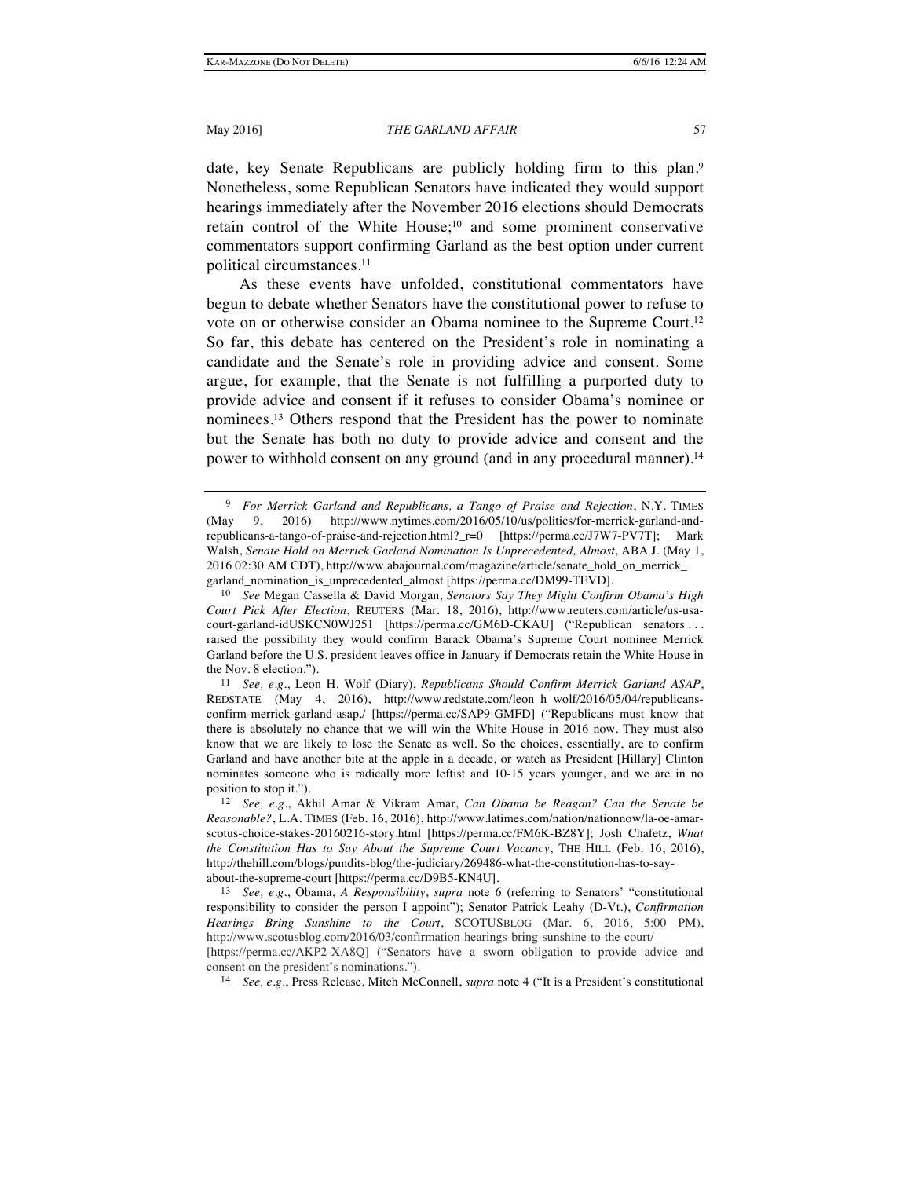date, key Senate Republicans are publicly holding firm to this plan.<sup>9</sup> Nonetheless, some Republican Senators have indicated they would support hearings immediately after the November 2016 elections should Democrats retain control of the White House;<sup>10</sup> and some prominent conservative commentators support confirming Garland as the best option under current political circumstances.11

As these events have unfolded, constitutional commentators have begun to debate whether Senators have the constitutional power to refuse to vote on or otherwise consider an Obama nominee to the Supreme Court.12 So far, this debate has centered on the President's role in nominating a candidate and the Senate's role in providing advice and consent. Some argue, for example, that the Senate is not fulfilling a purported duty to provide advice and consent if it refuses to consider Obama's nominee or nominees.13 Others respond that the President has the power to nominate but the Senate has both no duty to provide advice and consent and the power to withhold consent on any ground (and in any procedural manner).14

9 *For Merrick Garland and Republicans, a Tango of Praise and Rejection*, N.Y. TIMES (May 9, 2016) http://www.nytimes.com/2016/05/10/us/politics/for-merrick-garland-andrepublicans-a-tango-of-praise-and-rejection.html?\_r=0 [https://perma.cc/J7W7-PV7T]; Mark Walsh, *Senate Hold on Merrick Garland Nomination Is Unprecedented, Almost*, ABA J. (May 1, 2016 02:30 AM CDT), http://www.abajournal.com/magazine/article/senate\_hold\_on\_merrick\_ garland\_nomination\_is\_unprecedented\_almost [https://perma.cc/DM99-TEVD].

10 *See* Megan Cassella & David Morgan, *Senators Say They Might Confirm Obama's High Court Pick After Election*, REUTERS (Mar. 18, 2016), http://www.reuters.com/article/us-usacourt-garland-idUSKCN0WJ251 [https://perma.cc/GM6D-CKAU] ("Republican senators . . . raised the possibility they would confirm Barack Obama's Supreme Court nominee Merrick Garland before the U.S. president leaves office in January if Democrats retain the White House in the Nov. 8 election."). 11 *See, e.g.*, Leon H. Wolf (Diary), *Republicans Should Confirm Merrick Garland ASAP*,

REDSTATE (May 4, 2016), http://www.redstate.com/leon\_h\_wolf/2016/05/04/republicansconfirm-merrick-garland-asap./ [https://perma.cc/SAP9-GMFD] ("Republicans must know that there is absolutely no chance that we will win the White House in 2016 now. They must also know that we are likely to lose the Senate as well. So the choices, essentially, are to confirm Garland and have another bite at the apple in a decade, or watch as President [Hillary] Clinton nominates someone who is radically more leftist and 10-15 years younger, and we are in no position to stop it."). 12 *See, e.g.*, Akhil Amar & Vikram Amar, *Can Obama be Reagan? Can the Senate be* 

*Reasonable?*, L.A. TIMES (Feb. 16, 2016), http://www.latimes.com/nation/nationnow/la-oe-amarscotus-choice-stakes-20160216-story.html [https://perma.cc/FM6K-BZ8Y]; Josh Chafetz, *What the Constitution Has to Say About the Supreme Court Vacancy*, THE HILL (Feb. 16, 2016), http://thehill.com/blogs/pundits-blog/the-judiciary/269486-what-the-constitution-has-to-say-

about-the-supreme-court [https://perma.cc/D9B5-KN4U]. 13 *See, e.g.*, Obama, *A Responsibility*, *supra* note 6 (referring to Senators' "constitutional responsibility to consider the person I appoint"); Senator Patrick Leahy (D-Vt.), *Confirmation Hearings Bring Sunshine to the Court*, SCOTUSBLOG (Mar. 6, 2016, 5:00 PM), http://www.scotusblog.com/2016/03/confirmation-hearings-bring-sunshine-to-the-court/ [https://perma.cc/AKP2-XA8Q] ("Senators have a sworn obligation to provide advice and consent on the president's nominations.").

14 *See, e.g.*, Press Release, Mitch McConnell, *supra* note 4 ("It is a President's constitutional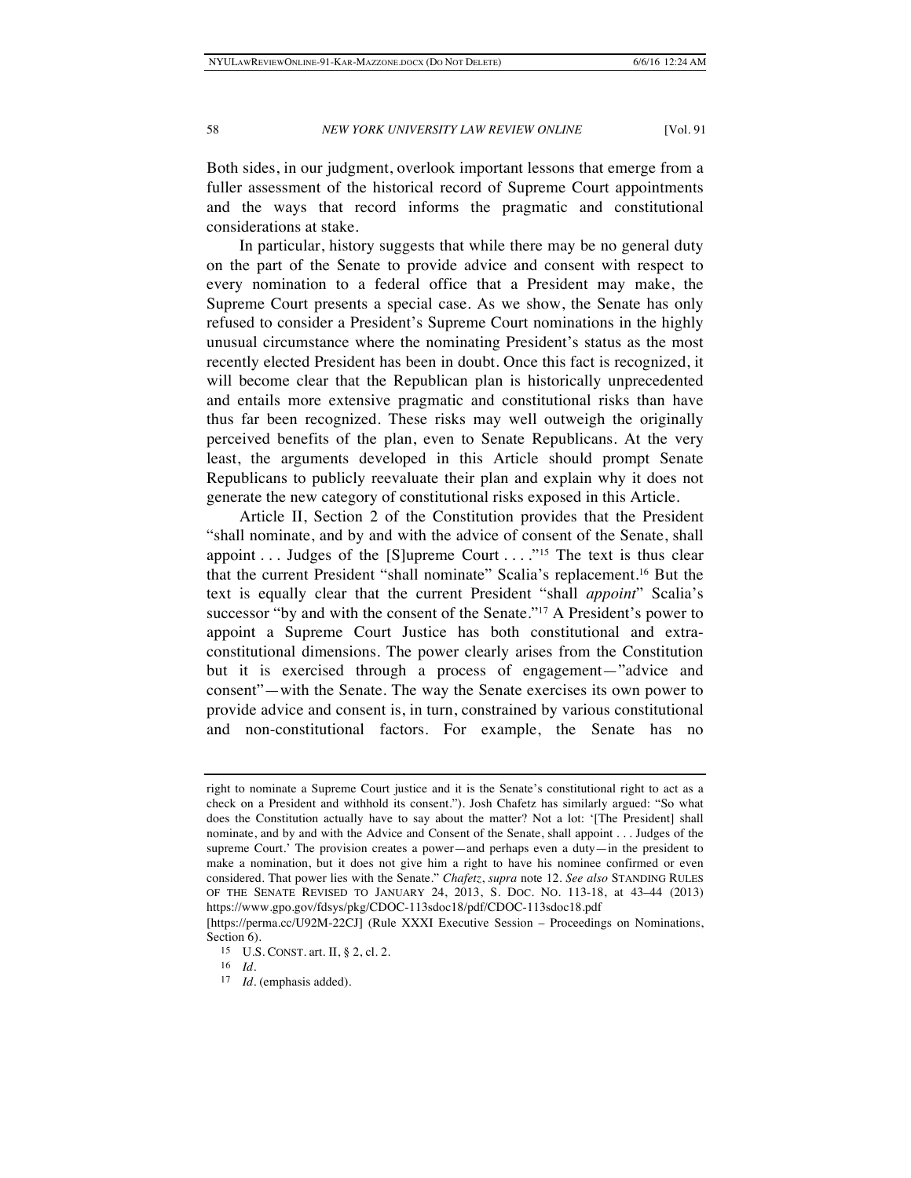Both sides, in our judgment, overlook important lessons that emerge from a fuller assessment of the historical record of Supreme Court appointments and the ways that record informs the pragmatic and constitutional considerations at stake.

In particular, history suggests that while there may be no general duty on the part of the Senate to provide advice and consent with respect to every nomination to a federal office that a President may make, the Supreme Court presents a special case. As we show, the Senate has only refused to consider a President's Supreme Court nominations in the highly unusual circumstance where the nominating President's status as the most recently elected President has been in doubt. Once this fact is recognized, it will become clear that the Republican plan is historically unprecedented and entails more extensive pragmatic and constitutional risks than have thus far been recognized. These risks may well outweigh the originally perceived benefits of the plan, even to Senate Republicans. At the very least, the arguments developed in this Article should prompt Senate Republicans to publicly reevaluate their plan and explain why it does not generate the new category of constitutional risks exposed in this Article.

Article II, Section 2 of the Constitution provides that the President "shall nominate, and by and with the advice of consent of the Senate, shall appoint . . . Judges of the [S]upreme Court . . . . "<sup>15</sup> The text is thus clear that the current President "shall nominate" Scalia's replacement.16 But the text is equally clear that the current President "shall *appoint*" Scalia's successor "by and with the consent of the Senate."<sup>17</sup> A President's power to appoint a Supreme Court Justice has both constitutional and extraconstitutional dimensions. The power clearly arises from the Constitution but it is exercised through a process of engagement—"advice and consent"—with the Senate. The way the Senate exercises its own power to provide advice and consent is, in turn, constrained by various constitutional and non-constitutional factors. For example, the Senate has no

17 *Id.* (emphasis added).

right to nominate a Supreme Court justice and it is the Senate's constitutional right to act as a check on a President and withhold its consent."). Josh Chafetz has similarly argued: "So what does the Constitution actually have to say about the matter? Not a lot: '[The President] shall nominate, and by and with the Advice and Consent of the Senate, shall appoint . . . Judges of the supreme Court.' The provision creates a power—and perhaps even a duty—in the president to make a nomination, but it does not give him a right to have his nominee confirmed or even considered. That power lies with the Senate." *Chafetz*, *supra* note 12. *See also* STANDING RULES OF THE SENATE REVISED TO JANUARY 24, 2013, S. DOC. NO. 113-18, at 43–44 (2013) https://www.gpo.gov/fdsys/pkg/CDOC-113sdoc18/pdf/CDOC-113sdoc18.pdf

<sup>[</sup>https://perma.cc/U92M-22CJ] (Rule XXXI Executive Session – Proceedings on Nominations, Section 6).

<sup>15</sup> U.S. CONST. art. II, § 2, cl. 2.

<sup>16</sup> *Id.*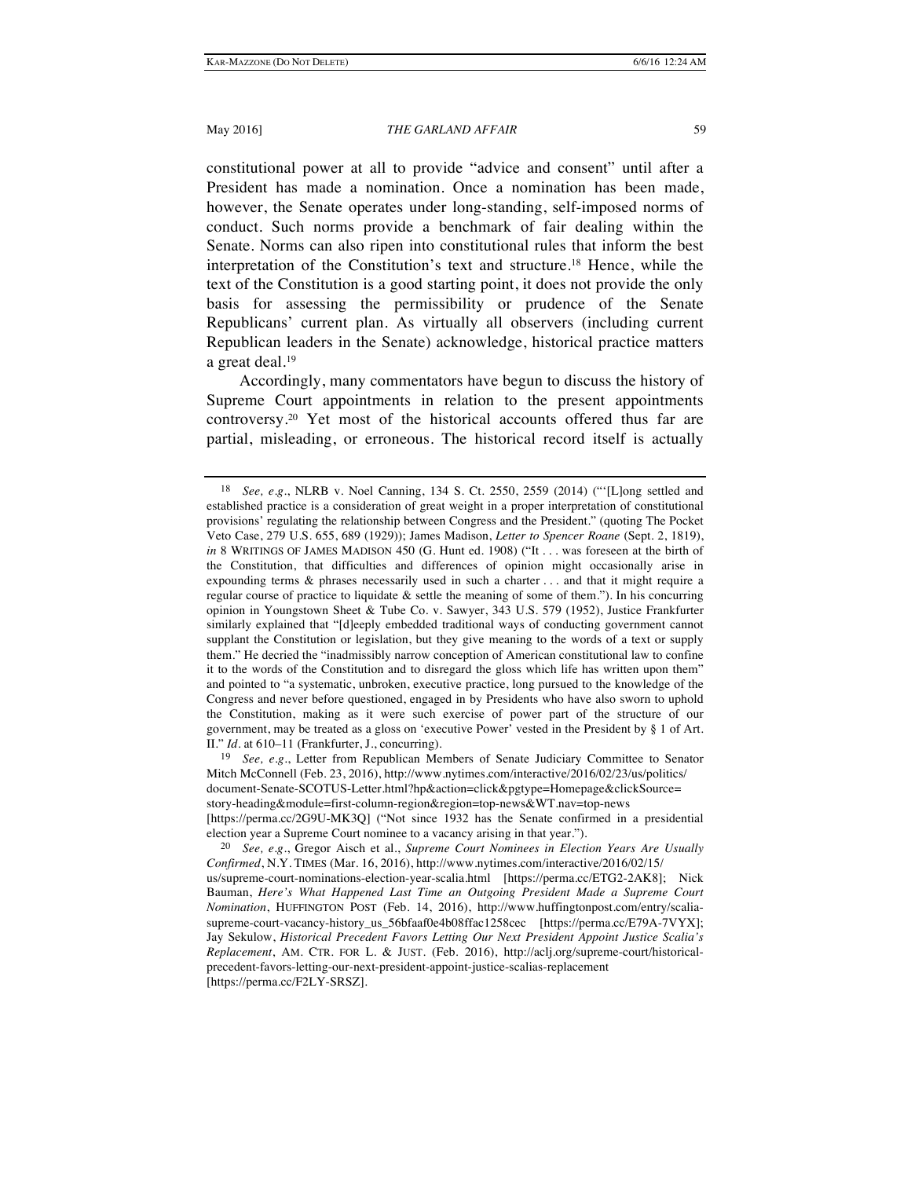May 2016] *THE GARLAND AFFAIR* 59

constitutional power at all to provide "advice and consent" until after a President has made a nomination. Once a nomination has been made, however, the Senate operates under long-standing, self-imposed norms of conduct. Such norms provide a benchmark of fair dealing within the Senate. Norms can also ripen into constitutional rules that inform the best interpretation of the Constitution's text and structure.18 Hence, while the text of the Constitution is a good starting point, it does not provide the only basis for assessing the permissibility or prudence of the Senate Republicans' current plan. As virtually all observers (including current Republican leaders in the Senate) acknowledge, historical practice matters a great deal.19

Accordingly, many commentators have begun to discuss the history of Supreme Court appointments in relation to the present appointments controversy.20 Yet most of the historical accounts offered thus far are partial, misleading, or erroneous. The historical record itself is actually

19 *See, e.g.*, Letter from Republican Members of Senate Judiciary Committee to Senator Mitch McConnell (Feb. 23, 2016), http://www.nytimes.com/interactive/2016/02/23/us/politics/ document-Senate-SCOTUS-Letter.html?hp&action=click&pgtype=Homepage&clickSource= story-heading&module=first-column-region&region=top-news&WT.nav=top-news [https://perma.cc/2G9U-MK3Q] ("Not since 1932 has the Senate confirmed in a presidential election year a Supreme Court nominee to a vacancy arising in that year.").

20 *See, e.g.*, Gregor Aisch et al., *Supreme Court Nominees in Election Years Are Usually Confirmed*, N.Y. TIMES (Mar. 16, 2016), http://www.nytimes.com/interactive/2016/02/15/ us/supreme-court-nominations-election-year-scalia.html [https://perma.cc/ETG2-2AK8]; Nick Bauman, *Here's What Happened Last Time an Outgoing President Made a Supreme Court Nomination*, HUFFINGTON POST (Feb. 14, 2016), http://www.huffingtonpost.com/entry/scaliasupreme-court-vacancy-history\_us\_56bfaaf0e4b08ffac1258cec [https://perma.cc/E79A-7VYX]; Jay Sekulow, *Historical Precedent Favors Letting Our Next President Appoint Justice Scalia's Replacement*, AM. CTR. FOR L. & JUST. (Feb. 2016), http://aclj.org/supreme-court/historicalprecedent-favors-letting-our-next-president-appoint-justice-scalias-replacement [https://perma.cc/F2LY-SRSZ].

<sup>18</sup> *See, e.g.*, NLRB v. Noel Canning, 134 S. Ct. 2550, 2559 (2014) ("'[L]ong settled and established practice is a consideration of great weight in a proper interpretation of constitutional provisions' regulating the relationship between Congress and the President." (quoting The Pocket Veto Case, 279 U.S. 655, 689 (1929)); James Madison, *Letter to Spencer Roane* (Sept. 2, 1819), *in* 8 WRITINGS OF JAMES MADISON 450 (G. Hunt ed. 1908) ("It . . . was foreseen at the birth of the Constitution, that difficulties and differences of opinion might occasionally arise in expounding terms & phrases necessarily used in such a charter . . . and that it might require a regular course of practice to liquidate & settle the meaning of some of them."). In his concurring opinion in Youngstown Sheet & Tube Co. v. Sawyer, 343 U.S. 579 (1952), Justice Frankfurter similarly explained that "[d]eeply embedded traditional ways of conducting government cannot supplant the Constitution or legislation, but they give meaning to the words of a text or supply them." He decried the "inadmissibly narrow conception of American constitutional law to confine it to the words of the Constitution and to disregard the gloss which life has written upon them" and pointed to "a systematic, unbroken, executive practice, long pursued to the knowledge of the Congress and never before questioned, engaged in by Presidents who have also sworn to uphold the Constitution, making as it were such exercise of power part of the structure of our government, may be treated as a gloss on 'executive Power' vested in the President by § 1 of Art. II." *Id.* at 610–11 (Frankfurter, J., concurring).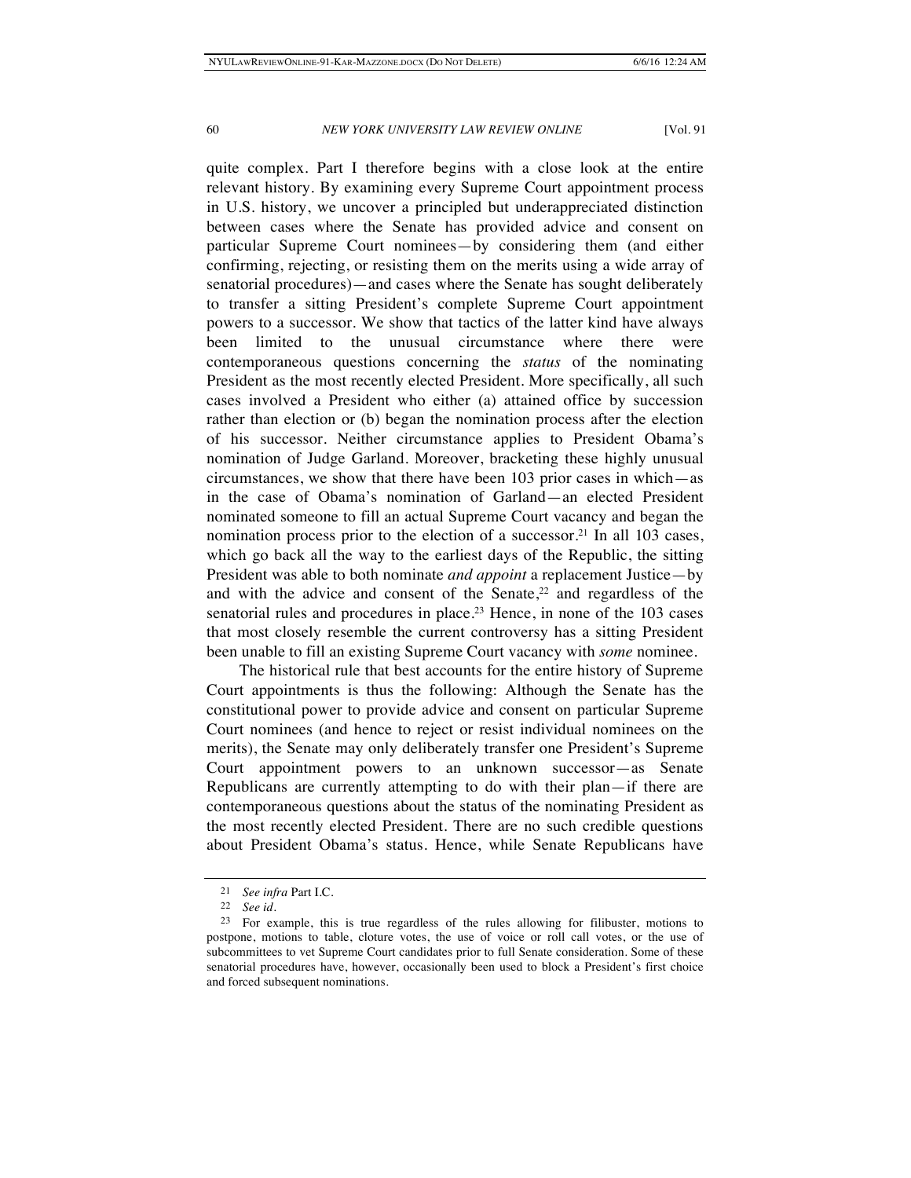quite complex. Part I therefore begins with a close look at the entire relevant history. By examining every Supreme Court appointment process in U.S. history, we uncover a principled but underappreciated distinction between cases where the Senate has provided advice and consent on particular Supreme Court nominees—by considering them (and either confirming, rejecting, or resisting them on the merits using a wide array of senatorial procedures)—and cases where the Senate has sought deliberately to transfer a sitting President's complete Supreme Court appointment powers to a successor. We show that tactics of the latter kind have always been limited to the unusual circumstance where there were contemporaneous questions concerning the *status* of the nominating President as the most recently elected President. More specifically, all such cases involved a President who either (a) attained office by succession rather than election or (b) began the nomination process after the election of his successor. Neither circumstance applies to President Obama's nomination of Judge Garland. Moreover, bracketing these highly unusual circumstances, we show that there have been 103 prior cases in which—as in the case of Obama's nomination of Garland—an elected President nominated someone to fill an actual Supreme Court vacancy and began the nomination process prior to the election of a successor.<sup>21</sup> In all 103 cases, which go back all the way to the earliest days of the Republic, the sitting President was able to both nominate *and appoint* a replacement Justice—by and with the advice and consent of the Senate, $22$  and regardless of the senatorial rules and procedures in place.<sup>23</sup> Hence, in none of the 103 cases that most closely resemble the current controversy has a sitting President been unable to fill an existing Supreme Court vacancy with *some* nominee.

The historical rule that best accounts for the entire history of Supreme Court appointments is thus the following: Although the Senate has the constitutional power to provide advice and consent on particular Supreme Court nominees (and hence to reject or resist individual nominees on the merits), the Senate may only deliberately transfer one President's Supreme Court appointment powers to an unknown successor—as Senate Republicans are currently attempting to do with their plan—if there are contemporaneous questions about the status of the nominating President as the most recently elected President. There are no such credible questions about President Obama's status. Hence, while Senate Republicans have

<sup>21</sup> *See infra* Part I.C.

<sup>22</sup> *See id.*

<sup>23</sup> For example, this is true regardless of the rules allowing for filibuster, motions to postpone, motions to table, cloture votes, the use of voice or roll call votes, or the use of subcommittees to vet Supreme Court candidates prior to full Senate consideration. Some of these senatorial procedures have, however, occasionally been used to block a President's first choice and forced subsequent nominations.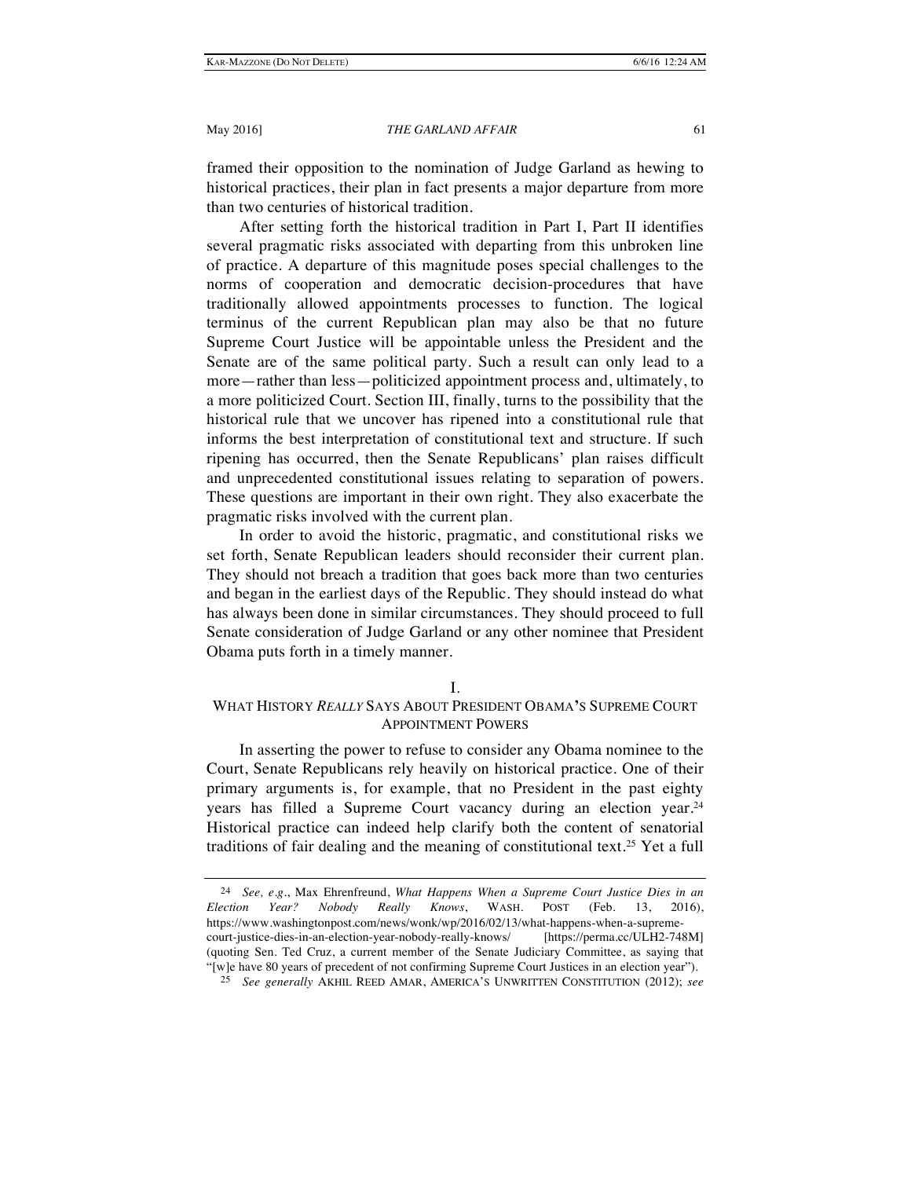framed their opposition to the nomination of Judge Garland as hewing to historical practices, their plan in fact presents a major departure from more than two centuries of historical tradition.

After setting forth the historical tradition in Part I, Part II identifies several pragmatic risks associated with departing from this unbroken line of practice. A departure of this magnitude poses special challenges to the norms of cooperation and democratic decision-procedures that have traditionally allowed appointments processes to function. The logical terminus of the current Republican plan may also be that no future Supreme Court Justice will be appointable unless the President and the Senate are of the same political party. Such a result can only lead to a more—rather than less—politicized appointment process and, ultimately, to a more politicized Court. Section III, finally, turns to the possibility that the historical rule that we uncover has ripened into a constitutional rule that informs the best interpretation of constitutional text and structure. If such ripening has occurred, then the Senate Republicans' plan raises difficult and unprecedented constitutional issues relating to separation of powers. These questions are important in their own right. They also exacerbate the pragmatic risks involved with the current plan.

In order to avoid the historic, pragmatic, and constitutional risks we set forth, Senate Republican leaders should reconsider their current plan. They should not breach a tradition that goes back more than two centuries and began in the earliest days of the Republic. They should instead do what has always been done in similar circumstances. They should proceed to full Senate consideration of Judge Garland or any other nominee that President Obama puts forth in a timely manner.

#### I.

# WHAT HISTORY *REALLY* SAYS ABOUT PRESIDENT OBAMA**'**S SUPREME COURT APPOINTMENT POWERS

In asserting the power to refuse to consider any Obama nominee to the Court, Senate Republicans rely heavily on historical practice. One of their primary arguments is, for example, that no President in the past eighty years has filled a Supreme Court vacancy during an election year.<sup>24</sup> Historical practice can indeed help clarify both the content of senatorial traditions of fair dealing and the meaning of constitutional text.25 Yet a full

<sup>24</sup> *See, e.g.*, Max Ehrenfreund, *What Happens When a Supreme Court Justice Dies in an Election Year? Nobody Really Knows*, WASH. POST (Feb. 13, 2016), https://www.washingtonpost.com/news/wonk/wp/2016/02/13/what-happens-when-a-supremecourt-justice-dies-in-an-election-year-nobody-really-knows/ [https://perma.cc/ULH2-748M] (quoting Sen. Ted Cruz, a current member of the Senate Judiciary Committee, as saying that "[w]e have 80 years of precedent of not confirming Supreme Court Justices in an election year").

<sup>25</sup> *See generally* AKHIL REED AMAR, AMERICA'S UNWRITTEN CONSTITUTION (2012); *see*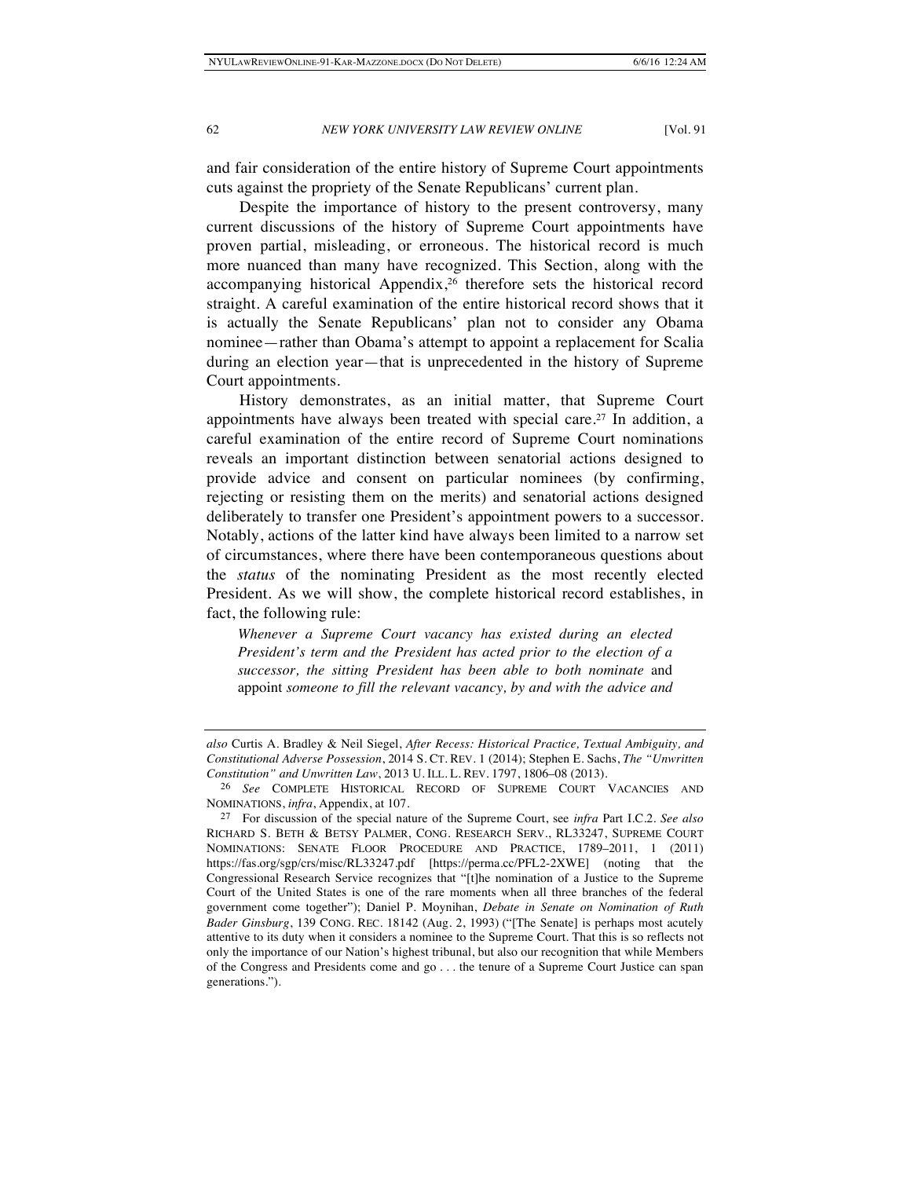and fair consideration of the entire history of Supreme Court appointments cuts against the propriety of the Senate Republicans' current plan.

Despite the importance of history to the present controversy, many current discussions of the history of Supreme Court appointments have proven partial, misleading, or erroneous. The historical record is much more nuanced than many have recognized. This Section, along with the accompanying historical Appendix,26 therefore sets the historical record straight. A careful examination of the entire historical record shows that it is actually the Senate Republicans' plan not to consider any Obama nominee—rather than Obama's attempt to appoint a replacement for Scalia during an election year—that is unprecedented in the history of Supreme Court appointments.

History demonstrates, as an initial matter, that Supreme Court appointments have always been treated with special care.<sup>27</sup> In addition, a careful examination of the entire record of Supreme Court nominations reveals an important distinction between senatorial actions designed to provide advice and consent on particular nominees (by confirming, rejecting or resisting them on the merits) and senatorial actions designed deliberately to transfer one President's appointment powers to a successor. Notably, actions of the latter kind have always been limited to a narrow set of circumstances, where there have been contemporaneous questions about the *status* of the nominating President as the most recently elected President. As we will show, the complete historical record establishes, in fact, the following rule:

*Whenever a Supreme Court vacancy has existed during an elected President's term and the President has acted prior to the election of a successor, the sitting President has been able to both nominate* and appoint *someone to fill the relevant vacancy, by and with the advice and* 

*also* Curtis A. Bradley & Neil Siegel, *After Recess: Historical Practice, Textual Ambiguity, and Constitutional Adverse Possession*, 2014 S. CT. REV. 1 (2014); Stephen E. Sachs, *The "Unwritten Constitution" and Unwritten Law*, 2013 U. ILL. L. REV. 1797, 1806–08 (2013).

<sup>26</sup> *See* COMPLETE HISTORICAL RECORD OF SUPREME COURT VACANCIES AND NOMINATIONS, *infra*, Appendix, at 107.

<sup>27</sup> For discussion of the special nature of the Supreme Court, see *infra* Part I.C.2. *See also*  RICHARD S. BETH & BETSY PALMER, CONG. RESEARCH SERV., RL33247, SUPREME COURT NOMINATIONS: SENATE FLOOR PROCEDURE AND PRACTICE, 1789–2011, 1 (2011) https://fas.org/sgp/crs/misc/RL33247.pdf [https://perma.cc/PFL2-2XWE] (noting that the Congressional Research Service recognizes that "[t]he nomination of a Justice to the Supreme Court of the United States is one of the rare moments when all three branches of the federal government come together"); Daniel P. Moynihan, *Debate in Senate on Nomination of Ruth Bader Ginsburg*, 139 CONG. REC. 18142 (Aug. 2, 1993) ("[The Senate] is perhaps most acutely attentive to its duty when it considers a nominee to the Supreme Court. That this is so reflects not only the importance of our Nation's highest tribunal, but also our recognition that while Members of the Congress and Presidents come and go . . . the tenure of a Supreme Court Justice can span generations.").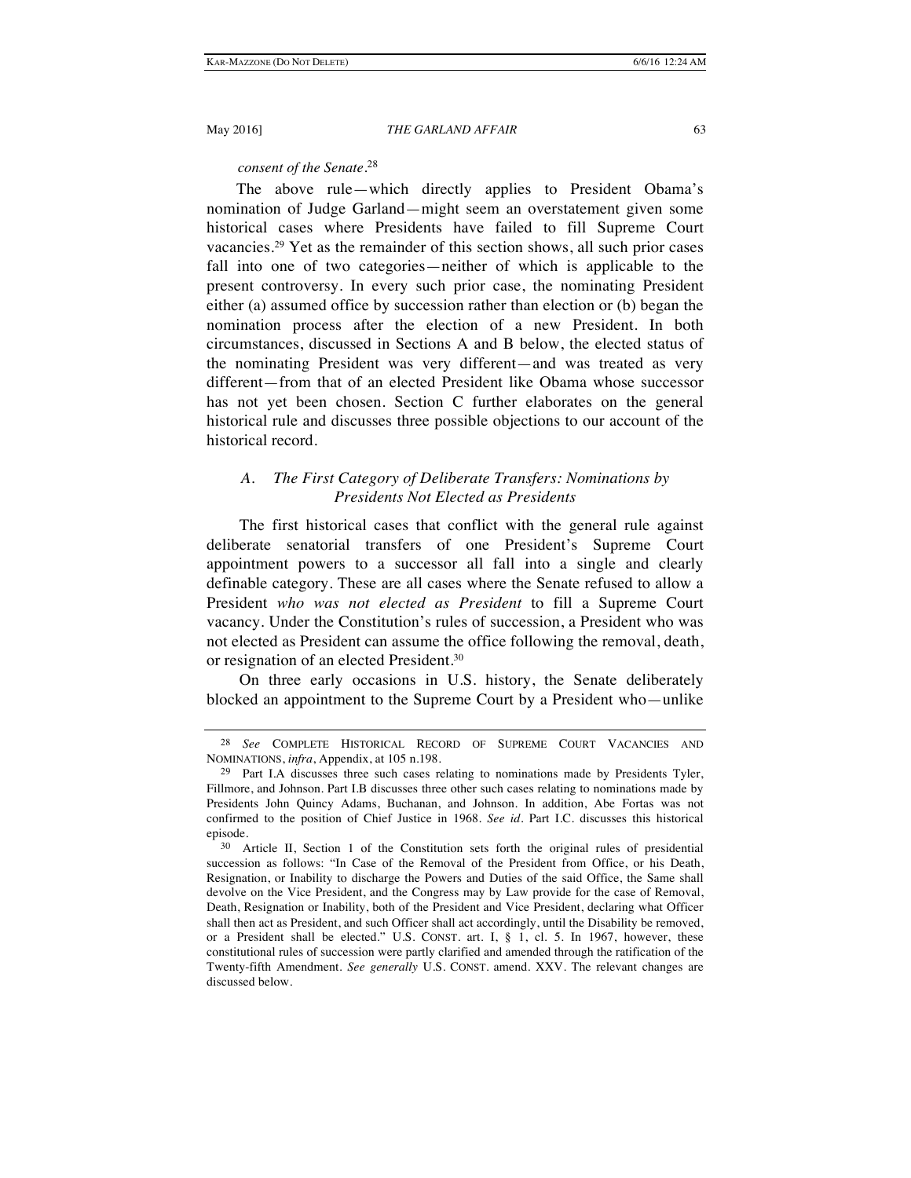## *consent of the Senate.*<sup>28</sup>

The above rule—which directly applies to President Obama's nomination of Judge Garland—might seem an overstatement given some historical cases where Presidents have failed to fill Supreme Court vacancies.29 Yet as the remainder of this section shows, all such prior cases fall into one of two categories—neither of which is applicable to the present controversy. In every such prior case, the nominating President either (a) assumed office by succession rather than election or (b) began the nomination process after the election of a new President. In both circumstances, discussed in Sections A and B below, the elected status of the nominating President was very different—and was treated as very different—from that of an elected President like Obama whose successor has not yet been chosen. Section C further elaborates on the general historical rule and discusses three possible objections to our account of the historical record.

## *A. The First Category of Deliberate Transfers: Nominations by Presidents Not Elected as Presidents*

The first historical cases that conflict with the general rule against deliberate senatorial transfers of one President's Supreme Court appointment powers to a successor all fall into a single and clearly definable category. These are all cases where the Senate refused to allow a President *who was not elected as President* to fill a Supreme Court vacancy. Under the Constitution's rules of succession, a President who was not elected as President can assume the office following the removal, death, or resignation of an elected President.30

On three early occasions in U.S. history, the Senate deliberately blocked an appointment to the Supreme Court by a President who—unlike

<sup>28</sup> *See* COMPLETE HISTORICAL RECORD OF SUPREME COURT VACANCIES AND NOMINATIONS, *infra*, Appendix, at 105 n.198.

<sup>&</sup>lt;sup>29</sup> Part I.A discusses three such cases relating to nominations made by Presidents Tyler, Fillmore, and Johnson. Part I.B discusses three other such cases relating to nominations made by Presidents John Quincy Adams, Buchanan, and Johnson. In addition, Abe Fortas was not confirmed to the position of Chief Justice in 1968. *See id.* Part I.C. discusses this historical episode.<br> $30$  Article II, Section 1 of the Constitution sets forth the original rules of presidential

succession as follows: "In Case of the Removal of the President from Office, or his Death, Resignation, or Inability to discharge the Powers and Duties of the said Office, the Same shall devolve on the Vice President, and the Congress may by Law provide for the case of Removal, Death, Resignation or Inability, both of the President and Vice President, declaring what Officer shall then act as President, and such Officer shall act accordingly, until the Disability be removed, or a President shall be elected." U.S. CONST. art. I,  $\S$  1, cl. 5. In 1967, however, these constitutional rules of succession were partly clarified and amended through the ratification of the Twenty-fifth Amendment. *See generally* U.S. CONST. amend. XXV. The relevant changes are discussed below.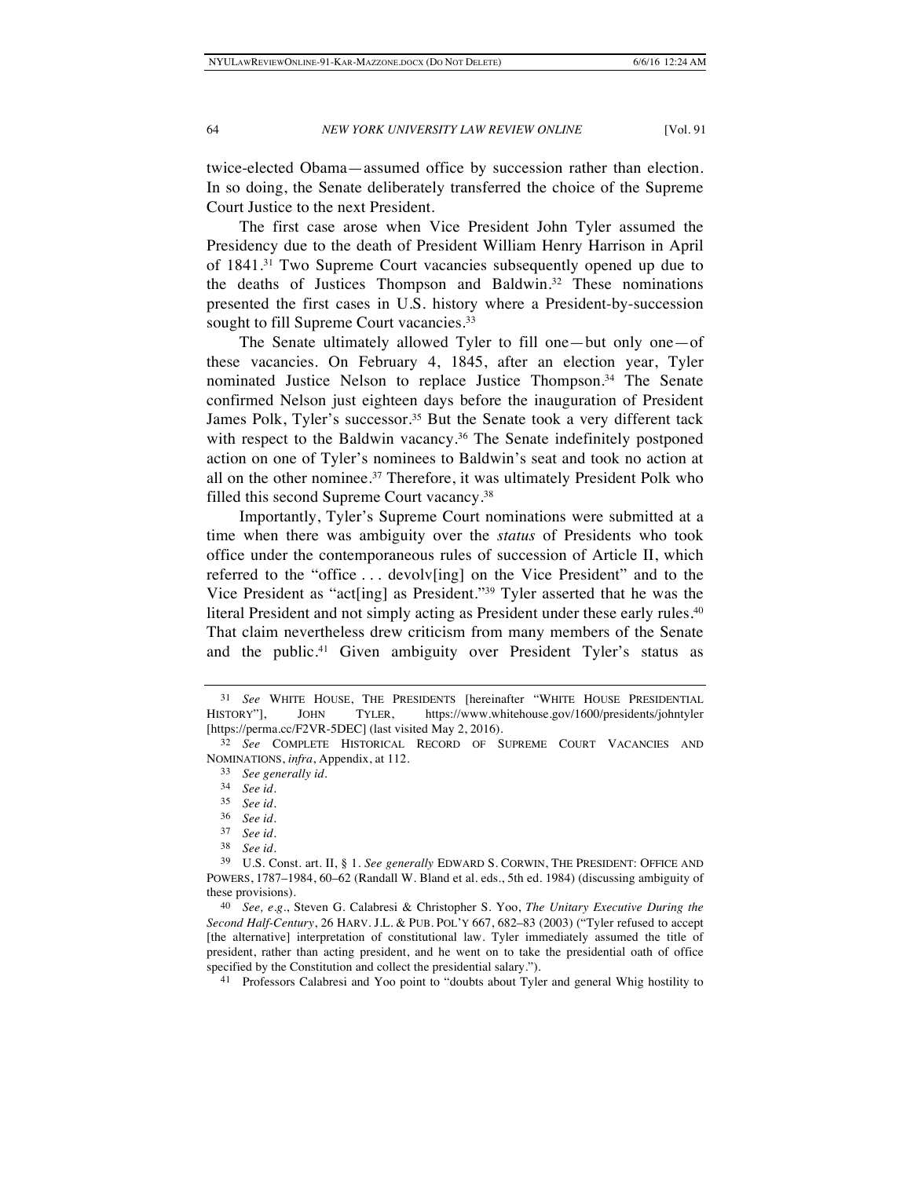twice-elected Obama—assumed office by succession rather than election. In so doing, the Senate deliberately transferred the choice of the Supreme Court Justice to the next President.

The first case arose when Vice President John Tyler assumed the Presidency due to the death of President William Henry Harrison in April of 1841.31 Two Supreme Court vacancies subsequently opened up due to the deaths of Justices Thompson and Baldwin.32 These nominations presented the first cases in U.S. history where a President-by-succession sought to fill Supreme Court vacancies.<sup>33</sup>

The Senate ultimately allowed Tyler to fill one—but only one—of these vacancies. On February 4, 1845, after an election year, Tyler nominated Justice Nelson to replace Justice Thompson.<sup>34</sup> The Senate confirmed Nelson just eighteen days before the inauguration of President James Polk, Tyler's successor.<sup>35</sup> But the Senate took a very different tack with respect to the Baldwin vacancy.<sup>36</sup> The Senate indefinitely postponed action on one of Tyler's nominees to Baldwin's seat and took no action at all on the other nominee.37 Therefore, it was ultimately President Polk who filled this second Supreme Court vacancy.<sup>38</sup>

Importantly, Tyler's Supreme Court nominations were submitted at a time when there was ambiguity over the *status* of Presidents who took office under the contemporaneous rules of succession of Article II, which referred to the "office . . . devolv[ing] on the Vice President" and to the Vice President as "act[ing] as President."39 Tyler asserted that he was the literal President and not simply acting as President under these early rules.<sup>40</sup> That claim nevertheless drew criticism from many members of the Senate and the public.<sup>41</sup> Given ambiguity over President Tyler's status as

<sup>31</sup> *See* WHITE HOUSE, THE PRESIDENTS [hereinafter "WHITE HOUSE PRESIDENTIAL HISTORY"], JOHN TYLER, https://www.whitehouse.gov/1600/presidents/johntyler [https://perma.cc/F2VR-5DEC] (last visited May 2, 2016).

<sup>32</sup> *See* COMPLETE HISTORICAL RECORD OF SUPREME COURT VACANCIES AND NOMINATIONS, *infra*, Appendix, at 112.

<sup>33</sup> *See generally id.*

<sup>34</sup> *See id.*

<sup>35</sup> *See id.*

<sup>36</sup> *See id.*

<sup>37</sup> *See id.*

<sup>38</sup> *See id.*

<sup>39</sup> U.S. Const. art. II, § 1. *See generally* EDWARD S. CORWIN, THE PRESIDENT: OFFICE AND POWERS, 1787–1984, 60–62 (Randall W. Bland et al. eds., 5th ed. 1984) (discussing ambiguity of these provisions).

<sup>40</sup> *See, e.g.*, Steven G. Calabresi & Christopher S. Yoo, *The Unitary Executive During the Second Half-Century*, 26 HARV. J.L. & PUB. POL'Y 667, 682–83 (2003) ("Tyler refused to accept [the alternative] interpretation of constitutional law. Tyler immediately assumed the title of president, rather than acting president, and he went on to take the presidential oath of office specified by the Constitution and collect the presidential salary.").

<sup>41</sup> Professors Calabresi and Yoo point to "doubts about Tyler and general Whig hostility to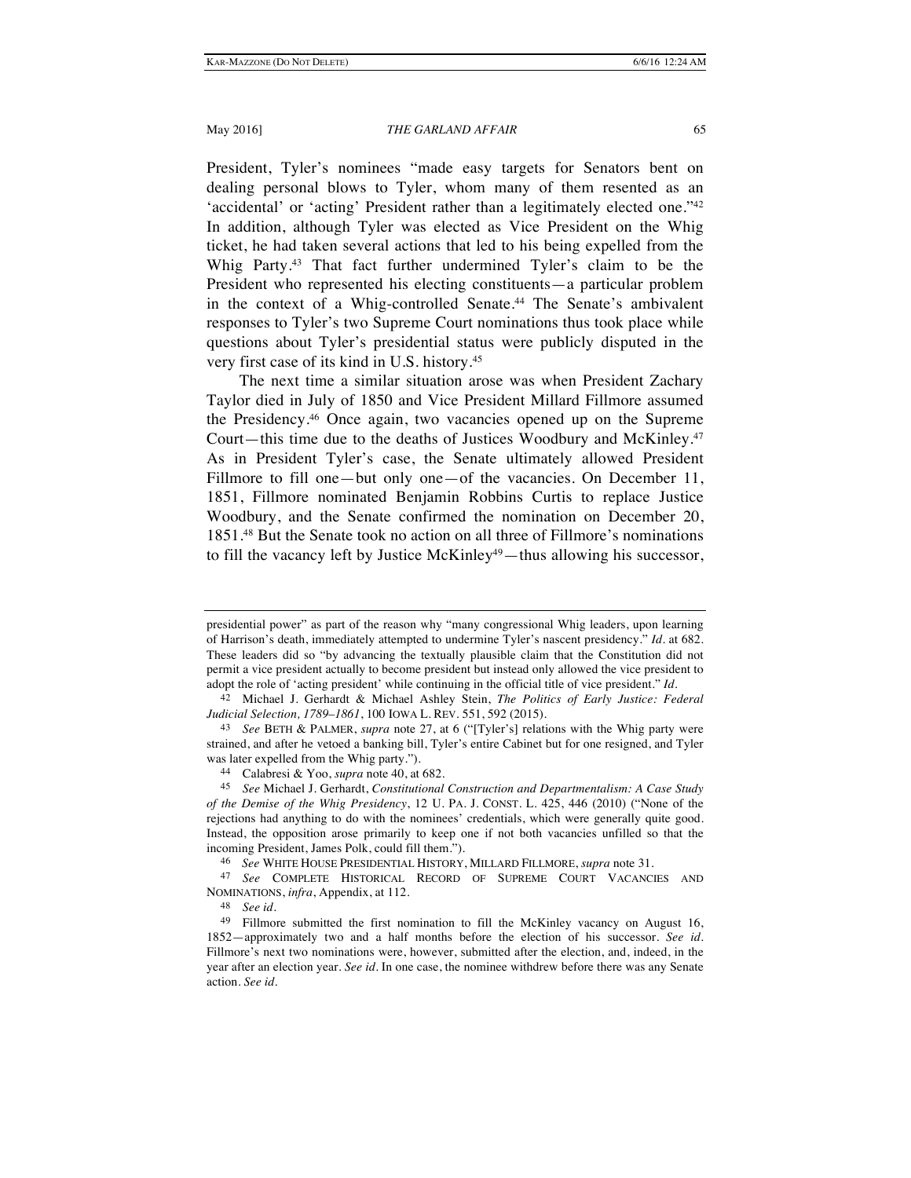President, Tyler's nominees "made easy targets for Senators bent on dealing personal blows to Tyler, whom many of them resented as an 'accidental' or 'acting' President rather than a legitimately elected one."42 In addition, although Tyler was elected as Vice President on the Whig ticket, he had taken several actions that led to his being expelled from the Whig Party.43 That fact further undermined Tyler's claim to be the President who represented his electing constituents—a particular problem in the context of a Whig-controlled Senate.<sup>44</sup> The Senate's ambivalent responses to Tyler's two Supreme Court nominations thus took place while questions about Tyler's presidential status were publicly disputed in the very first case of its kind in U.S. history.45

The next time a similar situation arose was when President Zachary Taylor died in July of 1850 and Vice President Millard Fillmore assumed the Presidency.46 Once again, two vacancies opened up on the Supreme Court—this time due to the deaths of Justices Woodbury and McKinley.47 As in President Tyler's case, the Senate ultimately allowed President Fillmore to fill one—but only one—of the vacancies. On December 11, 1851, Fillmore nominated Benjamin Robbins Curtis to replace Justice Woodbury, and the Senate confirmed the nomination on December 20, 1851.48 But the Senate took no action on all three of Fillmore's nominations to fill the vacancy left by Justice McKinley<sup>49</sup>—thus allowing his successor,

46 *See* WHITE HOUSE PRESIDENTIAL HISTORY, MILLARD FILLMORE, *supra* note 31.

47 *See* COMPLETE HISTORICAL RECORD OF SUPREME COURT VACANCIES AND NOMINATIONS, *infra*, Appendix, at 112.

48 *See id.*

presidential power" as part of the reason why "many congressional Whig leaders, upon learning of Harrison's death, immediately attempted to undermine Tyler's nascent presidency." *Id.* at 682. These leaders did so "by advancing the textually plausible claim that the Constitution did not permit a vice president actually to become president but instead only allowed the vice president to adopt the role of 'acting president' while continuing in the official title of vice president." *Id.*

<sup>42</sup> Michael J. Gerhardt & Michael Ashley Stein, *The Politics of Early Justice: Federal Judicial Selection, 1789–1861*, 100 IOWA L. REV. 551, 592 (2015).

<sup>43</sup> *See* BETH & PALMER, *supra* note 27, at 6 ("[Tyler's] relations with the Whig party were strained, and after he vetoed a banking bill, Tyler's entire Cabinet but for one resigned, and Tyler was later expelled from the Whig party.").

<sup>44</sup> Calabresi & Yoo, *supra* note 40, at 682.

<sup>45</sup> *See* Michael J. Gerhardt, *Constitutional Construction and Departmentalism: A Case Study of the Demise of the Whig Presidency*, 12 U. PA. J. CONST. L. 425, 446 (2010) ("None of the rejections had anything to do with the nominees' credentials, which were generally quite good. Instead, the opposition arose primarily to keep one if not both vacancies unfilled so that the incoming President, James Polk, could fill them.").

<sup>49</sup> Fillmore submitted the first nomination to fill the McKinley vacancy on August 16, 1852—approximately two and a half months before the election of his successor. *See id.* Fillmore's next two nominations were, however, submitted after the election, and, indeed, in the year after an election year. *See id.* In one case, the nominee withdrew before there was any Senate action. *See id.*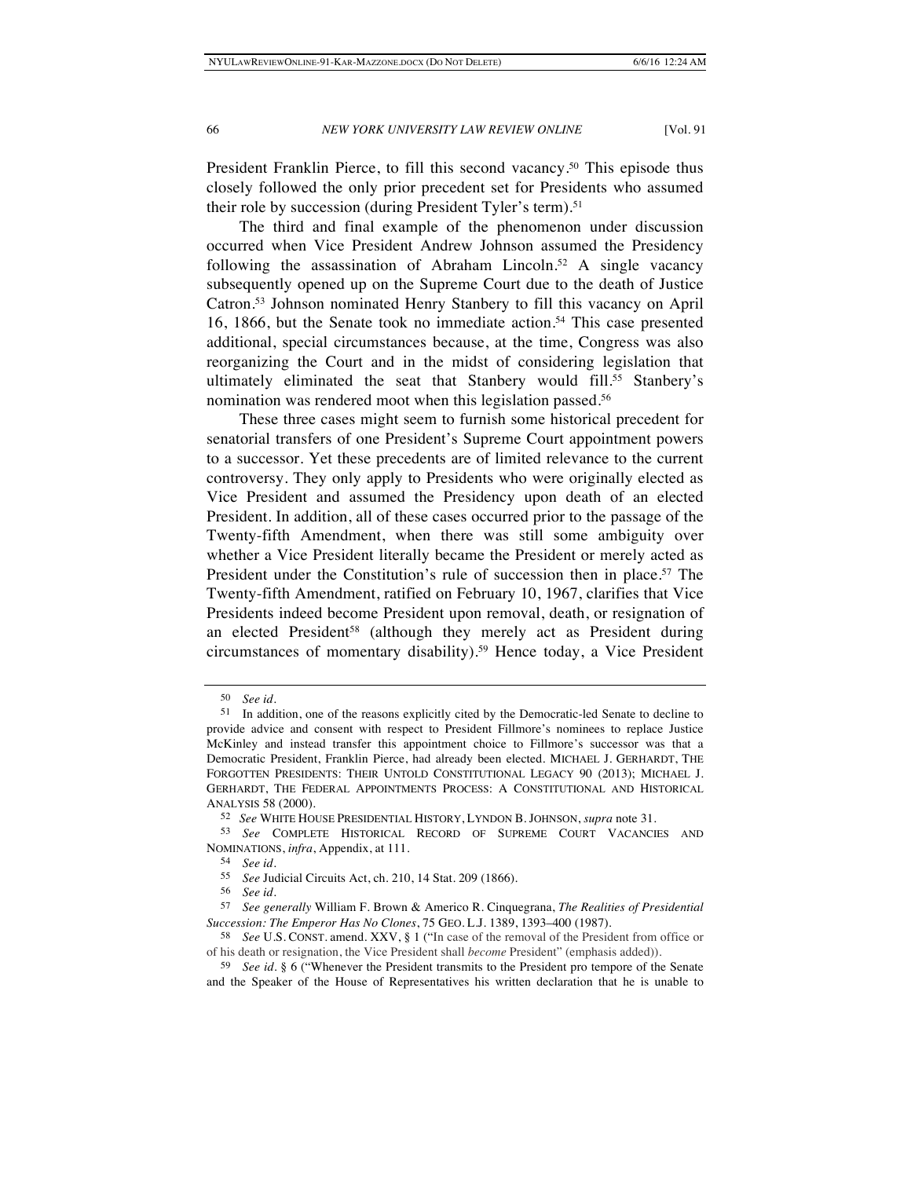President Franklin Pierce, to fill this second vacancy.<sup>50</sup> This episode thus closely followed the only prior precedent set for Presidents who assumed their role by succession (during President Tyler's term).<sup>51</sup>

The third and final example of the phenomenon under discussion occurred when Vice President Andrew Johnson assumed the Presidency following the assassination of Abraham Lincoln.<sup>52</sup> A single vacancy subsequently opened up on the Supreme Court due to the death of Justice Catron.53 Johnson nominated Henry Stanbery to fill this vacancy on April 16, 1866, but the Senate took no immediate action.<sup>54</sup> This case presented additional, special circumstances because, at the time, Congress was also reorganizing the Court and in the midst of considering legislation that ultimately eliminated the seat that Stanbery would fill.<sup>55</sup> Stanbery's nomination was rendered moot when this legislation passed.<sup>56</sup>

These three cases might seem to furnish some historical precedent for senatorial transfers of one President's Supreme Court appointment powers to a successor. Yet these precedents are of limited relevance to the current controversy. They only apply to Presidents who were originally elected as Vice President and assumed the Presidency upon death of an elected President. In addition, all of these cases occurred prior to the passage of the Twenty-fifth Amendment, when there was still some ambiguity over whether a Vice President literally became the President or merely acted as President under the Constitution's rule of succession then in place.<sup>57</sup> The Twenty-fifth Amendment, ratified on February 10, 1967, clarifies that Vice Presidents indeed become President upon removal, death, or resignation of an elected President<sup>58</sup> (although they merely act as President during circumstances of momentary disability).<sup>59</sup> Hence today, a Vice President

<sup>50</sup> *See id.*

<sup>51</sup> In addition, one of the reasons explicitly cited by the Democratic-led Senate to decline to provide advice and consent with respect to President Fillmore's nominees to replace Justice McKinley and instead transfer this appointment choice to Fillmore's successor was that a Democratic President, Franklin Pierce, had already been elected. MICHAEL J. GERHARDT, THE FORGOTTEN PRESIDENTS: THEIR UNTOLD CONSTITUTIONAL LEGACY 90 (2013); MICHAEL J. GERHARDT, THE FEDERAL APPOINTMENTS PROCESS: A CONSTITUTIONAL AND HISTORICAL ANALYSIS 58 (2000).

<sup>52</sup> *See* WHITE HOUSE PRESIDENTIAL HISTORY, LYNDON B. JOHNSON, *supra* note 31.

<sup>53</sup> *See* COMPLETE HISTORICAL RECORD OF SUPREME COURT VACANCIES AND NOMINATIONS, *infra*, Appendix, at 111.

<sup>54</sup> *See id.*

<sup>55</sup> *See* Judicial Circuits Act, ch. 210, 14 Stat. 209 (1866).

<sup>56</sup> *See id.*

<sup>57</sup> *See generally* William F. Brown & Americo R. Cinquegrana, *The Realities of Presidential Succession: The Emperor Has No Clones*, 75 GEO. L.J. 1389, 1393–400 (1987).

<sup>58</sup> *See* U.S. CONST. amend. XXV, § 1 ("In case of the removal of the President from office or of his death or resignation, the Vice President shall *become* President" (emphasis added)).

<sup>59</sup> *See id.* § 6 ("Whenever the President transmits to the President pro tempore of the Senate and the Speaker of the House of Representatives his written declaration that he is unable to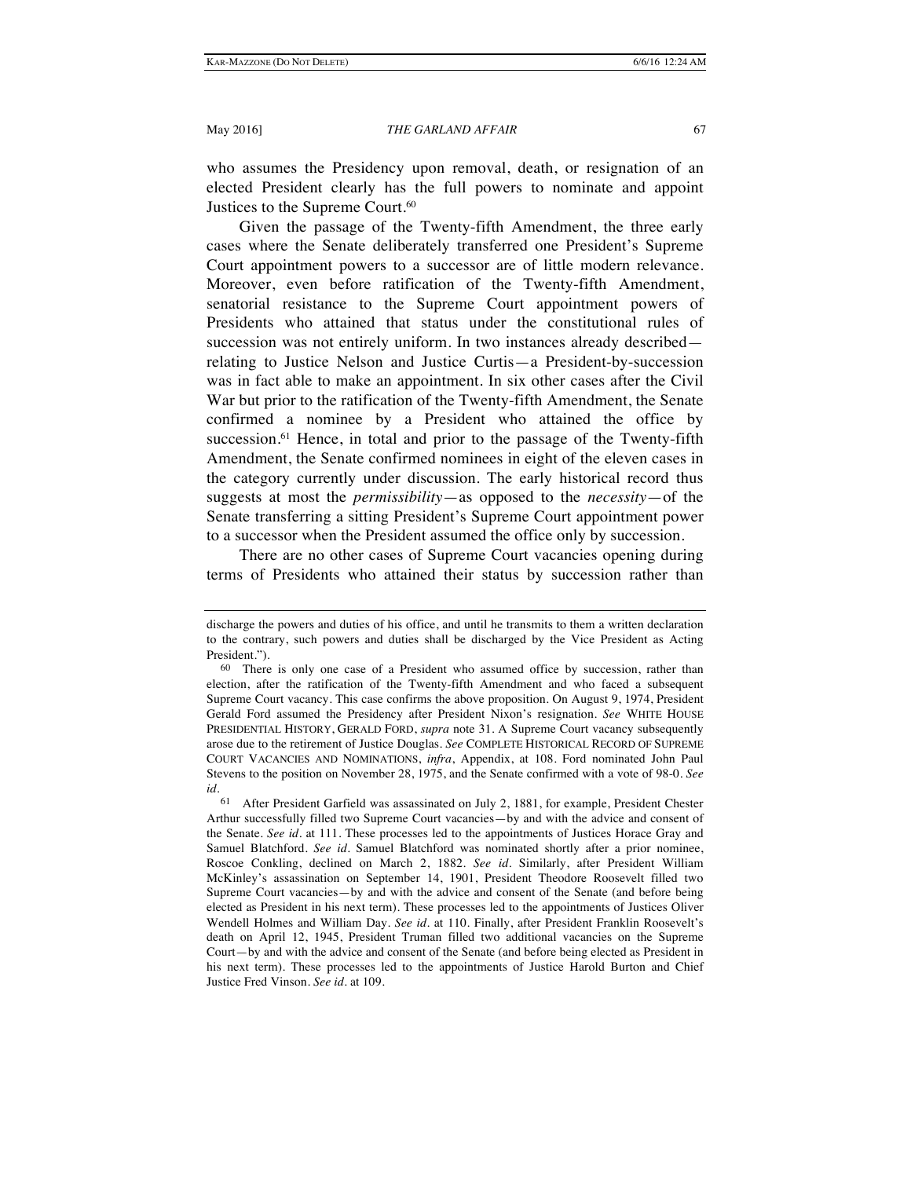who assumes the Presidency upon removal, death, or resignation of an elected President clearly has the full powers to nominate and appoint Justices to the Supreme Court.<sup>60</sup>

Given the passage of the Twenty-fifth Amendment, the three early cases where the Senate deliberately transferred one President's Supreme Court appointment powers to a successor are of little modern relevance. Moreover, even before ratification of the Twenty-fifth Amendment, senatorial resistance to the Supreme Court appointment powers of Presidents who attained that status under the constitutional rules of succession was not entirely uniform. In two instances already described relating to Justice Nelson and Justice Curtis—a President-by-succession was in fact able to make an appointment. In six other cases after the Civil War but prior to the ratification of the Twenty-fifth Amendment, the Senate confirmed a nominee by a President who attained the office by succession.<sup>61</sup> Hence, in total and prior to the passage of the Twenty-fifth Amendment, the Senate confirmed nominees in eight of the eleven cases in the category currently under discussion. The early historical record thus suggests at most the *permissibility*—as opposed to the *necessity*—of the Senate transferring a sitting President's Supreme Court appointment power to a successor when the President assumed the office only by succession.

There are no other cases of Supreme Court vacancies opening during terms of Presidents who attained their status by succession rather than

discharge the powers and duties of his office, and until he transmits to them a written declaration to the contrary, such powers and duties shall be discharged by the Vice President as Acting President.").

<sup>60</sup> There is only one case of a President who assumed office by succession, rather than election, after the ratification of the Twenty-fifth Amendment and who faced a subsequent Supreme Court vacancy. This case confirms the above proposition. On August 9, 1974, President Gerald Ford assumed the Presidency after President Nixon's resignation. *See* WHITE HOUSE PRESIDENTIAL HISTORY, GERALD FORD, *supra* note 31. A Supreme Court vacancy subsequently arose due to the retirement of Justice Douglas. *See* COMPLETE HISTORICAL RECORD OF SUPREME COURT VACANCIES AND NOMINATIONS, *infra*, Appendix, at 108. Ford nominated John Paul Stevens to the position on November 28, 1975, and the Senate confirmed with a vote of 98-0. *See id.*

After President Garfield was assassinated on July 2, 1881, for example, President Chester Arthur successfully filled two Supreme Court vacancies—by and with the advice and consent of the Senate. *See id.* at 111. These processes led to the appointments of Justices Horace Gray and Samuel Blatchford. *See id.* Samuel Blatchford was nominated shortly after a prior nominee, Roscoe Conkling, declined on March 2, 1882. *See id.* Similarly, after President William McKinley's assassination on September 14, 1901, President Theodore Roosevelt filled two Supreme Court vacancies—by and with the advice and consent of the Senate (and before being elected as President in his next term). These processes led to the appointments of Justices Oliver Wendell Holmes and William Day. *See id.* at 110. Finally, after President Franklin Roosevelt's death on April 12, 1945, President Truman filled two additional vacancies on the Supreme Court—by and with the advice and consent of the Senate (and before being elected as President in his next term). These processes led to the appointments of Justice Harold Burton and Chief Justice Fred Vinson. *See id.* at 109.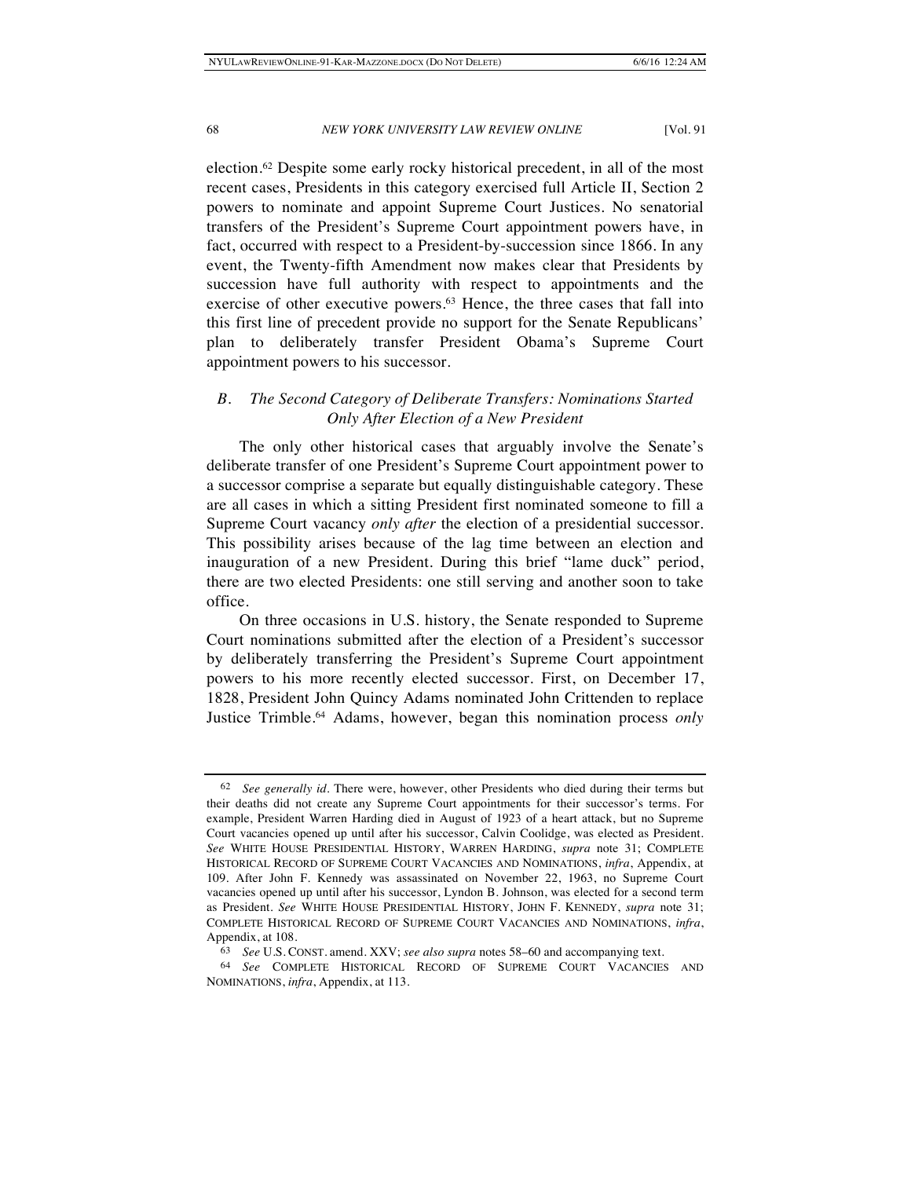election.62 Despite some early rocky historical precedent, in all of the most recent cases, Presidents in this category exercised full Article II, Section 2 powers to nominate and appoint Supreme Court Justices. No senatorial transfers of the President's Supreme Court appointment powers have, in fact, occurred with respect to a President-by-succession since 1866. In any event, the Twenty-fifth Amendment now makes clear that Presidents by succession have full authority with respect to appointments and the exercise of other executive powers.<sup>63</sup> Hence, the three cases that fall into this first line of precedent provide no support for the Senate Republicans' plan to deliberately transfer President Obama's Supreme Court appointment powers to his successor.

## *B. The Second Category of Deliberate Transfers: Nominations Started Only After Election of a New President*

The only other historical cases that arguably involve the Senate's deliberate transfer of one President's Supreme Court appointment power to a successor comprise a separate but equally distinguishable category. These are all cases in which a sitting President first nominated someone to fill a Supreme Court vacancy *only after* the election of a presidential successor. This possibility arises because of the lag time between an election and inauguration of a new President. During this brief "lame duck" period, there are two elected Presidents: one still serving and another soon to take office.

On three occasions in U.S. history, the Senate responded to Supreme Court nominations submitted after the election of a President's successor by deliberately transferring the President's Supreme Court appointment powers to his more recently elected successor. First, on December 17, 1828, President John Quincy Adams nominated John Crittenden to replace Justice Trimble.64 Adams, however, began this nomination process *only* 

<sup>62</sup> *See generally id.* There were, however, other Presidents who died during their terms but their deaths did not create any Supreme Court appointments for their successor's terms. For example, President Warren Harding died in August of 1923 of a heart attack, but no Supreme Court vacancies opened up until after his successor, Calvin Coolidge, was elected as President. *See* WHITE HOUSE PRESIDENTIAL HISTORY, WARREN HARDING, *supra* note 31; COMPLETE HISTORICAL RECORD OF SUPREME COURT VACANCIES AND NOMINATIONS, *infra*, Appendix, at 109. After John F. Kennedy was assassinated on November 22, 1963, no Supreme Court vacancies opened up until after his successor, Lyndon B. Johnson, was elected for a second term as President. *See* WHITE HOUSE PRESIDENTIAL HISTORY, JOHN F. KENNEDY, *supra* note 31; COMPLETE HISTORICAL RECORD OF SUPREME COURT VACANCIES AND NOMINATIONS, *infra*, Appendix, at 108*.*

<sup>63</sup> *See* U.S. CONST. amend. XXV; *see also supra* notes 58–60 and accompanying text.

<sup>64</sup> *See* COMPLETE HISTORICAL RECORD OF SUPREME COURT VACANCIES AND NOMINATIONS, *infra*, Appendix, at 113.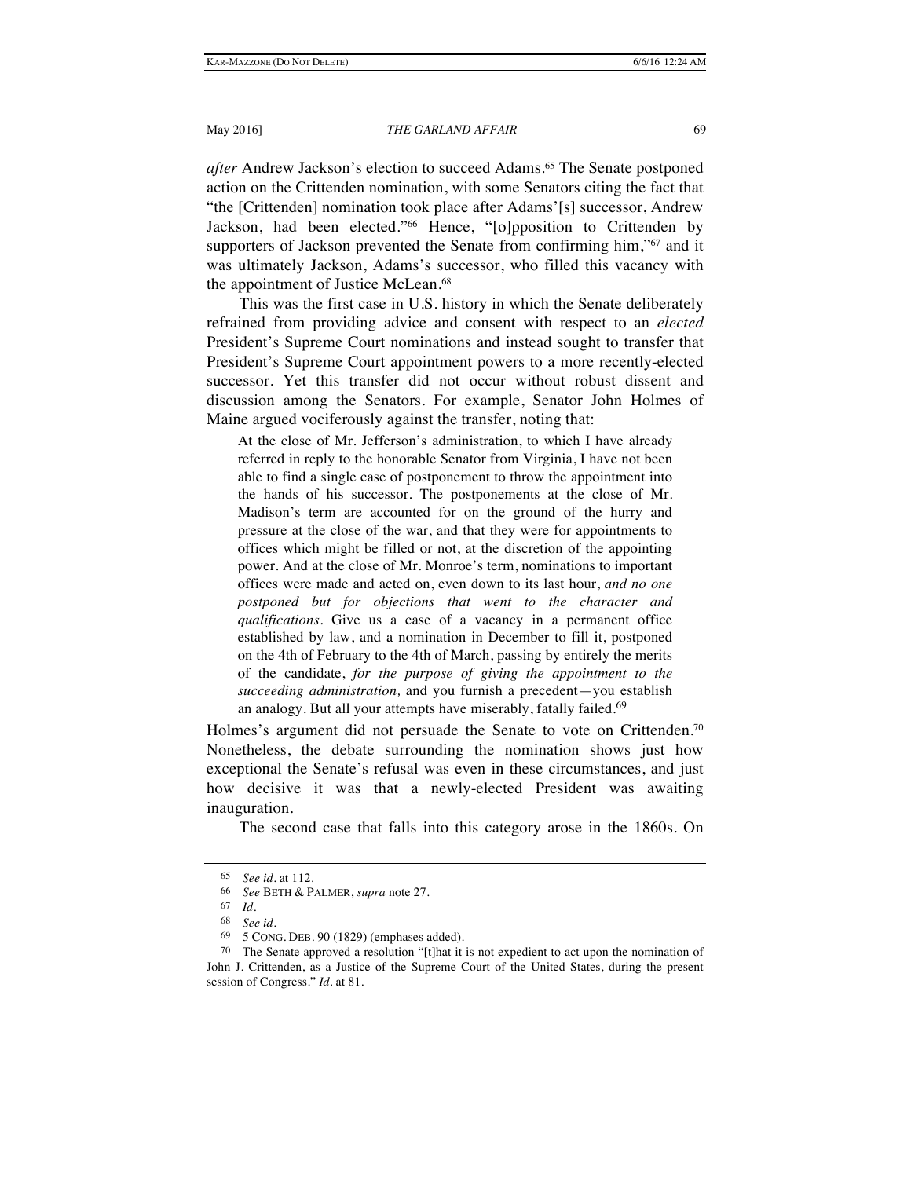*after* Andrew Jackson's election to succeed Adams.<sup>65</sup> The Senate postponed action on the Crittenden nomination, with some Senators citing the fact that "the [Crittenden] nomination took place after Adams'[s] successor, Andrew Jackson, had been elected."66 Hence, "[o]pposition to Crittenden by supporters of Jackson prevented the Senate from confirming him,"<sup>67</sup> and it was ultimately Jackson, Adams's successor, who filled this vacancy with the appointment of Justice McLean.<sup>68</sup>

This was the first case in U.S. history in which the Senate deliberately refrained from providing advice and consent with respect to an *elected* President's Supreme Court nominations and instead sought to transfer that President's Supreme Court appointment powers to a more recently-elected successor. Yet this transfer did not occur without robust dissent and discussion among the Senators. For example, Senator John Holmes of Maine argued vociferously against the transfer, noting that:

At the close of Mr. Jefferson's administration, to which I have already referred in reply to the honorable Senator from Virginia, I have not been able to find a single case of postponement to throw the appointment into the hands of his successor. The postponements at the close of Mr. Madison's term are accounted for on the ground of the hurry and pressure at the close of the war, and that they were for appointments to offices which might be filled or not, at the discretion of the appointing power. And at the close of Mr. Monroe's term, nominations to important offices were made and acted on, even down to its last hour, *and no one postponed but for objections that went to the character and qualifications.* Give us a case of a vacancy in a permanent office established by law, and a nomination in December to fill it, postponed on the 4th of February to the 4th of March, passing by entirely the merits of the candidate, *for the purpose of giving the appointment to the succeeding administration,* and you furnish a precedent—you establish an analogy. But all your attempts have miserably, fatally failed.<sup>69</sup>

Holmes's argument did not persuade the Senate to vote on Crittenden.<sup>70</sup> Nonetheless, the debate surrounding the nomination shows just how exceptional the Senate's refusal was even in these circumstances, and just how decisive it was that a newly-elected President was awaiting inauguration.

The second case that falls into this category arose in the 1860s. On

<sup>65</sup> *See id.* at 112.

<sup>66</sup> *See* BETH & PALMER, *supra* note 27.

<sup>67</sup> *Id.*

<sup>68</sup> *See id.*

<sup>69</sup> 5 CONG. DEB. 90 (1829) (emphases added).

<sup>&</sup>lt;sup>70</sup> The Senate approved a resolution "[t]hat it is not expedient to act upon the nomination of John J. Crittenden, as a Justice of the Supreme Court of the United States, during the present session of Congress." *Id.* at 81.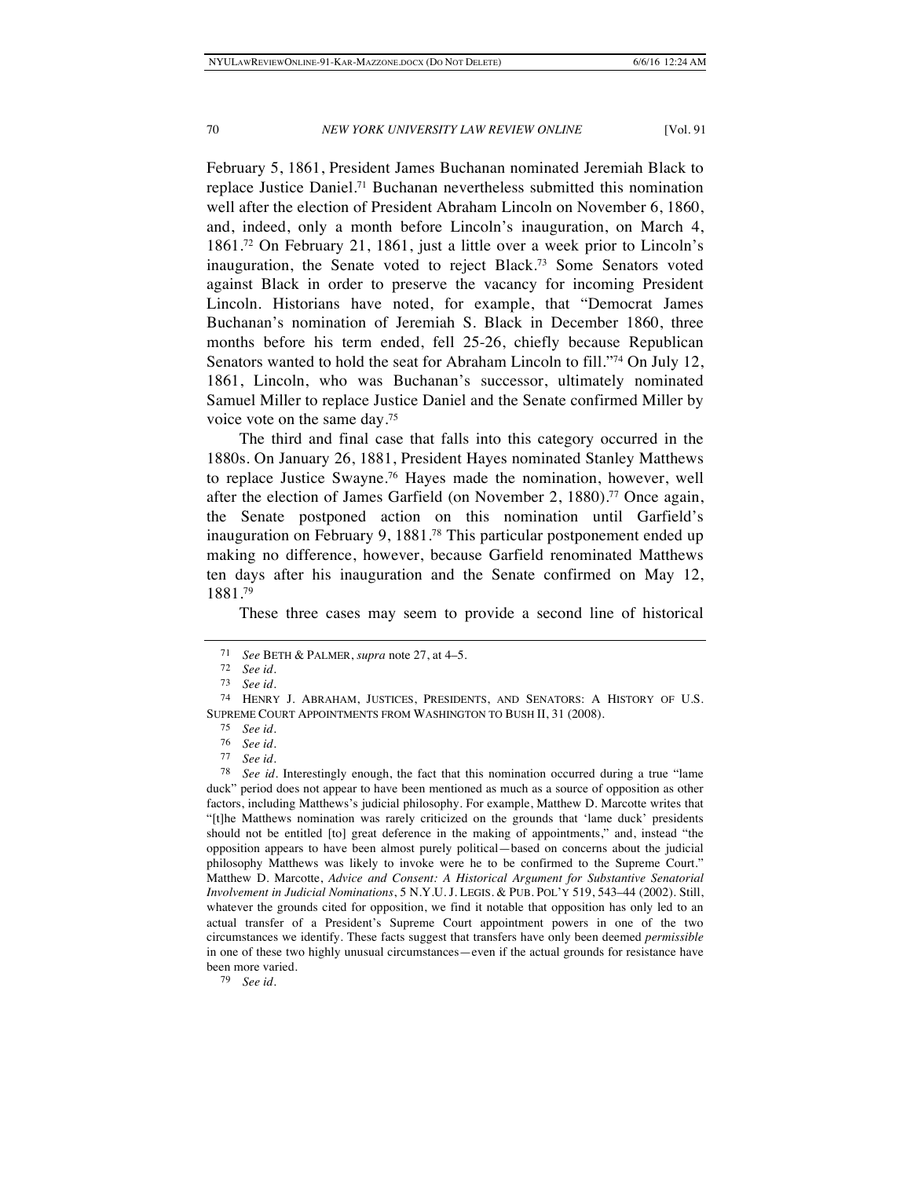February 5, 1861, President James Buchanan nominated Jeremiah Black to replace Justice Daniel.71 Buchanan nevertheless submitted this nomination well after the election of President Abraham Lincoln on November 6, 1860, and, indeed, only a month before Lincoln's inauguration, on March 4, 1861.72 On February 21, 1861, just a little over a week prior to Lincoln's inauguration, the Senate voted to reject Black.73 Some Senators voted against Black in order to preserve the vacancy for incoming President Lincoln. Historians have noted, for example, that "Democrat James Buchanan's nomination of Jeremiah S. Black in December 1860, three months before his term ended, fell 25-26, chiefly because Republican Senators wanted to hold the seat for Abraham Lincoln to fill."74 On July 12, 1861, Lincoln, who was Buchanan's successor, ultimately nominated Samuel Miller to replace Justice Daniel and the Senate confirmed Miller by voice vote on the same day.75

The third and final case that falls into this category occurred in the 1880s. On January 26, 1881, President Hayes nominated Stanley Matthews to replace Justice Swayne.76 Hayes made the nomination, however, well after the election of James Garfield (on November 2, 1880).77 Once again, the Senate postponed action on this nomination until Garfield's inauguration on February 9, 1881.78 This particular postponement ended up making no difference, however, because Garfield renominated Matthews ten days after his inauguration and the Senate confirmed on May 12, 1881.79

These three cases may seem to provide a second line of historical

77 *See id*.

78 *See id*. Interestingly enough, the fact that this nomination occurred during a true "lame duck" period does not appear to have been mentioned as much as a source of opposition as other factors, including Matthews's judicial philosophy. For example, Matthew D. Marcotte writes that "[t]he Matthews nomination was rarely criticized on the grounds that 'lame duck' presidents should not be entitled [to] great deference in the making of appointments," and, instead "the opposition appears to have been almost purely political—based on concerns about the judicial philosophy Matthews was likely to invoke were he to be confirmed to the Supreme Court." Matthew D. Marcotte, *Advice and Consent: A Historical Argument for Substantive Senatorial Involvement in Judicial Nominations*, 5 N.Y.U. J. LEGIS. & PUB. POL'Y 519, 543–44 (2002). Still, whatever the grounds cited for opposition, we find it notable that opposition has only led to an actual transfer of a President's Supreme Court appointment powers in one of the two circumstances we identify. These facts suggest that transfers have only been deemed *permissible* in one of these two highly unusual circumstances—even if the actual grounds for resistance have been more varied.

79 *See id.*

<sup>71</sup> *See* BETH & PALMER, *supra* note 27, at 4–5.

<sup>72</sup> *See id.*

<sup>73</sup> *See id.*

<sup>74</sup> HENRY J. ABRAHAM, JUSTICES, PRESIDENTS, AND SENATORS: A HISTORY OF U.S. SUPREME COURT APPOINTMENTS FROM WASHINGTON TO BUSH II, 31 (2008).

<sup>75</sup> *See id.*

<sup>76</sup> *See id.*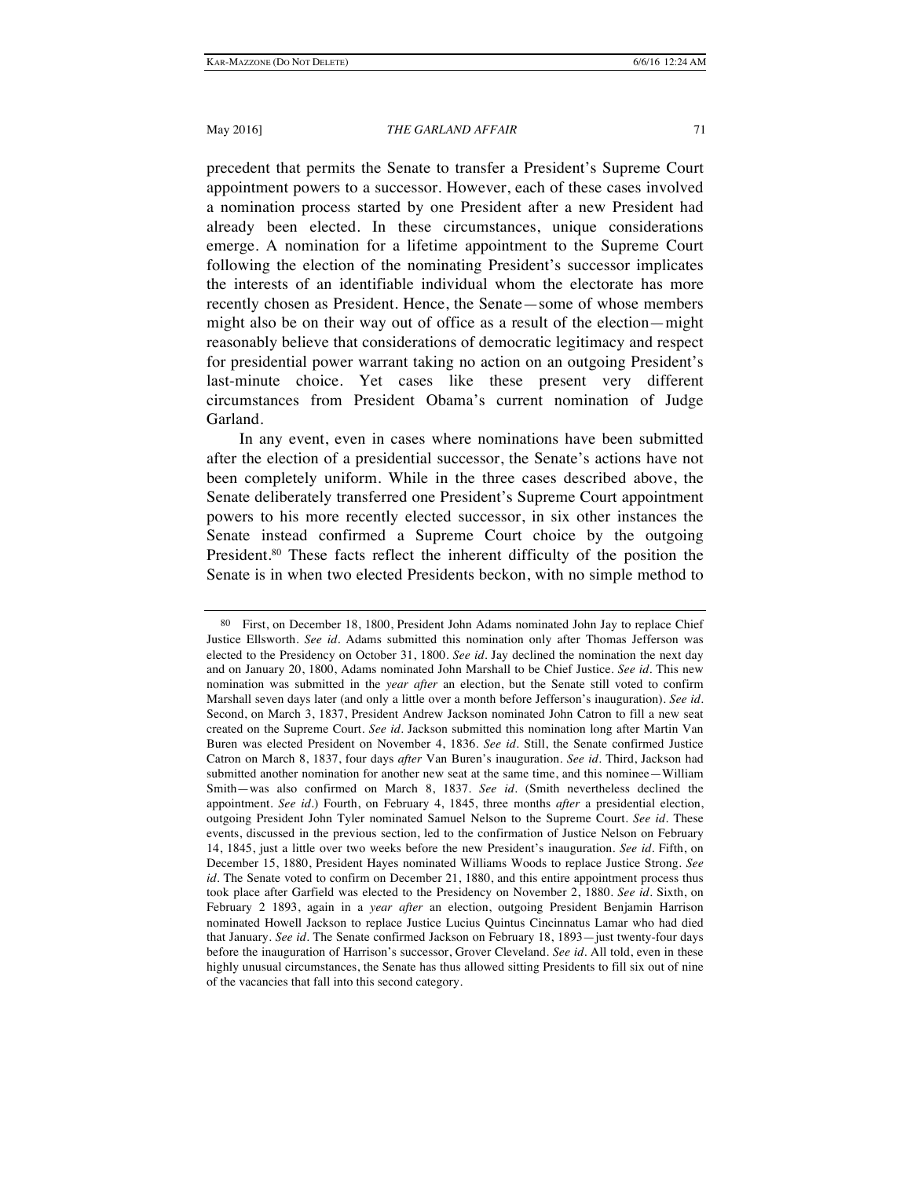precedent that permits the Senate to transfer a President's Supreme Court appointment powers to a successor. However, each of these cases involved a nomination process started by one President after a new President had already been elected. In these circumstances, unique considerations emerge. A nomination for a lifetime appointment to the Supreme Court following the election of the nominating President's successor implicates the interests of an identifiable individual whom the electorate has more recently chosen as President. Hence, the Senate—some of whose members might also be on their way out of office as a result of the election—might reasonably believe that considerations of democratic legitimacy and respect for presidential power warrant taking no action on an outgoing President's last-minute choice. Yet cases like these present very different circumstances from President Obama's current nomination of Judge Garland.

In any event, even in cases where nominations have been submitted after the election of a presidential successor, the Senate's actions have not been completely uniform. While in the three cases described above, the Senate deliberately transferred one President's Supreme Court appointment powers to his more recently elected successor, in six other instances the Senate instead confirmed a Supreme Court choice by the outgoing President.<sup>80</sup> These facts reflect the inherent difficulty of the position the Senate is in when two elected Presidents beckon, with no simple method to

<sup>80</sup> First, on December 18, 1800, President John Adams nominated John Jay to replace Chief Justice Ellsworth. *See id.* Adams submitted this nomination only after Thomas Jefferson was elected to the Presidency on October 31, 1800. *See id.* Jay declined the nomination the next day and on January 20, 1800, Adams nominated John Marshall to be Chief Justice. *See id.* This new nomination was submitted in the *year after* an election, but the Senate still voted to confirm Marshall seven days later (and only a little over a month before Jefferson's inauguration). *See id.*  Second, on March 3, 1837, President Andrew Jackson nominated John Catron to fill a new seat created on the Supreme Court. *See id.* Jackson submitted this nomination long after Martin Van Buren was elected President on November 4, 1836. *See id.* Still, the Senate confirmed Justice Catron on March 8, 1837, four days *after* Van Buren's inauguration. *See id*. Third, Jackson had submitted another nomination for another new seat at the same time, and this nominee—William Smith—was also confirmed on March 8, 1837. *See id.* (Smith nevertheless declined the appointment. *See id.*) Fourth, on February 4, 1845, three months *after* a presidential election, outgoing President John Tyler nominated Samuel Nelson to the Supreme Court. *See id.* These events, discussed in the previous section, led to the confirmation of Justice Nelson on February 14, 1845, just a little over two weeks before the new President's inauguration. *See id.* Fifth, on December 15, 1880, President Hayes nominated Williams Woods to replace Justice Strong. *See id*. The Senate voted to confirm on December 21, 1880, and this entire appointment process thus took place after Garfield was elected to the Presidency on November 2, 1880. *See id.* Sixth, on February 2 1893, again in a *year after* an election, outgoing President Benjamin Harrison nominated Howell Jackson to replace Justice Lucius Quintus Cincinnatus Lamar who had died that January. *See id.* The Senate confirmed Jackson on February 18, 1893—just twenty-four days before the inauguration of Harrison's successor, Grover Cleveland. *See id.* All told, even in these highly unusual circumstances, the Senate has thus allowed sitting Presidents to fill six out of nine of the vacancies that fall into this second category.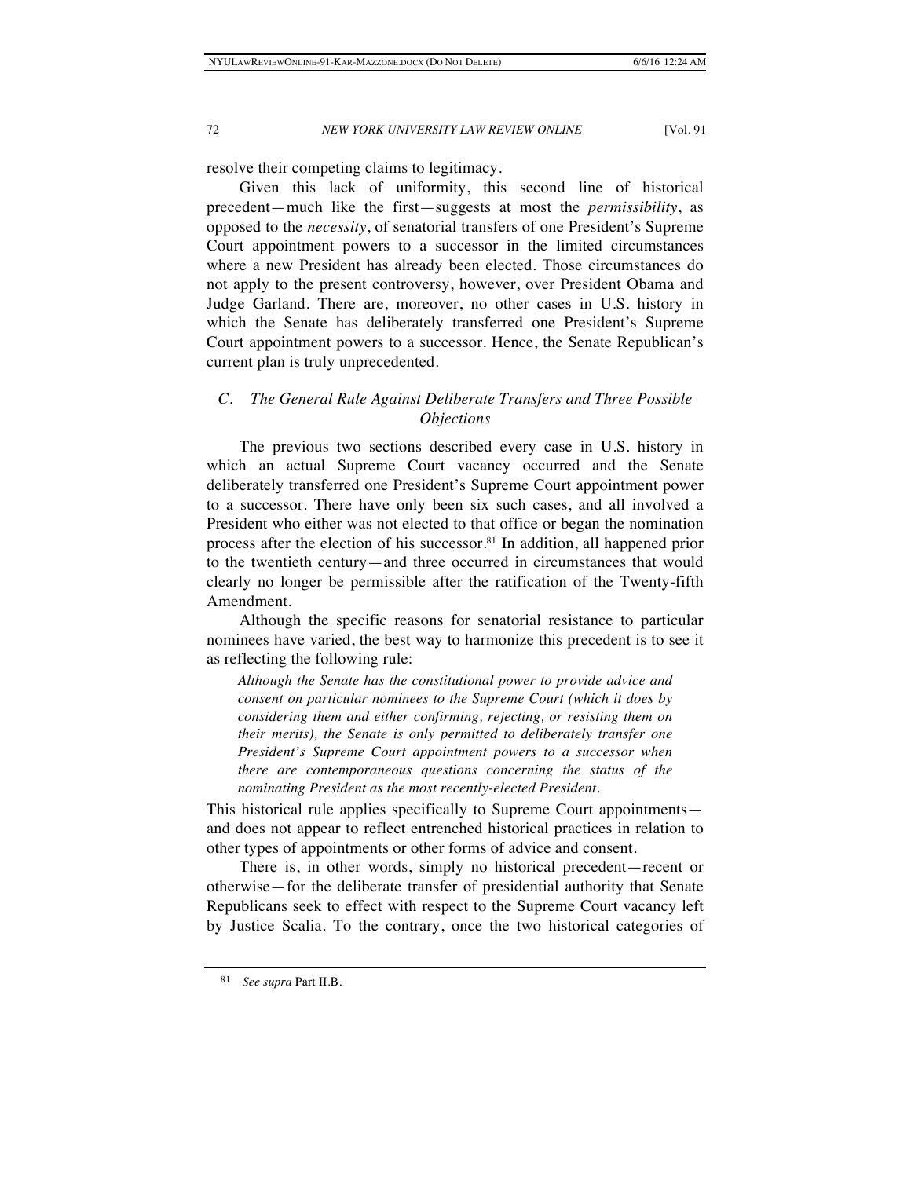resolve their competing claims to legitimacy.

Given this lack of uniformity, this second line of historical precedent—much like the first—suggests at most the *permissibility*, as opposed to the *necessity*, of senatorial transfers of one President's Supreme Court appointment powers to a successor in the limited circumstances where a new President has already been elected. Those circumstances do not apply to the present controversy, however, over President Obama and Judge Garland. There are, moreover, no other cases in U.S. history in which the Senate has deliberately transferred one President's Supreme Court appointment powers to a successor. Hence, the Senate Republican's current plan is truly unprecedented.

# *C. The General Rule Against Deliberate Transfers and Three Possible Objections*

The previous two sections described every case in U.S. history in which an actual Supreme Court vacancy occurred and the Senate deliberately transferred one President's Supreme Court appointment power to a successor. There have only been six such cases, and all involved a President who either was not elected to that office or began the nomination process after the election of his successor.81 In addition, all happened prior to the twentieth century—and three occurred in circumstances that would clearly no longer be permissible after the ratification of the Twenty-fifth Amendment.

Although the specific reasons for senatorial resistance to particular nominees have varied, the best way to harmonize this precedent is to see it as reflecting the following rule:

*Although the Senate has the constitutional power to provide advice and consent on particular nominees to the Supreme Court (which it does by considering them and either confirming, rejecting, or resisting them on their merits), the Senate is only permitted to deliberately transfer one President's Supreme Court appointment powers to a successor when there are contemporaneous questions concerning the status of the nominating President as the most recently-elected President.* 

This historical rule applies specifically to Supreme Court appointments and does not appear to reflect entrenched historical practices in relation to other types of appointments or other forms of advice and consent.

There is, in other words, simply no historical precedent—recent or otherwise—for the deliberate transfer of presidential authority that Senate Republicans seek to effect with respect to the Supreme Court vacancy left by Justice Scalia. To the contrary, once the two historical categories of

<sup>81</sup> *See supra* Part II.B.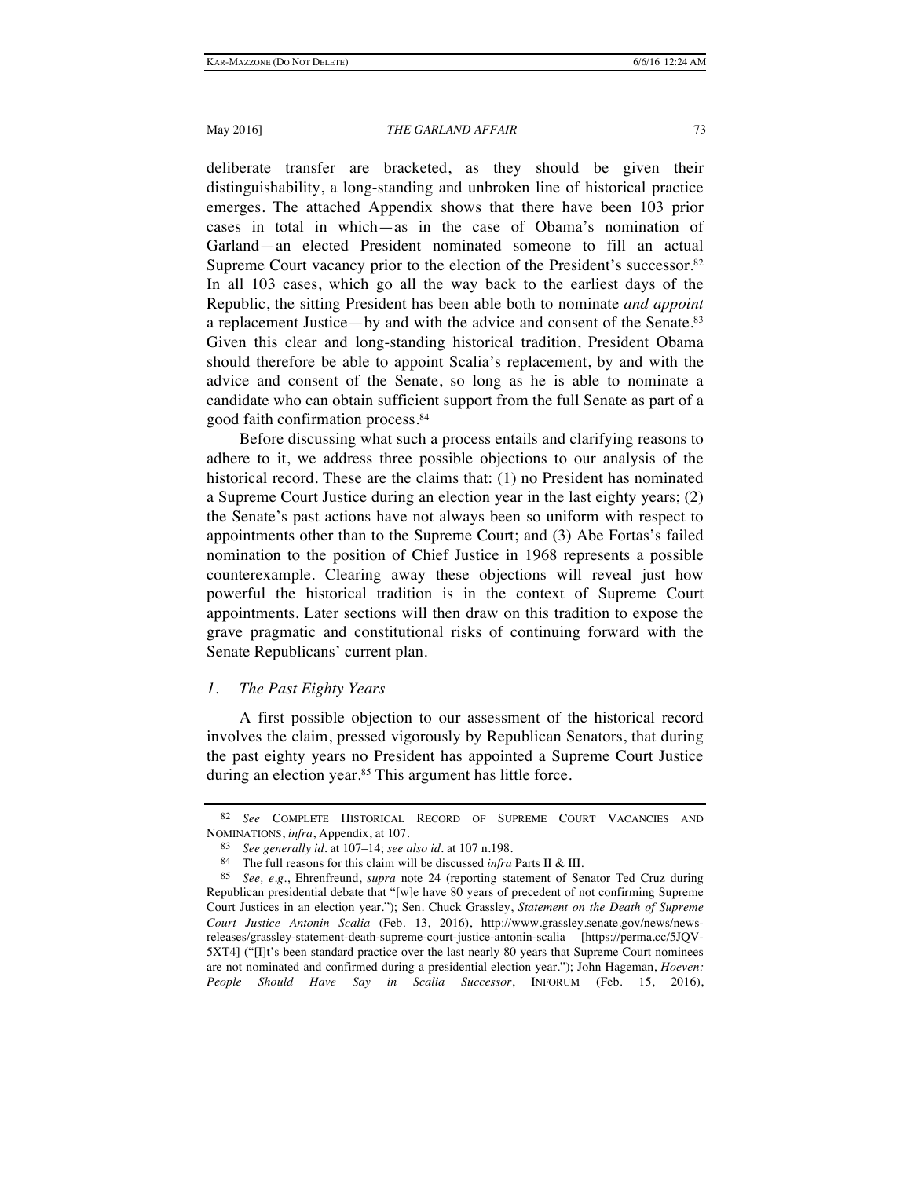deliberate transfer are bracketed, as they should be given their distinguishability, a long-standing and unbroken line of historical practice emerges. The attached Appendix shows that there have been 103 prior cases in total in which—as in the case of Obama's nomination of Garland—an elected President nominated someone to fill an actual Supreme Court vacancy prior to the election of the President's successor.<sup>82</sup> In all 103 cases, which go all the way back to the earliest days of the Republic, the sitting President has been able both to nominate *and appoint* a replacement Justice—by and with the advice and consent of the Senate.83 Given this clear and long-standing historical tradition, President Obama should therefore be able to appoint Scalia's replacement, by and with the advice and consent of the Senate, so long as he is able to nominate a candidate who can obtain sufficient support from the full Senate as part of a good faith confirmation process.84

Before discussing what such a process entails and clarifying reasons to adhere to it, we address three possible objections to our analysis of the historical record. These are the claims that: (1) no President has nominated a Supreme Court Justice during an election year in the last eighty years; (2) the Senate's past actions have not always been so uniform with respect to appointments other than to the Supreme Court; and (3) Abe Fortas's failed nomination to the position of Chief Justice in 1968 represents a possible counterexample. Clearing away these objections will reveal just how powerful the historical tradition is in the context of Supreme Court appointments. Later sections will then draw on this tradition to expose the grave pragmatic and constitutional risks of continuing forward with the Senate Republicans' current plan.

## *1. The Past Eighty Years*

A first possible objection to our assessment of the historical record involves the claim, pressed vigorously by Republican Senators, that during the past eighty years no President has appointed a Supreme Court Justice during an election year.<sup>85</sup> This argument has little force.

<sup>82</sup> *See* COMPLETE HISTORICAL RECORD OF SUPREME COURT VACANCIES AND NOMINATIONS, *infra*, Appendix, at 107.

<sup>83</sup> *See generally id.* at 107–14; *see also id.* at 107 n.198.

<sup>84</sup> The full reasons for this claim will be discussed *infra* Parts II & III*.*

<sup>85</sup> *See, e.g.*, Ehrenfreund, *supra* note 24 (reporting statement of Senator Ted Cruz during Republican presidential debate that "[w]e have 80 years of precedent of not confirming Supreme Court Justices in an election year."); Sen. Chuck Grassley, *Statement on the Death of Supreme Court Justice Antonin Scalia* (Feb. 13, 2016), http://www.grassley.senate.gov/news/newsreleases/grassley-statement-death-supreme-court-justice-antonin-scalia [https://perma.cc/5JQV-5XT4] ("[I]t's been standard practice over the last nearly 80 years that Supreme Court nominees are not nominated and confirmed during a presidential election year."); John Hageman, *Hoeven: People Should Have Say in Scalia Successor*, INFORUM (Feb. 15, 2016),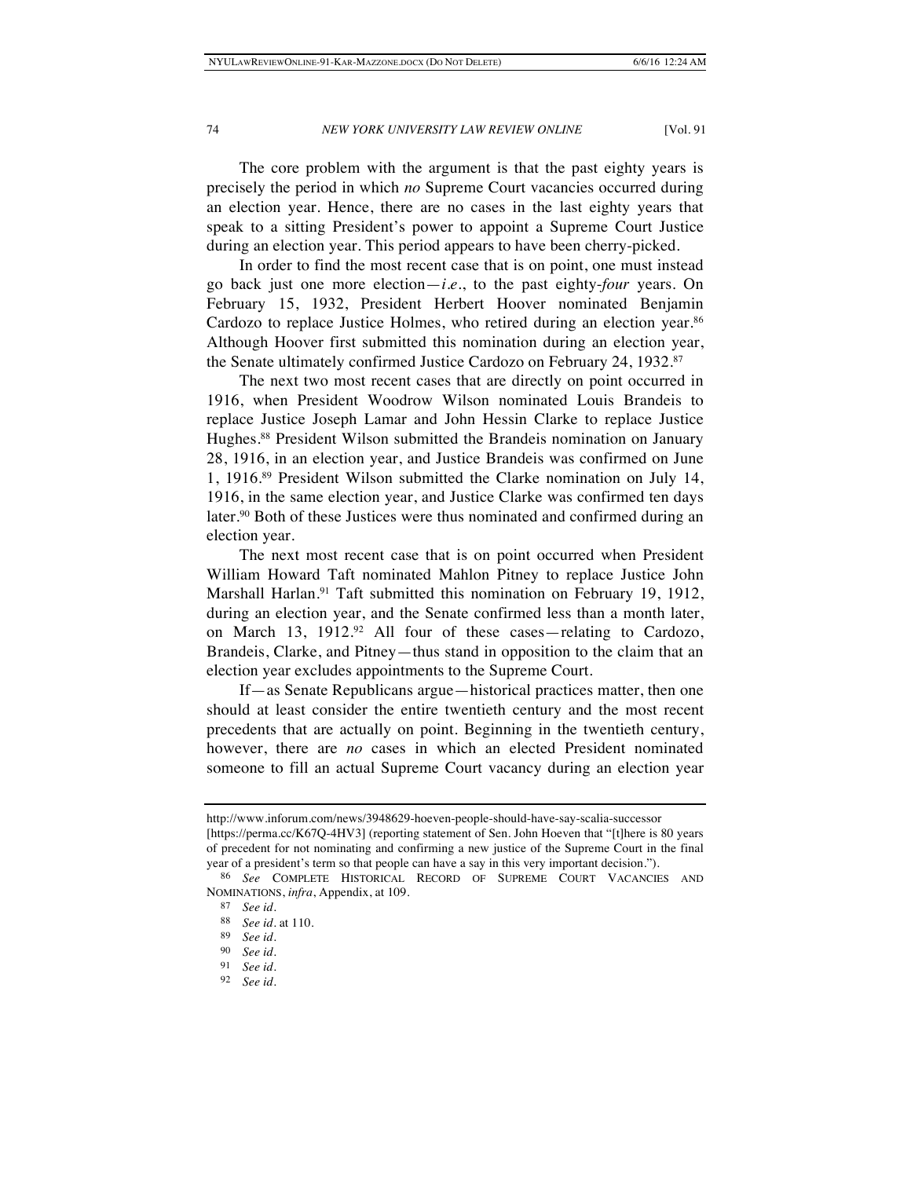The core problem with the argument is that the past eighty years is precisely the period in which *no* Supreme Court vacancies occurred during an election year. Hence, there are no cases in the last eighty years that speak to a sitting President's power to appoint a Supreme Court Justice during an election year. This period appears to have been cherry-picked.

In order to find the most recent case that is on point, one must instead go back just one more election—*i.e.*, to the past eighty-*four* years. On February 15, 1932, President Herbert Hoover nominated Benjamin Cardozo to replace Justice Holmes, who retired during an election year.<sup>86</sup> Although Hoover first submitted this nomination during an election year, the Senate ultimately confirmed Justice Cardozo on February 24, 1932.87

The next two most recent cases that are directly on point occurred in 1916, when President Woodrow Wilson nominated Louis Brandeis to replace Justice Joseph Lamar and John Hessin Clarke to replace Justice Hughes.88 President Wilson submitted the Brandeis nomination on January 28, 1916, in an election year, and Justice Brandeis was confirmed on June 1, 1916.89 President Wilson submitted the Clarke nomination on July 14, 1916, in the same election year, and Justice Clarke was confirmed ten days later.<sup>90</sup> Both of these Justices were thus nominated and confirmed during an election year.

The next most recent case that is on point occurred when President William Howard Taft nominated Mahlon Pitney to replace Justice John Marshall Harlan.<sup>91</sup> Taft submitted this nomination on February 19, 1912, during an election year, and the Senate confirmed less than a month later, on March 13, 1912.92 All four of these cases—relating to Cardozo, Brandeis, Clarke, and Pitney—thus stand in opposition to the claim that an election year excludes appointments to the Supreme Court.

If—as Senate Republicans argue—historical practices matter, then one should at least consider the entire twentieth century and the most recent precedents that are actually on point. Beginning in the twentieth century, however, there are *no* cases in which an elected President nominated someone to fill an actual Supreme Court vacancy during an election year

- 89 *See id.*
- 90 *See id.*
- 91 *See id.*
- 92 *See id.*

http://www.inforum.com/news/3948629-hoeven-people-should-have-say-scalia-successor

<sup>[</sup>https://perma.cc/K67Q-4HV3] (reporting statement of Sen. John Hoeven that "[t]here is 80 years of precedent for not nominating and confirming a new justice of the Supreme Court in the final year of a president's term so that people can have a say in this very important decision.").

<sup>86</sup> *See* COMPLETE HISTORICAL RECORD OF SUPREME COURT VACANCIES AND NOMINATIONS, *infra*, Appendix, at 109.

<sup>87</sup> *See id.*

<sup>88</sup> *See id.* at 110.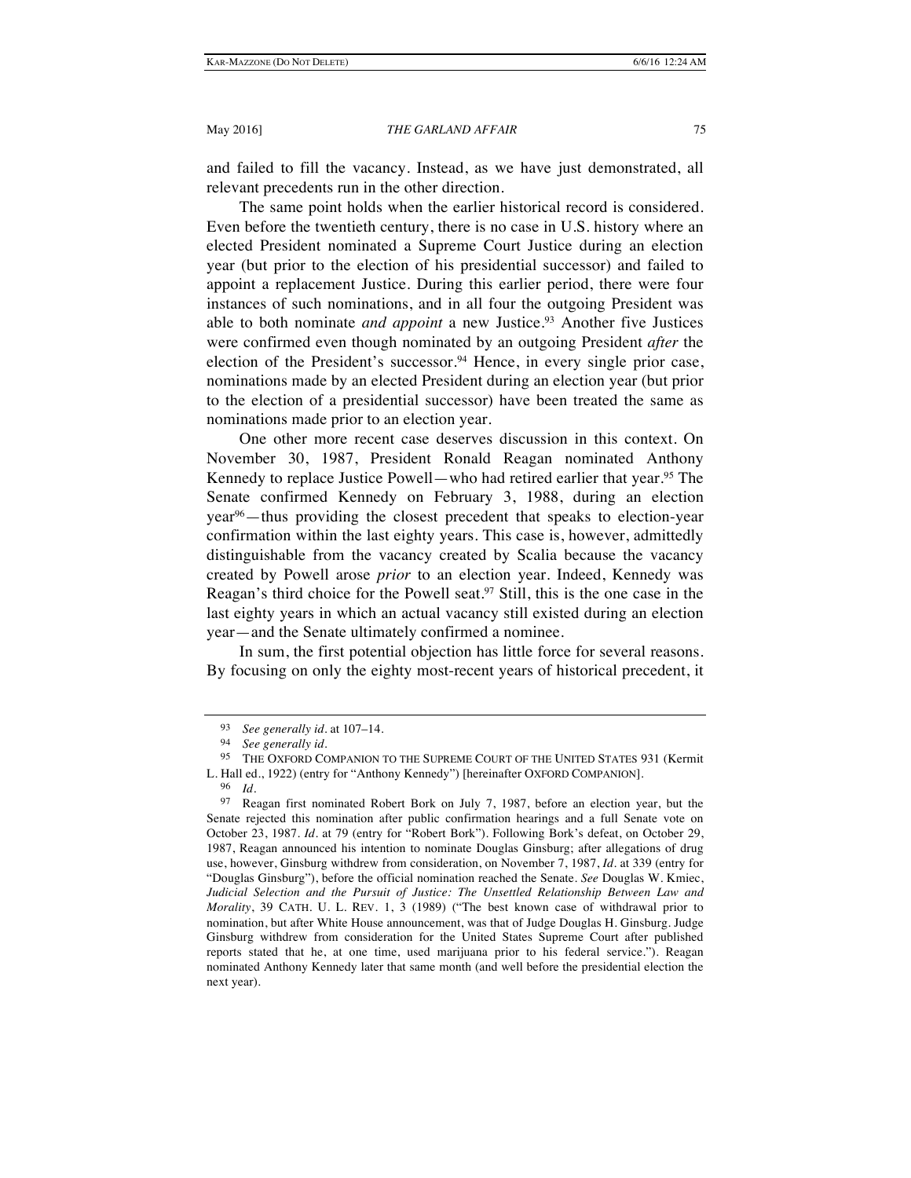and failed to fill the vacancy. Instead, as we have just demonstrated, all relevant precedents run in the other direction.

The same point holds when the earlier historical record is considered. Even before the twentieth century, there is no case in U.S. history where an elected President nominated a Supreme Court Justice during an election year (but prior to the election of his presidential successor) and failed to appoint a replacement Justice. During this earlier period, there were four instances of such nominations, and in all four the outgoing President was able to both nominate *and appoint* a new Justice.<sup>93</sup> Another five Justices were confirmed even though nominated by an outgoing President *after* the election of the President's successor.94 Hence, in every single prior case, nominations made by an elected President during an election year (but prior to the election of a presidential successor) have been treated the same as nominations made prior to an election year.

One other more recent case deserves discussion in this context. On November 30, 1987, President Ronald Reagan nominated Anthony Kennedy to replace Justice Powell—who had retired earlier that year.<sup>95</sup> The Senate confirmed Kennedy on February 3, 1988, during an election year96—thus providing the closest precedent that speaks to election-year confirmation within the last eighty years. This case is, however, admittedly distinguishable from the vacancy created by Scalia because the vacancy created by Powell arose *prior* to an election year. Indeed, Kennedy was Reagan's third choice for the Powell seat.<sup>97</sup> Still, this is the one case in the last eighty years in which an actual vacancy still existed during an election year—and the Senate ultimately confirmed a nominee.

In sum, the first potential objection has little force for several reasons. By focusing on only the eighty most-recent years of historical precedent, it

<sup>93</sup> *See generally id.* at 107–14.

<sup>94</sup> *See generally id.*

<sup>95</sup> THE OXFORD COMPANION TO THE SUPREME COURT OF THE UNITED STATES 931 (Kermit L. Hall ed., 1922) (entry for "Anthony Kennedy") [hereinafter OXFORD COMPANION].

 $\frac{96}{97}$  *Id.* 

Reagan first nominated Robert Bork on July 7, 1987, before an election year, but the Senate rejected this nomination after public confirmation hearings and a full Senate vote on October 23, 1987. *Id.* at 79 (entry for "Robert Bork"). Following Bork's defeat, on October 29, 1987, Reagan announced his intention to nominate Douglas Ginsburg; after allegations of drug use, however, Ginsburg withdrew from consideration, on November 7, 1987, *Id*. at 339 (entry for "Douglas Ginsburg"), before the official nomination reached the Senate. *See* Douglas W. Kmiec, *Judicial Selection and the Pursuit of Justice: The Unsettled Relationship Between Law and Morality*, 39 CATH. U. L. REV. 1, 3 (1989) ("The best known case of withdrawal prior to nomination, but after White House announcement, was that of Judge Douglas H. Ginsburg. Judge Ginsburg withdrew from consideration for the United States Supreme Court after published reports stated that he, at one time, used marijuana prior to his federal service."). Reagan nominated Anthony Kennedy later that same month (and well before the presidential election the next year).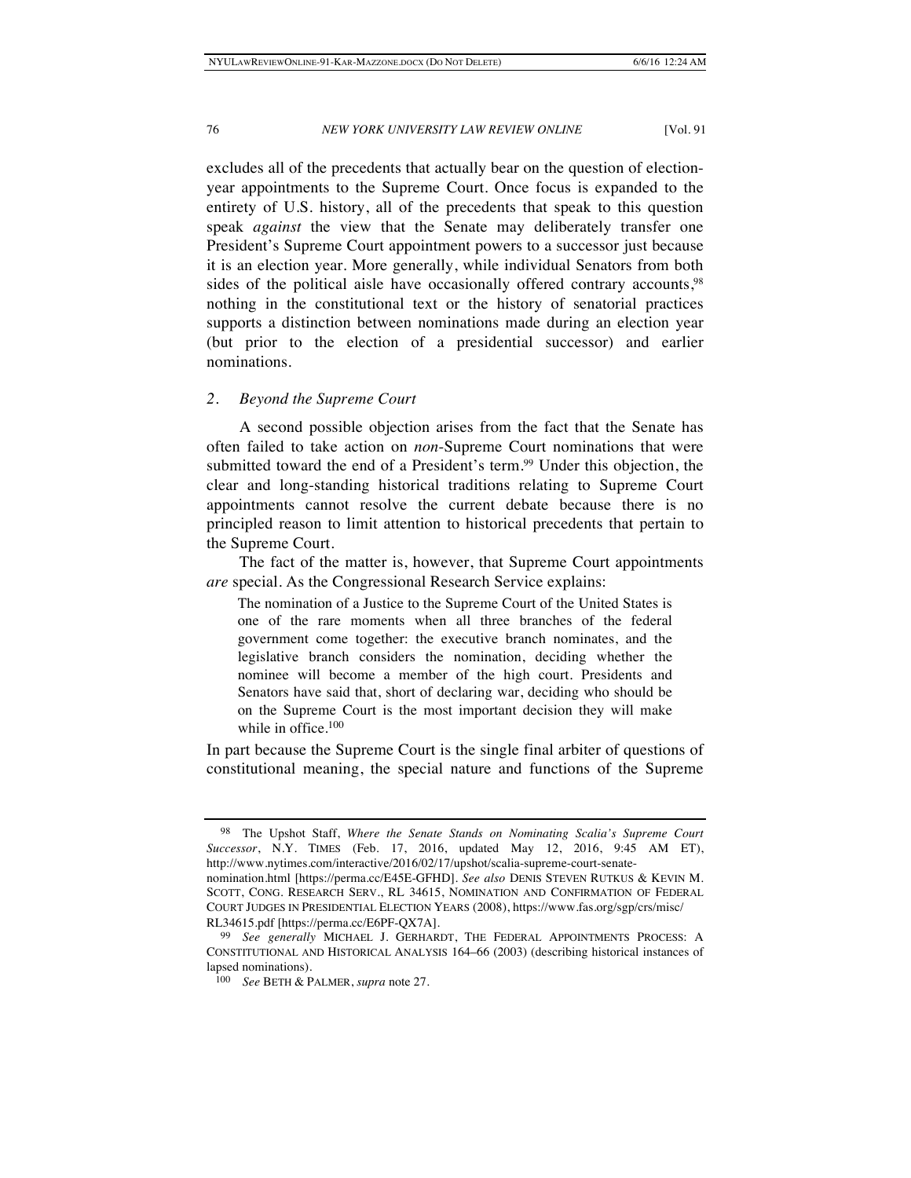excludes all of the precedents that actually bear on the question of electionyear appointments to the Supreme Court. Once focus is expanded to the entirety of U.S. history, all of the precedents that speak to this question speak *against* the view that the Senate may deliberately transfer one President's Supreme Court appointment powers to a successor just because it is an election year. More generally, while individual Senators from both sides of the political aisle have occasionally offered contrary accounts,<sup>98</sup> nothing in the constitutional text or the history of senatorial practices supports a distinction between nominations made during an election year (but prior to the election of a presidential successor) and earlier nominations.

#### *2. Beyond the Supreme Court*

A second possible objection arises from the fact that the Senate has often failed to take action on *non*-Supreme Court nominations that were submitted toward the end of a President's term.<sup>99</sup> Under this objection, the clear and long-standing historical traditions relating to Supreme Court appointments cannot resolve the current debate because there is no principled reason to limit attention to historical precedents that pertain to the Supreme Court.

The fact of the matter is, however, that Supreme Court appointments *are* special. As the Congressional Research Service explains:

The nomination of a Justice to the Supreme Court of the United States is one of the rare moments when all three branches of the federal government come together: the executive branch nominates, and the legislative branch considers the nomination, deciding whether the nominee will become a member of the high court. Presidents and Senators have said that, short of declaring war, deciding who should be on the Supreme Court is the most important decision they will make while in office.<sup>100</sup>

In part because the Supreme Court is the single final arbiter of questions of constitutional meaning, the special nature and functions of the Supreme

<sup>98</sup> The Upshot Staff, *Where the Senate Stands on Nominating Scalia's Supreme Court Successor*, N.Y. TIMES (Feb. 17, 2016, updated May 12, 2016, 9:45 AM ET), http://www.nytimes.com/interactive/2016/02/17/upshot/scalia-supreme-court-senate-

nomination.html [https://perma.cc/E45E-GFHD]. *See also* DENIS STEVEN RUTKUS & KEVIN M. SCOTT, CONG. RESEARCH SERV., RL 34615, NOMINATION AND CONFIRMATION OF FEDERAL COURT JUDGES IN PRESIDENTIAL ELECTION YEARS (2008), https://www.fas.org/sgp/crs/misc/ RL34615.pdf [https://perma.cc/E6PF-QX7A].

<sup>99</sup> *See generally* MICHAEL J. GERHARDT, THE FEDERAL APPOINTMENTS PROCESS: A CONSTITUTIONAL AND HISTORICAL ANALYSIS 164–66 (2003) (describing historical instances of lapsed nominations).

<sup>100</sup> *See* BETH & PALMER, *supra* note 27.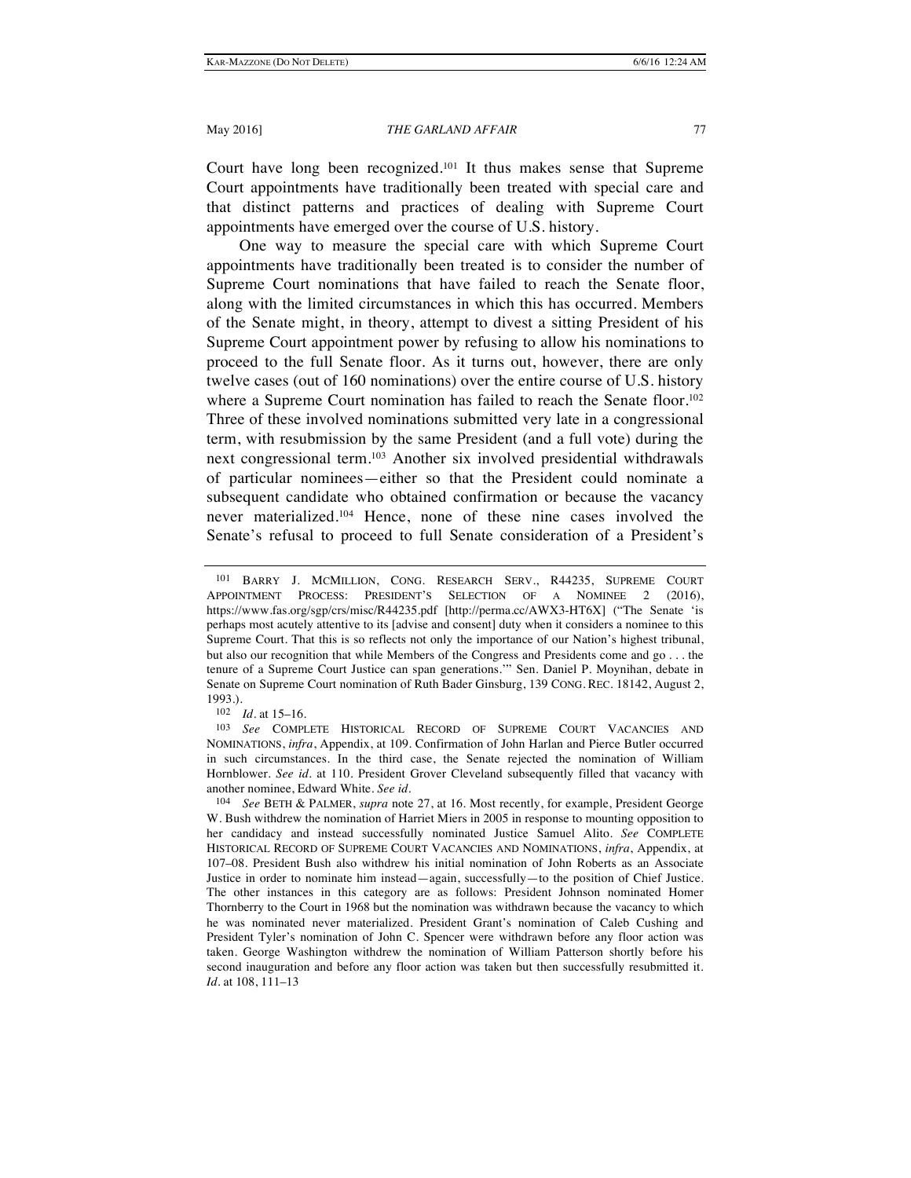Court have long been recognized.101 It thus makes sense that Supreme Court appointments have traditionally been treated with special care and that distinct patterns and practices of dealing with Supreme Court appointments have emerged over the course of U.S. history.

One way to measure the special care with which Supreme Court appointments have traditionally been treated is to consider the number of Supreme Court nominations that have failed to reach the Senate floor, along with the limited circumstances in which this has occurred. Members of the Senate might, in theory, attempt to divest a sitting President of his Supreme Court appointment power by refusing to allow his nominations to proceed to the full Senate floor. As it turns out, however, there are only twelve cases (out of 160 nominations) over the entire course of U.S. history where a Supreme Court nomination has failed to reach the Senate floor.<sup>102</sup> Three of these involved nominations submitted very late in a congressional term, with resubmission by the same President (and a full vote) during the next congressional term.103 Another six involved presidential withdrawals of particular nominees—either so that the President could nominate a subsequent candidate who obtained confirmation or because the vacancy never materialized.104 Hence, none of these nine cases involved the Senate's refusal to proceed to full Senate consideration of a President's

102 *Id.* at 15–16.

<sup>&</sup>lt;sup>101</sup> BARRY J. MCMILLION, CONG. RESEARCH SERV., R44235, SUPREME COURT<br>PPOINTMENT PROCESS: PRESIDENT'S SELECTION OF A NOMINEE 2 (2016). APPOINTMENT PROCESS: PRESIDENT'S SELECTION OF A NOMINEE 2 (2016), https://www.fas.org/sgp/crs/misc/R44235.pdf [http://perma.cc/AWX3-HT6X] ("The Senate 'is perhaps most acutely attentive to its [advise and consent] duty when it considers a nominee to this Supreme Court. That this is so reflects not only the importance of our Nation's highest tribunal, but also our recognition that while Members of the Congress and Presidents come and go . . . the tenure of a Supreme Court Justice can span generations.'" Sen. Daniel P. Moynihan, debate in Senate on Supreme Court nomination of Ruth Bader Ginsburg, 139 CONG. REC. 18142, August 2, 1993.).

<sup>103</sup> *See* COMPLETE HISTORICAL RECORD OF SUPREME COURT VACANCIES AND NOMINATIONS, *infra*, Appendix, at 109. Confirmation of John Harlan and Pierce Butler occurred in such circumstances. In the third case, the Senate rejected the nomination of William Hornblower. *See id.* at 110. President Grover Cleveland subsequently filled that vacancy with another nominee, Edward White. *See id.*

<sup>104</sup> *See* BETH & PALMER, *supra* note 27, at 16. Most recently, for example, President George W. Bush withdrew the nomination of Harriet Miers in 2005 in response to mounting opposition to her candidacy and instead successfully nominated Justice Samuel Alito. *See* COMPLETE HISTORICAL RECORD OF SUPREME COURT VACANCIES AND NOMINATIONS, *infra*, Appendix, at 107–08. President Bush also withdrew his initial nomination of John Roberts as an Associate Justice in order to nominate him instead—again, successfully—to the position of Chief Justice. The other instances in this category are as follows: President Johnson nominated Homer Thornberry to the Court in 1968 but the nomination was withdrawn because the vacancy to which he was nominated never materialized. President Grant's nomination of Caleb Cushing and President Tyler's nomination of John C. Spencer were withdrawn before any floor action was taken. George Washington withdrew the nomination of William Patterson shortly before his second inauguration and before any floor action was taken but then successfully resubmitted it. *Id.* at 108, 111–13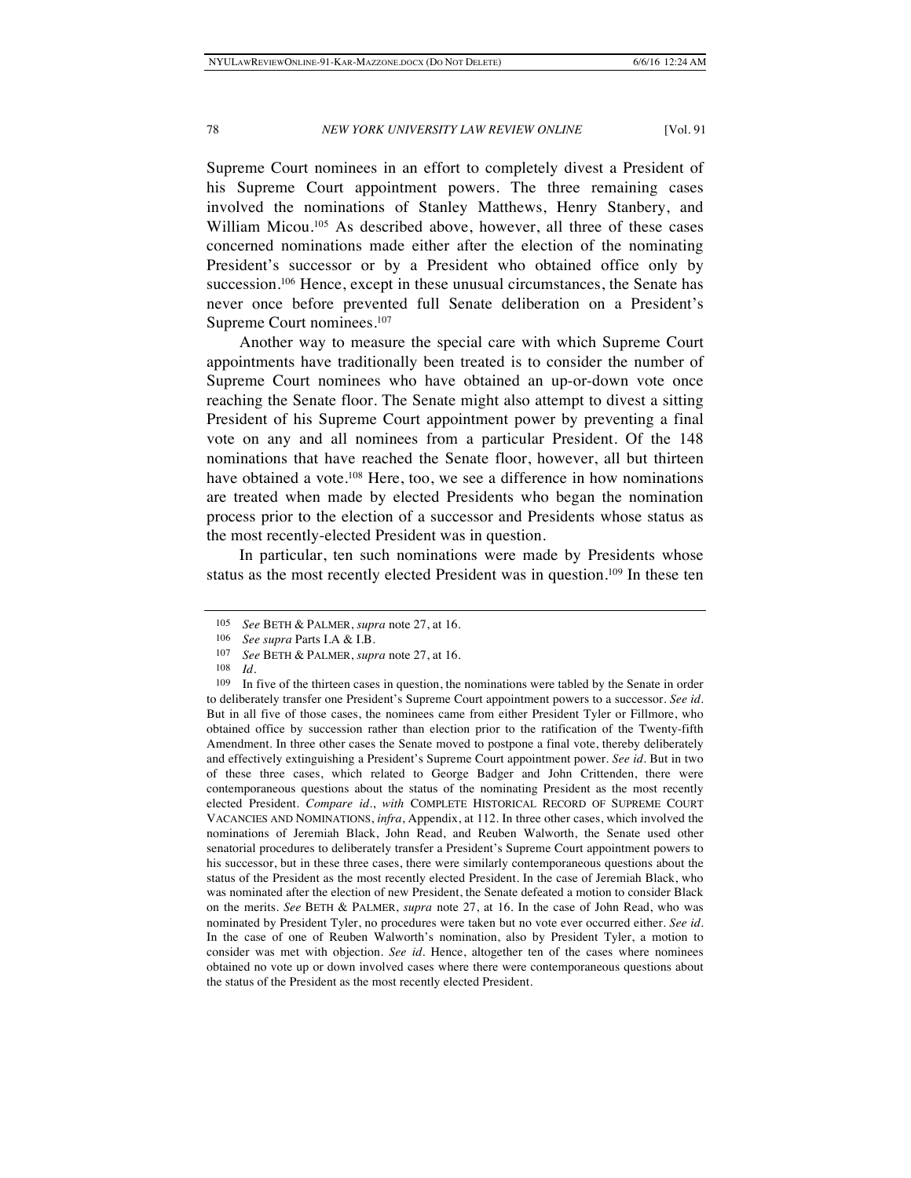Supreme Court nominees in an effort to completely divest a President of his Supreme Court appointment powers. The three remaining cases involved the nominations of Stanley Matthews, Henry Stanbery, and William Micou.<sup>105</sup> As described above, however, all three of these cases concerned nominations made either after the election of the nominating President's successor or by a President who obtained office only by succession.<sup>106</sup> Hence, except in these unusual circumstances, the Senate has never once before prevented full Senate deliberation on a President's Supreme Court nominees.107

Another way to measure the special care with which Supreme Court appointments have traditionally been treated is to consider the number of Supreme Court nominees who have obtained an up-or-down vote once reaching the Senate floor. The Senate might also attempt to divest a sitting President of his Supreme Court appointment power by preventing a final vote on any and all nominees from a particular President. Of the 148 nominations that have reached the Senate floor, however, all but thirteen have obtained a vote.<sup>108</sup> Here, too, we see a difference in how nominations are treated when made by elected Presidents who began the nomination process prior to the election of a successor and Presidents whose status as the most recently-elected President was in question.

In particular, ten such nominations were made by Presidents whose status as the most recently elected President was in question.<sup>109</sup> In these ten

109 In five of the thirteen cases in question, the nominations were tabled by the Senate in order to deliberately transfer one President's Supreme Court appointment powers to a successor. *See id.* But in all five of those cases, the nominees came from either President Tyler or Fillmore, who obtained office by succession rather than election prior to the ratification of the Twenty-fifth Amendment. In three other cases the Senate moved to postpone a final vote, thereby deliberately and effectively extinguishing a President's Supreme Court appointment power. *See id.* But in two of these three cases, which related to George Badger and John Crittenden, there were contemporaneous questions about the status of the nominating President as the most recently elected President. *Compare id.*, *with* COMPLETE HISTORICAL RECORD OF SUPREME COURT VACANCIES AND NOMINATIONS, *infra*, Appendix, at 112. In three other cases, which involved the nominations of Jeremiah Black, John Read, and Reuben Walworth, the Senate used other senatorial procedures to deliberately transfer a President's Supreme Court appointment powers to his successor, but in these three cases, there were similarly contemporaneous questions about the status of the President as the most recently elected President. In the case of Jeremiah Black, who was nominated after the election of new President, the Senate defeated a motion to consider Black on the merits. *See* BETH & PALMER, *supra* note 27, at 16. In the case of John Read, who was nominated by President Tyler, no procedures were taken but no vote ever occurred either. *See id.*  In the case of one of Reuben Walworth's nomination, also by President Tyler, a motion to consider was met with objection. *See id.* Hence, altogether ten of the cases where nominees obtained no vote up or down involved cases where there were contemporaneous questions about the status of the President as the most recently elected President.

<sup>105</sup> *See* BETH & PALMER, *supra* note 27, at 16.

<sup>106</sup> *See supra* Parts I.A & I.B.

<sup>107</sup> *See* BETH & PALMER, *supra* note 27, at 16.

*Id.*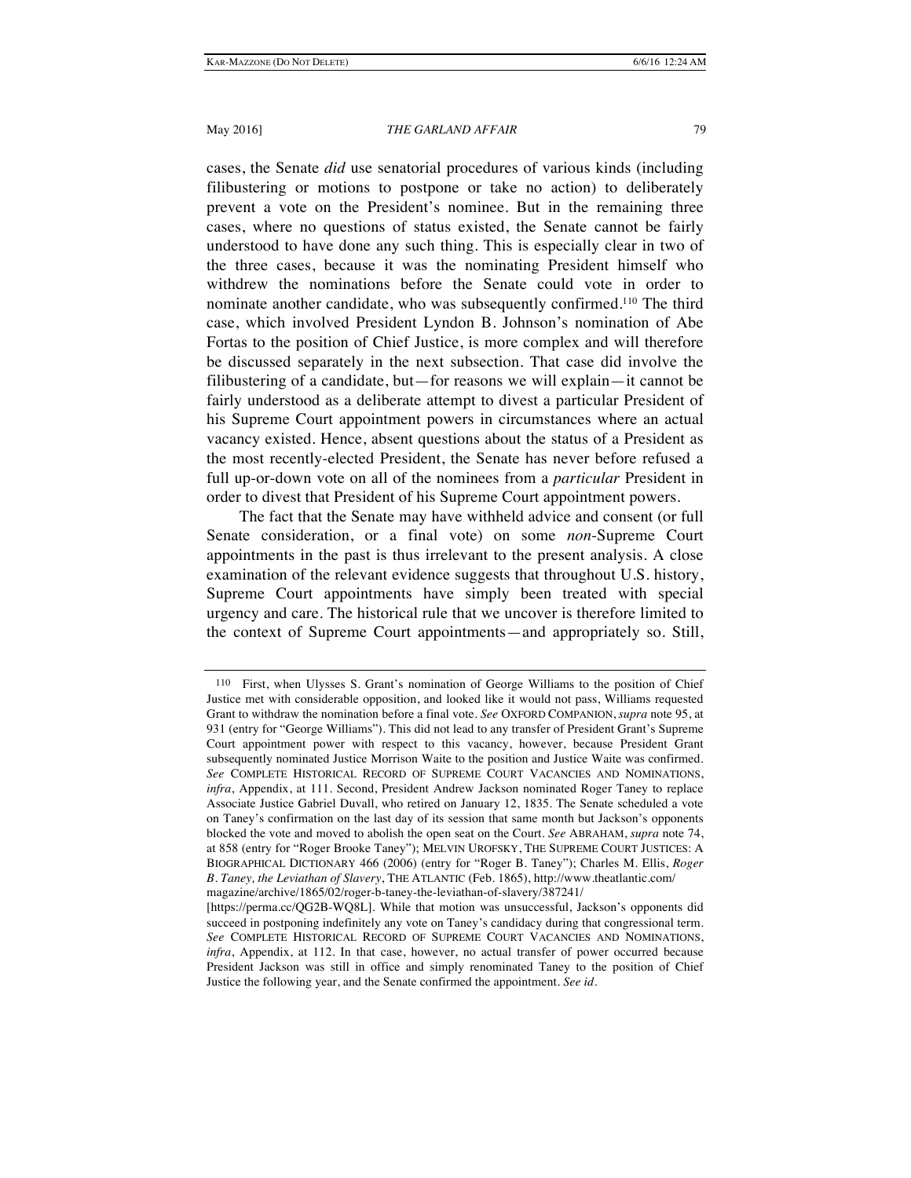cases, the Senate *did* use senatorial procedures of various kinds (including filibustering or motions to postpone or take no action) to deliberately prevent a vote on the President's nominee. But in the remaining three cases, where no questions of status existed, the Senate cannot be fairly understood to have done any such thing. This is especially clear in two of the three cases, because it was the nominating President himself who withdrew the nominations before the Senate could vote in order to nominate another candidate, who was subsequently confirmed.110 The third case, which involved President Lyndon B. Johnson's nomination of Abe Fortas to the position of Chief Justice, is more complex and will therefore be discussed separately in the next subsection. That case did involve the filibustering of a candidate, but—for reasons we will explain—it cannot be fairly understood as a deliberate attempt to divest a particular President of his Supreme Court appointment powers in circumstances where an actual vacancy existed. Hence, absent questions about the status of a President as the most recently-elected President, the Senate has never before refused a full up-or-down vote on all of the nominees from a *particular* President in order to divest that President of his Supreme Court appointment powers.

The fact that the Senate may have withheld advice and consent (or full Senate consideration, or a final vote) on some *non*-Supreme Court appointments in the past is thus irrelevant to the present analysis. A close examination of the relevant evidence suggests that throughout U.S. history, Supreme Court appointments have simply been treated with special urgency and care. The historical rule that we uncover is therefore limited to the context of Supreme Court appointments—and appropriately so. Still,

<sup>110</sup> First, when Ulysses S. Grant's nomination of George Williams to the position of Chief Justice met with considerable opposition, and looked like it would not pass, Williams requested Grant to withdraw the nomination before a final vote. *See* OXFORD COMPANION, *supra* note 95, at 931 (entry for "George Williams"). This did not lead to any transfer of President Grant's Supreme Court appointment power with respect to this vacancy, however, because President Grant subsequently nominated Justice Morrison Waite to the position and Justice Waite was confirmed. *See* COMPLETE HISTORICAL RECORD OF SUPREME COURT VACANCIES AND NOMINATIONS, *infra*, Appendix, at 111. Second, President Andrew Jackson nominated Roger Taney to replace Associate Justice Gabriel Duvall, who retired on January 12, 1835. The Senate scheduled a vote on Taney's confirmation on the last day of its session that same month but Jackson's opponents blocked the vote and moved to abolish the open seat on the Court. *See* ABRAHAM, *supra* note 74, at 858 (entry for "Roger Brooke Taney"); MELVIN UROFSKY, THE SUPREME COURT JUSTICES: A BIOGRAPHICAL DICTIONARY 466 (2006) (entry for "Roger B. Taney"); Charles M. Ellis, *Roger B. Taney, the Leviathan of Slavery*, THE ATLANTIC (Feb. 1865), http://www.theatlantic.com/ magazine/archive/1865/02/roger-b-taney-the-leviathan-of-slavery/387241/

<sup>[</sup>https://perma.cc/QG2B-WQ8L]. While that motion was unsuccessful, Jackson's opponents did succeed in postponing indefinitely any vote on Taney's candidacy during that congressional term. *See* COMPLETE HISTORICAL RECORD OF SUPREME COURT VACANCIES AND NOMINATIONS, *infra*, Appendix, at 112. In that case, however, no actual transfer of power occurred because President Jackson was still in office and simply renominated Taney to the position of Chief Justice the following year, and the Senate confirmed the appointment. *See id.*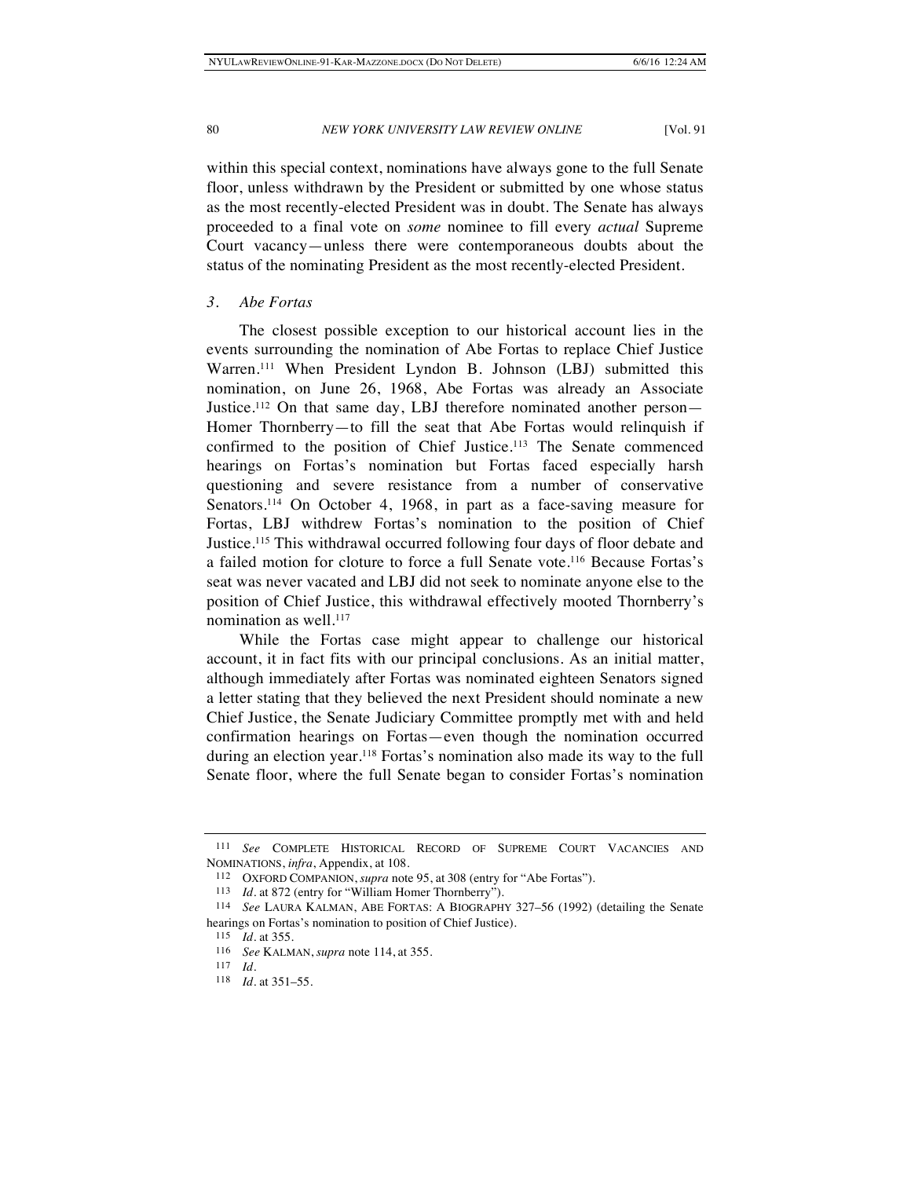within this special context, nominations have always gone to the full Senate floor, unless withdrawn by the President or submitted by one whose status as the most recently-elected President was in doubt. The Senate has always proceeded to a final vote on *some* nominee to fill every *actual* Supreme Court vacancy—unless there were contemporaneous doubts about the status of the nominating President as the most recently-elected President.

#### *3. Abe Fortas*

The closest possible exception to our historical account lies in the events surrounding the nomination of Abe Fortas to replace Chief Justice Warren.111 When President Lyndon B. Johnson (LBJ) submitted this nomination, on June 26, 1968, Abe Fortas was already an Associate Justice.<sup>112</sup> On that same day, LBJ therefore nominated another person-Homer Thornberry—to fill the seat that Abe Fortas would relinquish if confirmed to the position of Chief Justice.<sup>113</sup> The Senate commenced hearings on Fortas's nomination but Fortas faced especially harsh questioning and severe resistance from a number of conservative Senators.<sup>114</sup> On October 4, 1968, in part as a face-saving measure for Fortas, LBJ withdrew Fortas's nomination to the position of Chief Justice.115 This withdrawal occurred following four days of floor debate and a failed motion for cloture to force a full Senate vote.116 Because Fortas's seat was never vacated and LBJ did not seek to nominate anyone else to the position of Chief Justice, this withdrawal effectively mooted Thornberry's nomination as well.<sup>117</sup>

While the Fortas case might appear to challenge our historical account, it in fact fits with our principal conclusions. As an initial matter, although immediately after Fortas was nominated eighteen Senators signed a letter stating that they believed the next President should nominate a new Chief Justice, the Senate Judiciary Committee promptly met with and held confirmation hearings on Fortas—even though the nomination occurred during an election year.<sup>118</sup> Fortas's nomination also made its way to the full Senate floor, where the full Senate began to consider Fortas's nomination

<sup>111</sup> *See* COMPLETE HISTORICAL RECORD OF SUPREME COURT VACANCIES AND NOMINATIONS, *infra*, Appendix, at 108.

<sup>112</sup> OXFORD COMPANION, *supra* note 95, at 308 (entry for "Abe Fortas").

*Id.* at 872 (entry for "William Homer Thornberry").

<sup>114</sup> *See* LAURA KALMAN, ABE FORTAS: A BIOGRAPHY 327–56 (1992) (detailing the Senate hearings on Fortas's nomination to position of Chief Justice).

<sup>115</sup> *Id.* at 355.

<sup>116</sup> *See* KALMAN, *supra* note 114, at 355.

<sup>117</sup> *Id.*

<sup>118</sup> *Id.* at 351–55.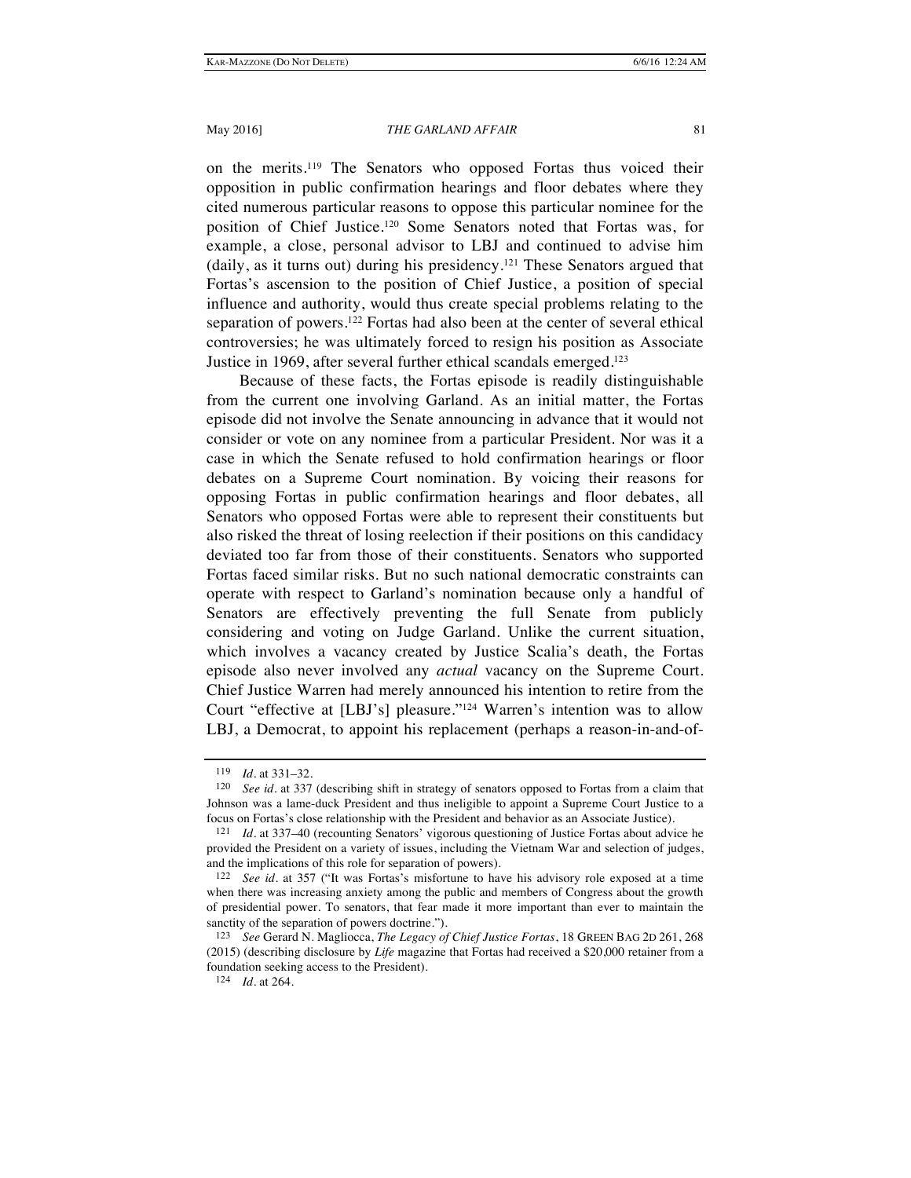on the merits.119 The Senators who opposed Fortas thus voiced their opposition in public confirmation hearings and floor debates where they cited numerous particular reasons to oppose this particular nominee for the position of Chief Justice.120 Some Senators noted that Fortas was, for example, a close, personal advisor to LBJ and continued to advise him (daily, as it turns out) during his presidency.121 These Senators argued that Fortas's ascension to the position of Chief Justice, a position of special influence and authority, would thus create special problems relating to the separation of powers.122 Fortas had also been at the center of several ethical controversies; he was ultimately forced to resign his position as Associate Justice in 1969, after several further ethical scandals emerged.123

Because of these facts, the Fortas episode is readily distinguishable from the current one involving Garland. As an initial matter, the Fortas episode did not involve the Senate announcing in advance that it would not consider or vote on any nominee from a particular President. Nor was it a case in which the Senate refused to hold confirmation hearings or floor debates on a Supreme Court nomination. By voicing their reasons for opposing Fortas in public confirmation hearings and floor debates, all Senators who opposed Fortas were able to represent their constituents but also risked the threat of losing reelection if their positions on this candidacy deviated too far from those of their constituents. Senators who supported Fortas faced similar risks. But no such national democratic constraints can operate with respect to Garland's nomination because only a handful of Senators are effectively preventing the full Senate from publicly considering and voting on Judge Garland. Unlike the current situation, which involves a vacancy created by Justice Scalia's death, the Fortas episode also never involved any *actual* vacancy on the Supreme Court. Chief Justice Warren had merely announced his intention to retire from the Court "effective at [LBJ's] pleasure."124 Warren's intention was to allow LBJ, a Democrat, to appoint his replacement (perhaps a reason-in-and-of-

<sup>119</sup> *Id.* at 331–32.

<sup>120</sup> *See id.* at 337 (describing shift in strategy of senators opposed to Fortas from a claim that Johnson was a lame-duck President and thus ineligible to appoint a Supreme Court Justice to a focus on Fortas's close relationship with the President and behavior as an Associate Justice).

<sup>121</sup> *Id.* at 337–40 (recounting Senators' vigorous questioning of Justice Fortas about advice he provided the President on a variety of issues, including the Vietnam War and selection of judges, and the implications of this role for separation of powers).

<sup>122</sup> *See id.* at 357 ("It was Fortas's misfortune to have his advisory role exposed at a time when there was increasing anxiety among the public and members of Congress about the growth of presidential power. To senators, that fear made it more important than ever to maintain the sanctity of the separation of powers doctrine.").

<sup>123</sup> *See* Gerard N. Magliocca, *The Legacy of Chief Justice Fortas*, 18 GREEN BAG 2D 261, 268 (2015) (describing disclosure by *Life* magazine that Fortas had received a \$20,000 retainer from a foundation seeking access to the President).

<sup>124</sup> *Id.* at 264.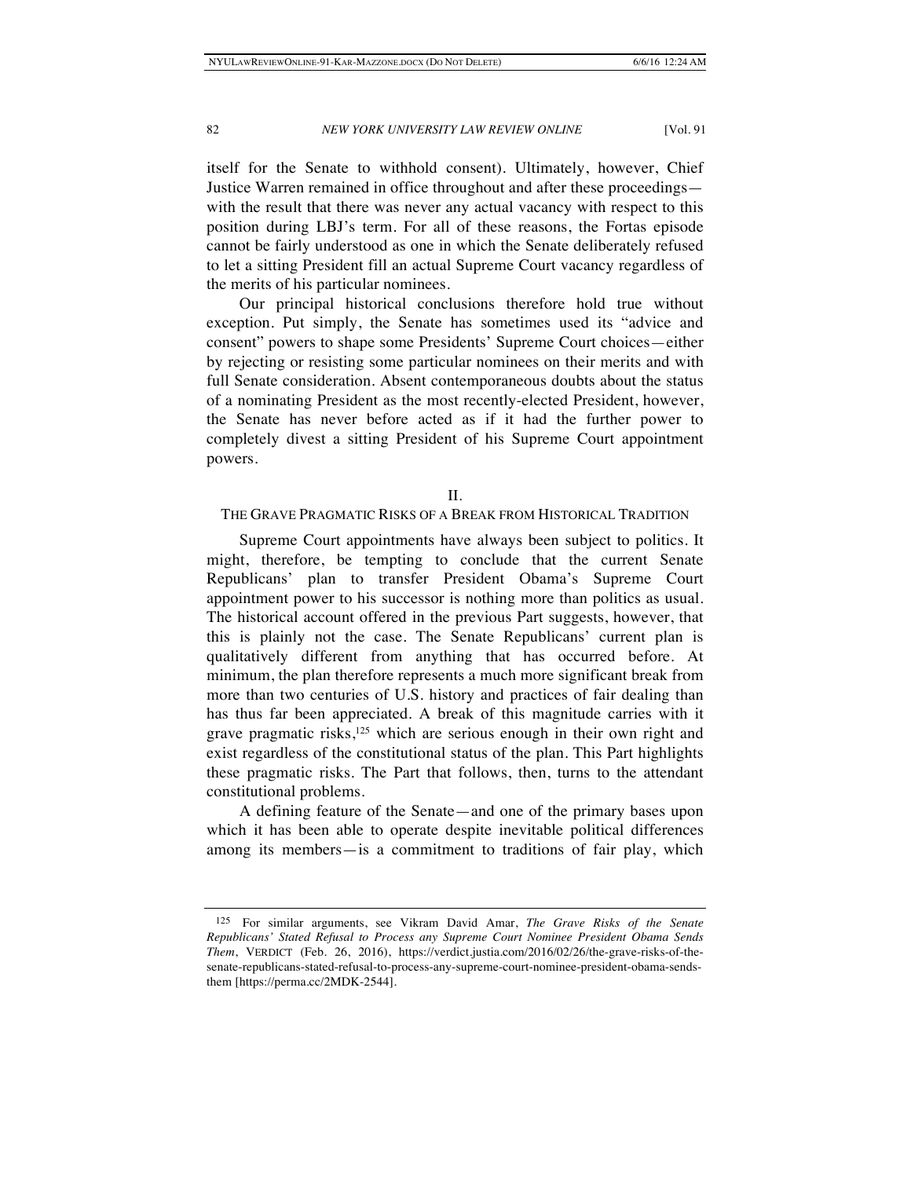itself for the Senate to withhold consent). Ultimately, however, Chief Justice Warren remained in office throughout and after these proceedings with the result that there was never any actual vacancy with respect to this position during LBJ's term. For all of these reasons, the Fortas episode cannot be fairly understood as one in which the Senate deliberately refused to let a sitting President fill an actual Supreme Court vacancy regardless of the merits of his particular nominees.

Our principal historical conclusions therefore hold true without exception. Put simply, the Senate has sometimes used its "advice and consent" powers to shape some Presidents' Supreme Court choices—either by rejecting or resisting some particular nominees on their merits and with full Senate consideration. Absent contemporaneous doubts about the status of a nominating President as the most recently-elected President, however, the Senate has never before acted as if it had the further power to completely divest a sitting President of his Supreme Court appointment powers.

#### $\mathbf{I}$

### THE GRAVE PRAGMATIC RISKS OF A BREAK FROM HISTORICAL TRADITION

Supreme Court appointments have always been subject to politics. It might, therefore, be tempting to conclude that the current Senate Republicans' plan to transfer President Obama's Supreme Court appointment power to his successor is nothing more than politics as usual. The historical account offered in the previous Part suggests, however, that this is plainly not the case. The Senate Republicans' current plan is qualitatively different from anything that has occurred before. At minimum, the plan therefore represents a much more significant break from more than two centuries of U.S. history and practices of fair dealing than has thus far been appreciated. A break of this magnitude carries with it grave pragmatic risks,<sup>125</sup> which are serious enough in their own right and exist regardless of the constitutional status of the plan. This Part highlights these pragmatic risks. The Part that follows, then, turns to the attendant constitutional problems.

A defining feature of the Senate—and one of the primary bases upon which it has been able to operate despite inevitable political differences among its members—is a commitment to traditions of fair play, which

<sup>125</sup> For similar arguments, see Vikram David Amar, *The Grave Risks of the Senate Republicans' Stated Refusal to Process any Supreme Court Nominee President Obama Sends Them*, VERDICT (Feb. 26, 2016), https://verdict.justia.com/2016/02/26/the-grave-risks-of-thesenate-republicans-stated-refusal-to-process-any-supreme-court-nominee-president-obama-sendsthem [https://perma.cc/2MDK-2544].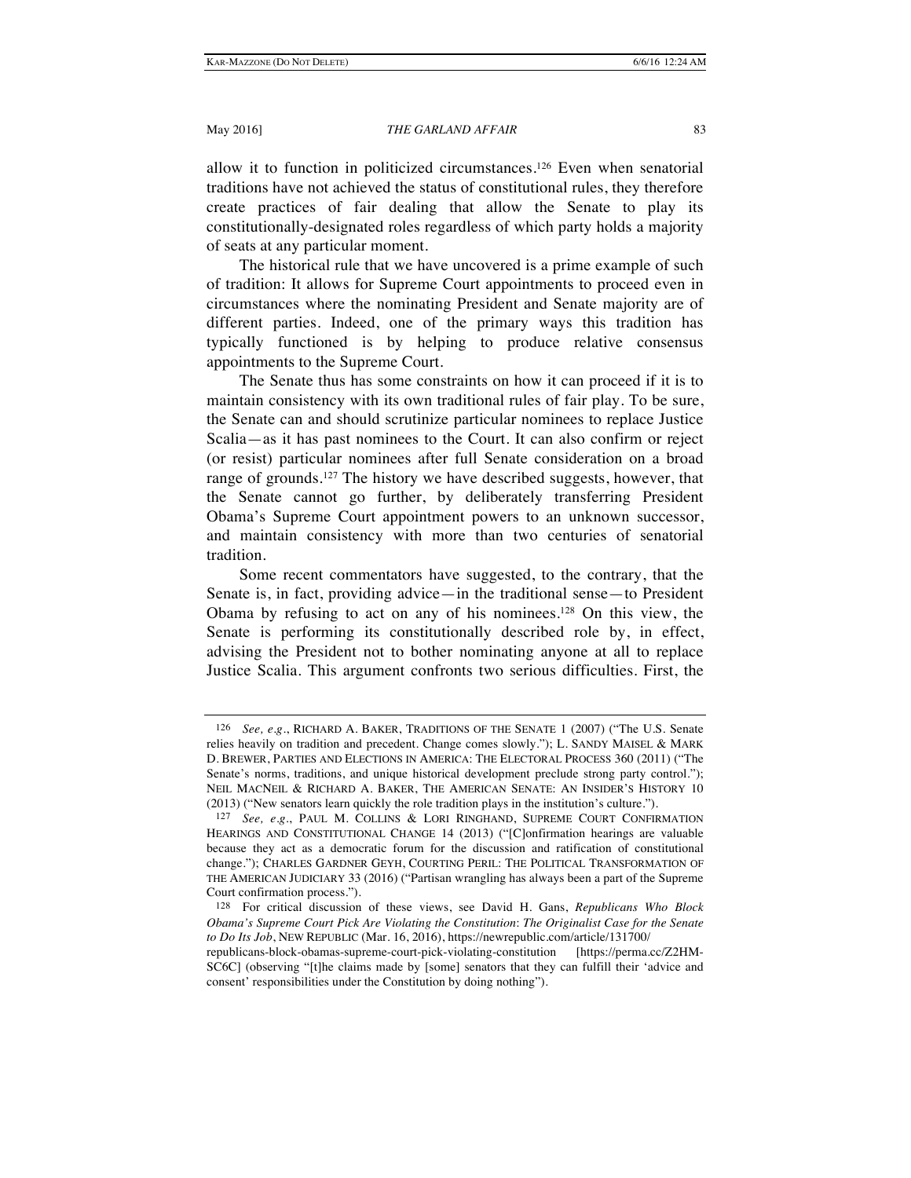allow it to function in politicized circumstances.126 Even when senatorial traditions have not achieved the status of constitutional rules, they therefore create practices of fair dealing that allow the Senate to play its constitutionally-designated roles regardless of which party holds a majority of seats at any particular moment.

The historical rule that we have uncovered is a prime example of such of tradition: It allows for Supreme Court appointments to proceed even in circumstances where the nominating President and Senate majority are of different parties. Indeed, one of the primary ways this tradition has typically functioned is by helping to produce relative consensus appointments to the Supreme Court.

The Senate thus has some constraints on how it can proceed if it is to maintain consistency with its own traditional rules of fair play. To be sure, the Senate can and should scrutinize particular nominees to replace Justice Scalia—as it has past nominees to the Court. It can also confirm or reject (or resist) particular nominees after full Senate consideration on a broad range of grounds.<sup>127</sup> The history we have described suggests, however, that the Senate cannot go further, by deliberately transferring President Obama's Supreme Court appointment powers to an unknown successor, and maintain consistency with more than two centuries of senatorial tradition.

Some recent commentators have suggested, to the contrary, that the Senate is, in fact, providing advice—in the traditional sense—to President Obama by refusing to act on any of his nominees.128 On this view, the Senate is performing its constitutionally described role by, in effect, advising the President not to bother nominating anyone at all to replace Justice Scalia. This argument confronts two serious difficulties. First, the

<sup>126</sup> *See, e.g.*, RICHARD A. BAKER, TRADITIONS OF THE SENATE 1 (2007) ("The U.S. Senate relies heavily on tradition and precedent. Change comes slowly."); L. SANDY MAISEL & MARK D. BREWER, PARTIES AND ELECTIONS IN AMERICA: THE ELECTORAL PROCESS 360 (2011) ("The Senate's norms, traditions, and unique historical development preclude strong party control."); NEIL MACNEIL & RICHARD A. BAKER, THE AMERICAN SENATE: AN INSIDER'S HISTORY 10 (2013) ("New senators learn quickly the role tradition plays in the institution's culture.").

<sup>127</sup> *See, e.g.*, PAUL M. COLLINS & LORI RINGHAND, SUPREME COURT CONFIRMATION HEARINGS AND CONSTITUTIONAL CHANGE 14 (2013) ("[C]onfirmation hearings are valuable because they act as a democratic forum for the discussion and ratification of constitutional change."); CHARLES GARDNER GEYH, COURTING PERIL: THE POLITICAL TRANSFORMATION OF THE AMERICAN JUDICIARY 33 (2016) ("Partisan wrangling has always been a part of the Supreme Court confirmation process."). 128 For critical discussion of these views, see David H. Gans, *Republicans Who Block* 

*Obama's Supreme Court Pick Are Violating the Constitution*: *The Originalist Case for the Senate to Do Its Job*, NEW REPUBLIC (Mar. 16, 2016), https://newrepublic.com/article/131700/

republicans-block-obamas-supreme-court-pick-violating-constitution [https://perma.cc/Z2HM-SC6C] (observing "[t]he claims made by [some] senators that they can fulfill their 'advice and consent' responsibilities under the Constitution by doing nothing").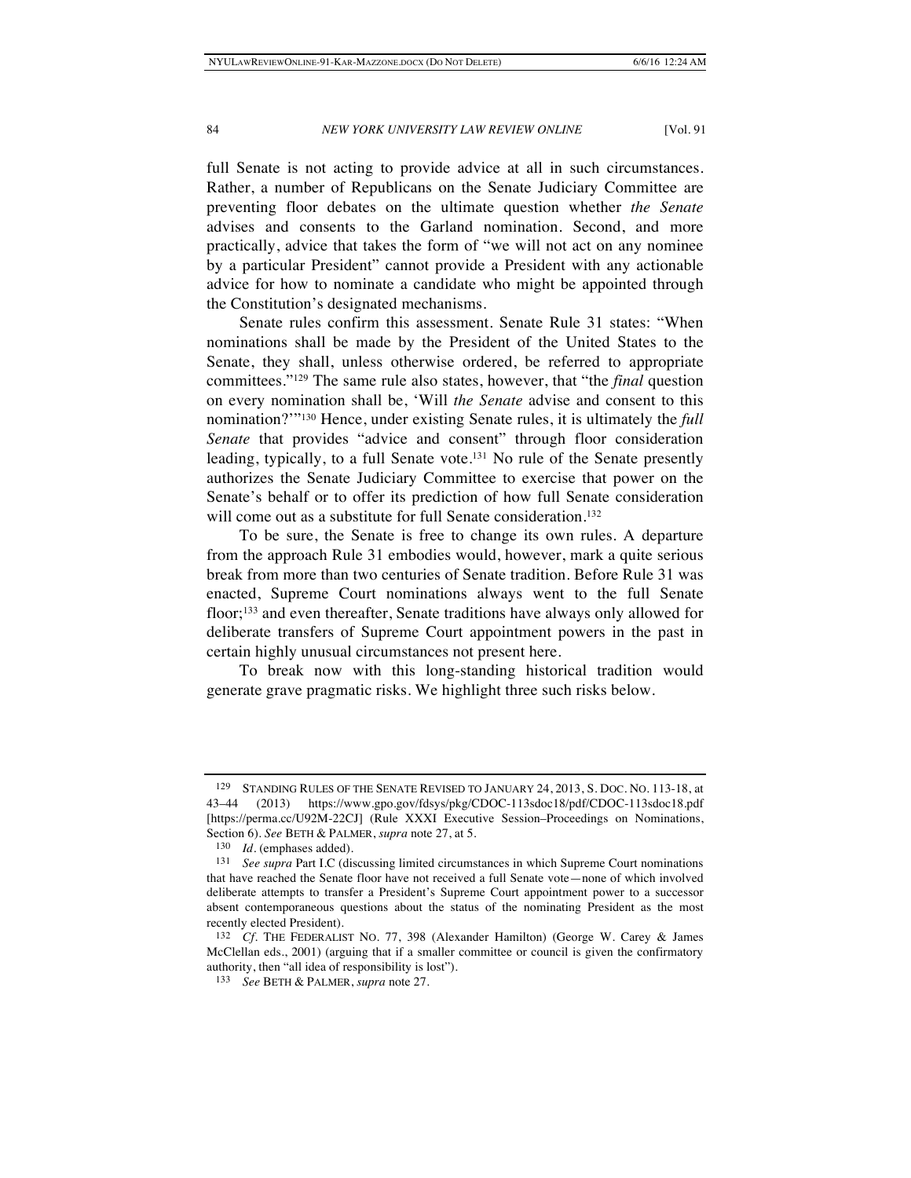full Senate is not acting to provide advice at all in such circumstances. Rather, a number of Republicans on the Senate Judiciary Committee are preventing floor debates on the ultimate question whether *the Senate* advises and consents to the Garland nomination. Second, and more practically, advice that takes the form of "we will not act on any nominee by a particular President" cannot provide a President with any actionable advice for how to nominate a candidate who might be appointed through the Constitution's designated mechanisms.

Senate rules confirm this assessment. Senate Rule 31 states: "When nominations shall be made by the President of the United States to the Senate, they shall, unless otherwise ordered, be referred to appropriate committees."129 The same rule also states, however, that "the *final* question on every nomination shall be, 'Will *the Senate* advise and consent to this nomination?'"130 Hence, under existing Senate rules, it is ultimately the *full Senate* that provides "advice and consent" through floor consideration leading, typically, to a full Senate vote.<sup>131</sup> No rule of the Senate presently authorizes the Senate Judiciary Committee to exercise that power on the Senate's behalf or to offer its prediction of how full Senate consideration will come out as a substitute for full Senate consideration.<sup>132</sup>

To be sure, the Senate is free to change its own rules. A departure from the approach Rule 31 embodies would, however, mark a quite serious break from more than two centuries of Senate tradition. Before Rule 31 was enacted, Supreme Court nominations always went to the full Senate floor;133 and even thereafter, Senate traditions have always only allowed for deliberate transfers of Supreme Court appointment powers in the past in certain highly unusual circumstances not present here.

To break now with this long-standing historical tradition would generate grave pragmatic risks. We highlight three such risks below.

<sup>129</sup> STANDING RULES OF THE SENATE REVISED TO JANUARY 24, 2013, S. DOC. NO. 113-18, at 43–44 (2013) https://www.gpo.gov/fdsys/pkg/CDOC-113sdoc18/pdf/CDOC-113sdoc18.pdf [https://perma.cc/U92M-22CJ] (Rule XXXI Executive Session–Proceedings on Nominations, Section 6). *See* BETH & PALMER, *supra* note 27, at 5.

<sup>130</sup> *Id.* (emphases added).

<sup>131</sup> *See supra* Part I.C (discussing limited circumstances in which Supreme Court nominations that have reached the Senate floor have not received a full Senate vote—none of which involved deliberate attempts to transfer a President's Supreme Court appointment power to a successor absent contemporaneous questions about the status of the nominating President as the most recently elected President).

<sup>132</sup> *Cf.* THE FEDERALIST NO. 77, 398 (Alexander Hamilton) (George W. Carey & James McClellan eds., 2001) (arguing that if a smaller committee or council is given the confirmatory authority, then "all idea of responsibility is lost").

<sup>133</sup> *See* BETH & PALMER, *supra* note 27.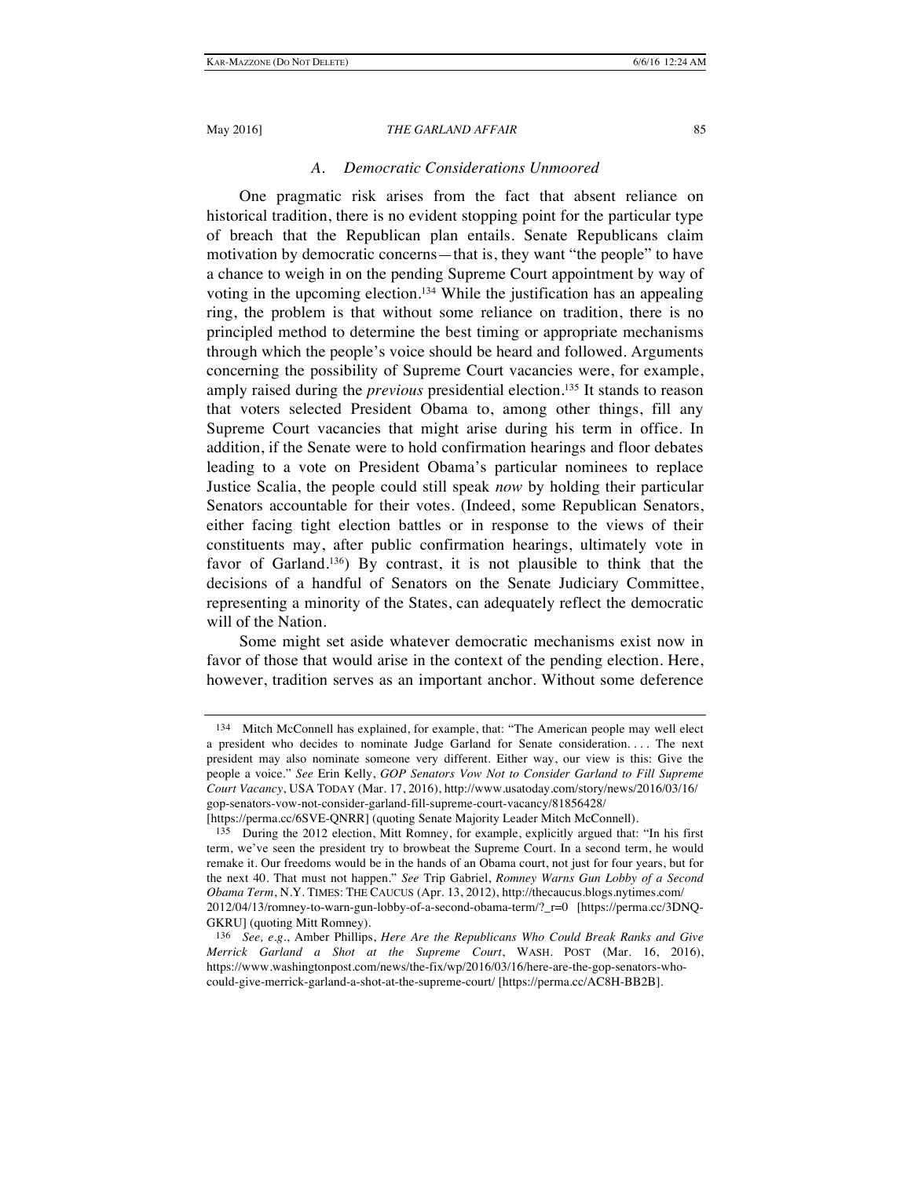### *A. Democratic Considerations Unmoored*

One pragmatic risk arises from the fact that absent reliance on historical tradition, there is no evident stopping point for the particular type of breach that the Republican plan entails. Senate Republicans claim motivation by democratic concerns—that is, they want "the people" to have a chance to weigh in on the pending Supreme Court appointment by way of voting in the upcoming election.134 While the justification has an appealing ring, the problem is that without some reliance on tradition, there is no principled method to determine the best timing or appropriate mechanisms through which the people's voice should be heard and followed. Arguments concerning the possibility of Supreme Court vacancies were, for example, amply raised during the *previous* presidential election.135 It stands to reason that voters selected President Obama to, among other things, fill any Supreme Court vacancies that might arise during his term in office. In addition, if the Senate were to hold confirmation hearings and floor debates leading to a vote on President Obama's particular nominees to replace Justice Scalia, the people could still speak *now* by holding their particular Senators accountable for their votes. (Indeed, some Republican Senators, either facing tight election battles or in response to the views of their constituents may, after public confirmation hearings, ultimately vote in favor of Garland.136) By contrast, it is not plausible to think that the decisions of a handful of Senators on the Senate Judiciary Committee, representing a minority of the States, can adequately reflect the democratic will of the Nation.

Some might set aside whatever democratic mechanisms exist now in favor of those that would arise in the context of the pending election. Here, however, tradition serves as an important anchor. Without some deference

<sup>134</sup> Mitch McConnell has explained, for example, that: "The American people may well elect a president who decides to nominate Judge Garland for Senate consideration. . . . The next president may also nominate someone very different. Either way, our view is this: Give the people a voice." *See* Erin Kelly, *GOP Senators Vow Not to Consider Garland to Fill Supreme Court Vacancy*, USA TODAY (Mar. 17, 2016), http://www.usatoday.com/story/news/2016/03/16/ gop-senators-vow-not-consider-garland-fill-supreme-court-vacancy/81856428/

<sup>[</sup>https://perma.cc/6SVE-QNRR] (quoting Senate Majority Leader Mitch McConnell).

<sup>135</sup> During the 2012 election, Mitt Romney, for example, explicitly argued that: "In his first term, we've seen the president try to browbeat the Supreme Court. In a second term, he would remake it. Our freedoms would be in the hands of an Obama court, not just for four years, but for the next 40. That must not happen." *See* Trip Gabriel, *Romney Warns Gun Lobby of a Second Obama Term*, N.Y. TIMES: THE CAUCUS (Apr. 13, 2012), http://thecaucus.blogs.nytimes.com/ 2012/04/13/romney-to-warn-gun-lobby-of-a-second-obama-term/?\_r=0 [https://perma.cc/3DNQ-GKRU] (quoting Mitt Romney).

<sup>136</sup> *See, e.g.*, Amber Phillips, *Here Are the Republicans Who Could Break Ranks and Give Merrick Garland a Shot at the Supreme Court*, WASH. POST (Mar. 16, 2016), https://www.washingtonpost.com/news/the-fix/wp/2016/03/16/here-are-the-gop-senators-whocould-give-merrick-garland-a-shot-at-the-supreme-court/ [https://perma.cc/AC8H-BB2B].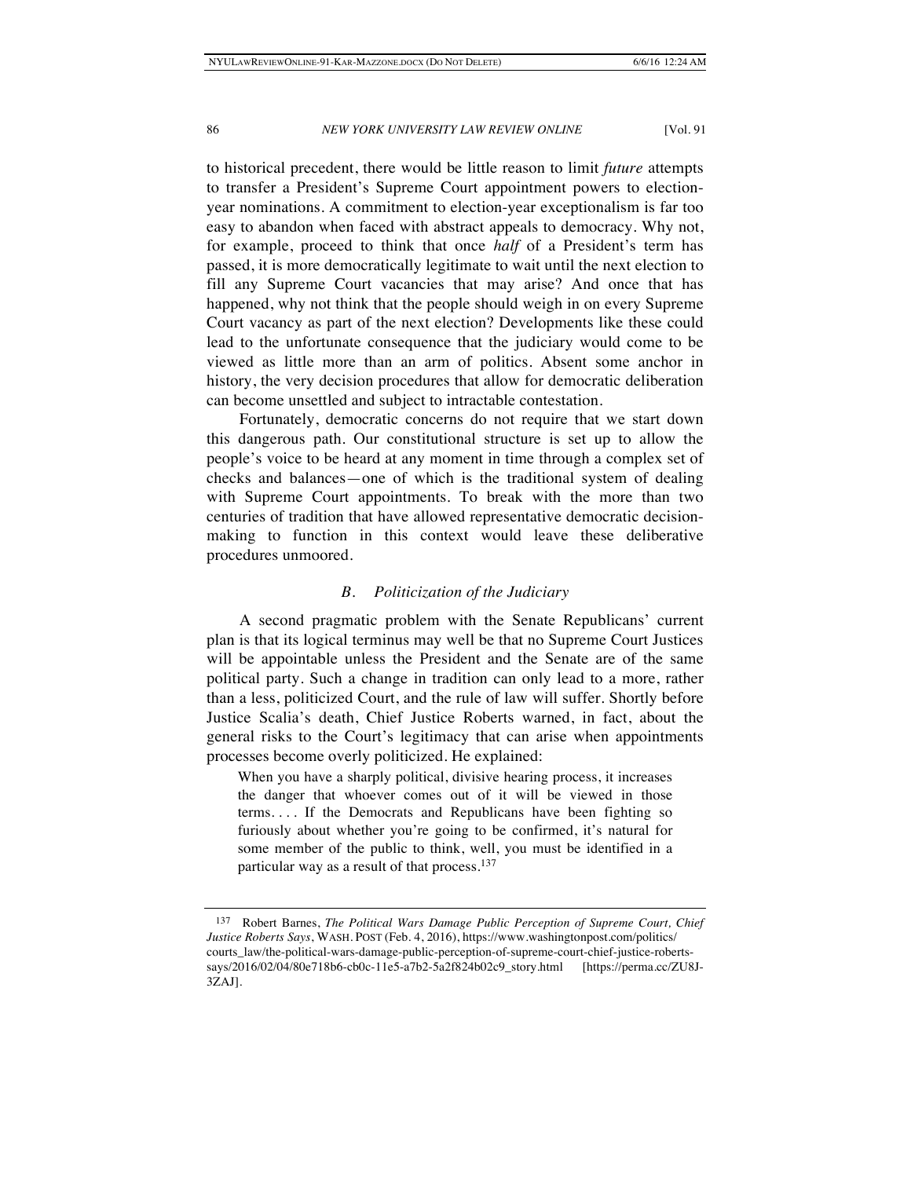to historical precedent, there would be little reason to limit *future* attempts to transfer a President's Supreme Court appointment powers to electionyear nominations. A commitment to election-year exceptionalism is far too easy to abandon when faced with abstract appeals to democracy. Why not, for example, proceed to think that once *half* of a President's term has passed, it is more democratically legitimate to wait until the next election to fill any Supreme Court vacancies that may arise? And once that has happened, why not think that the people should weigh in on every Supreme Court vacancy as part of the next election? Developments like these could lead to the unfortunate consequence that the judiciary would come to be viewed as little more than an arm of politics. Absent some anchor in history, the very decision procedures that allow for democratic deliberation can become unsettled and subject to intractable contestation.

Fortunately, democratic concerns do not require that we start down this dangerous path. Our constitutional structure is set up to allow the people's voice to be heard at any moment in time through a complex set of checks and balances—one of which is the traditional system of dealing with Supreme Court appointments. To break with the more than two centuries of tradition that have allowed representative democratic decisionmaking to function in this context would leave these deliberative procedures unmoored.

#### *B. Politicization of the Judiciary*

A second pragmatic problem with the Senate Republicans' current plan is that its logical terminus may well be that no Supreme Court Justices will be appointable unless the President and the Senate are of the same political party. Such a change in tradition can only lead to a more, rather than a less, politicized Court, and the rule of law will suffer. Shortly before Justice Scalia's death, Chief Justice Roberts warned, in fact, about the general risks to the Court's legitimacy that can arise when appointments processes become overly politicized. He explained:

When you have a sharply political, divisive hearing process, it increases the danger that whoever comes out of it will be viewed in those terms. . . . If the Democrats and Republicans have been fighting so furiously about whether you're going to be confirmed, it's natural for some member of the public to think, well, you must be identified in a particular way as a result of that process.<sup>137</sup>

<sup>137</sup> Robert Barnes, *The Political Wars Damage Public Perception of Supreme Court, Chief Justice Roberts Says*, WASH. POST (Feb. 4, 2016), https://www.washingtonpost.com/politics/ courts\_law/the-political-wars-damage-public-perception-of-supreme-court-chief-justice-robertssays/2016/02/04/80e718b6-cb0c-11e5-a7b2-5a2f824b02c9\_story.html [https://perma.cc/ZU8J-3ZAJ].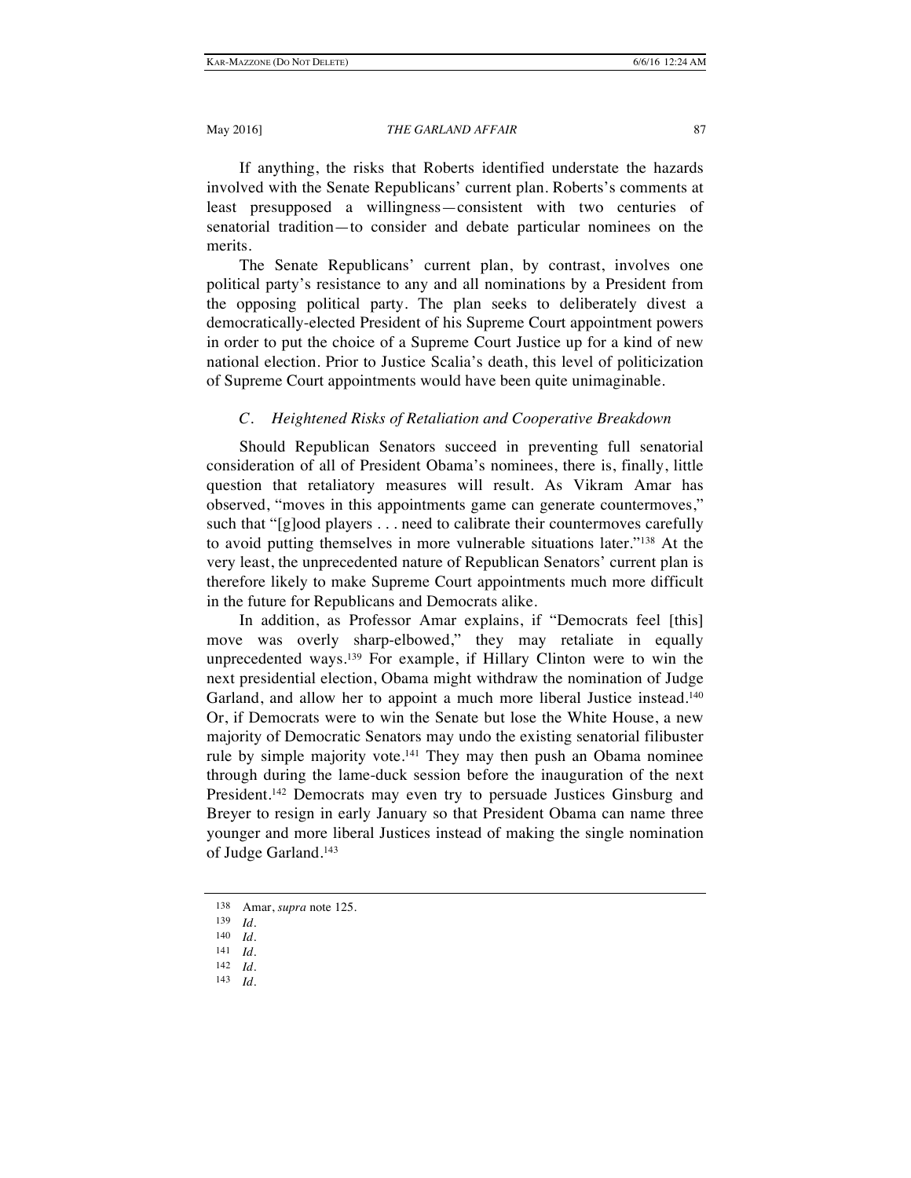If anything, the risks that Roberts identified understate the hazards involved with the Senate Republicans' current plan. Roberts's comments at least presupposed a willingness—consistent with two centuries of senatorial tradition—to consider and debate particular nominees on the merits.

The Senate Republicans' current plan, by contrast, involves one political party's resistance to any and all nominations by a President from the opposing political party. The plan seeks to deliberately divest a democratically-elected President of his Supreme Court appointment powers in order to put the choice of a Supreme Court Justice up for a kind of new national election. Prior to Justice Scalia's death, this level of politicization of Supreme Court appointments would have been quite unimaginable.

## *C. Heightened Risks of Retaliation and Cooperative Breakdown*

Should Republican Senators succeed in preventing full senatorial consideration of all of President Obama's nominees, there is, finally, little question that retaliatory measures will result. As Vikram Amar has observed, "moves in this appointments game can generate countermoves," such that "[g]ood players . . . need to calibrate their countermoves carefully to avoid putting themselves in more vulnerable situations later."138 At the very least, the unprecedented nature of Republican Senators' current plan is therefore likely to make Supreme Court appointments much more difficult in the future for Republicans and Democrats alike.

In addition, as Professor Amar explains, if "Democrats feel [this] move was overly sharp-elbowed," they may retaliate in equally unprecedented ways.139 For example, if Hillary Clinton were to win the next presidential election, Obama might withdraw the nomination of Judge Garland, and allow her to appoint a much more liberal Justice instead.<sup>140</sup> Or, if Democrats were to win the Senate but lose the White House, a new majority of Democratic Senators may undo the existing senatorial filibuster rule by simple majority vote.<sup>141</sup> They may then push an Obama nominee through during the lame-duck session before the inauguration of the next President.142 Democrats may even try to persuade Justices Ginsburg and Breyer to resign in early January so that President Obama can name three younger and more liberal Justices instead of making the single nomination of Judge Garland.143

- 140 *Id.*
- 141 *Id.*
- $\frac{142}{143}$  *Id.*
- *Id.*

<sup>138</sup> Amar, *supra* note 125.

<sup>139</sup> *Id.*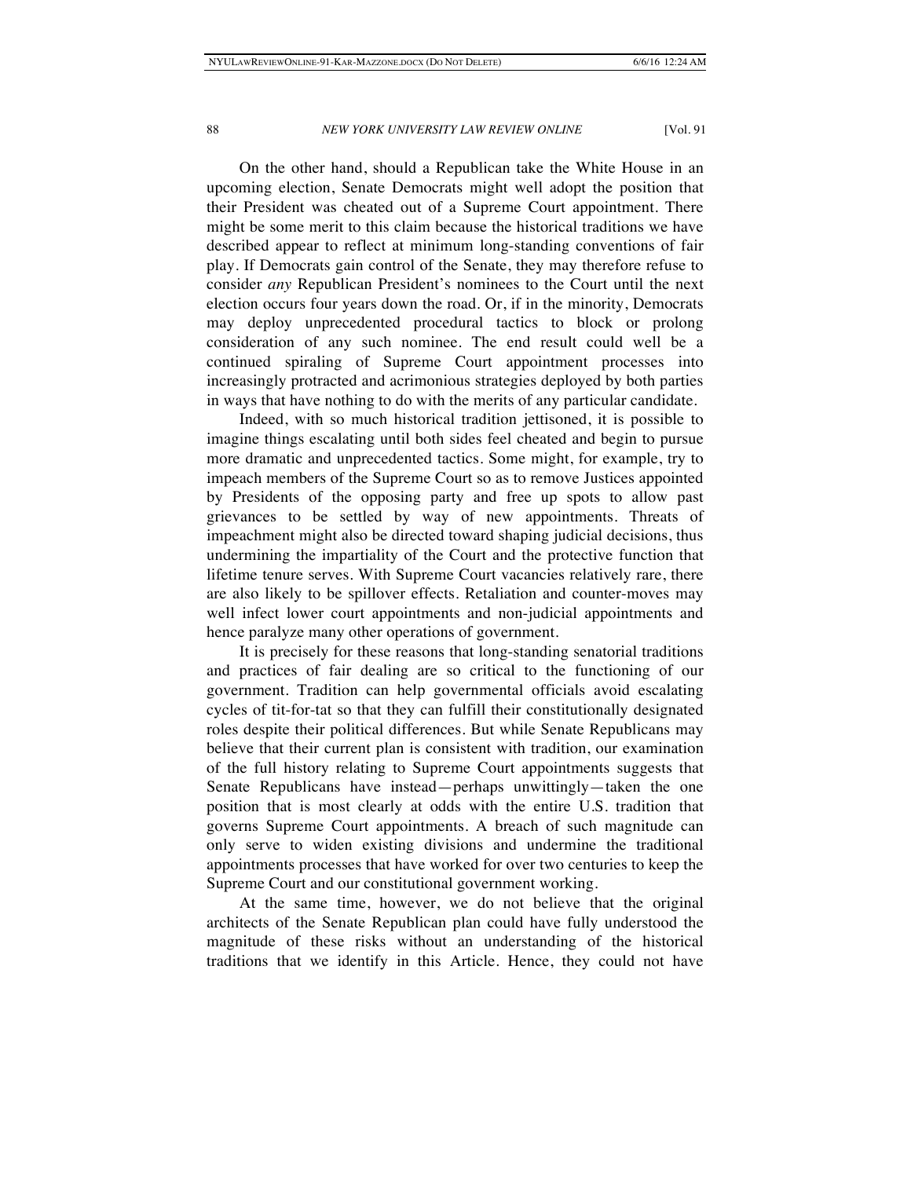On the other hand, should a Republican take the White House in an upcoming election, Senate Democrats might well adopt the position that their President was cheated out of a Supreme Court appointment. There might be some merit to this claim because the historical traditions we have described appear to reflect at minimum long-standing conventions of fair play. If Democrats gain control of the Senate, they may therefore refuse to consider *any* Republican President's nominees to the Court until the next election occurs four years down the road. Or, if in the minority, Democrats may deploy unprecedented procedural tactics to block or prolong consideration of any such nominee. The end result could well be a continued spiraling of Supreme Court appointment processes into increasingly protracted and acrimonious strategies deployed by both parties in ways that have nothing to do with the merits of any particular candidate.

Indeed, with so much historical tradition jettisoned, it is possible to imagine things escalating until both sides feel cheated and begin to pursue more dramatic and unprecedented tactics. Some might, for example, try to impeach members of the Supreme Court so as to remove Justices appointed by Presidents of the opposing party and free up spots to allow past grievances to be settled by way of new appointments. Threats of impeachment might also be directed toward shaping judicial decisions, thus undermining the impartiality of the Court and the protective function that lifetime tenure serves. With Supreme Court vacancies relatively rare, there are also likely to be spillover effects. Retaliation and counter-moves may well infect lower court appointments and non-judicial appointments and hence paralyze many other operations of government.

It is precisely for these reasons that long-standing senatorial traditions and practices of fair dealing are so critical to the functioning of our government. Tradition can help governmental officials avoid escalating cycles of tit-for-tat so that they can fulfill their constitutionally designated roles despite their political differences. But while Senate Republicans may believe that their current plan is consistent with tradition, our examination of the full history relating to Supreme Court appointments suggests that Senate Republicans have instead—perhaps unwittingly—taken the one position that is most clearly at odds with the entire U.S. tradition that governs Supreme Court appointments. A breach of such magnitude can only serve to widen existing divisions and undermine the traditional appointments processes that have worked for over two centuries to keep the Supreme Court and our constitutional government working.

At the same time, however, we do not believe that the original architects of the Senate Republican plan could have fully understood the magnitude of these risks without an understanding of the historical traditions that we identify in this Article. Hence, they could not have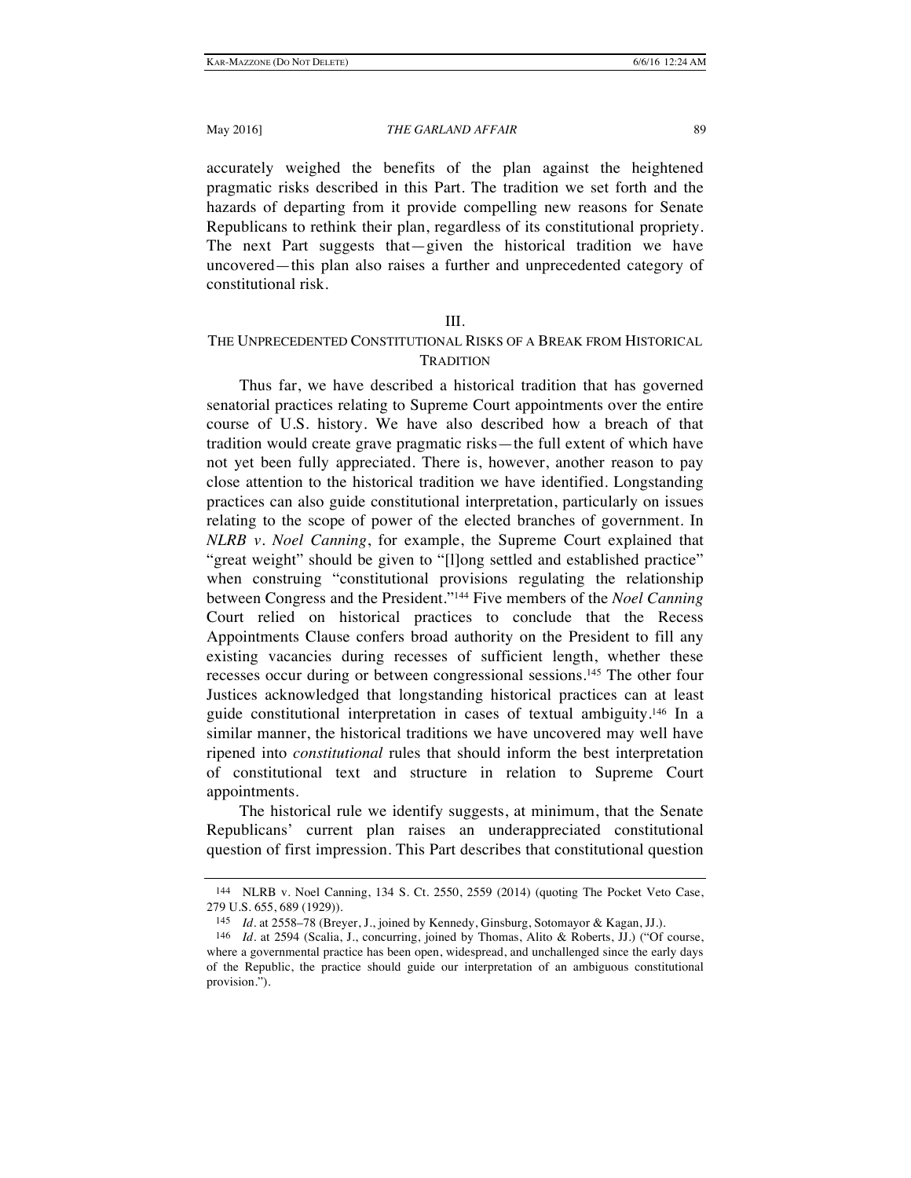accurately weighed the benefits of the plan against the heightened pragmatic risks described in this Part. The tradition we set forth and the hazards of departing from it provide compelling new reasons for Senate Republicans to rethink their plan, regardless of its constitutional propriety. The next Part suggests that—given the historical tradition we have uncovered—this plan also raises a further and unprecedented category of constitutional risk.

#### III.

## THE UNPRECEDENTED CONSTITUTIONAL RISKS OF A BREAK FROM HISTORICAL **TRADITION**

Thus far, we have described a historical tradition that has governed senatorial practices relating to Supreme Court appointments over the entire course of U.S. history. We have also described how a breach of that tradition would create grave pragmatic risks—the full extent of which have not yet been fully appreciated. There is, however, another reason to pay close attention to the historical tradition we have identified. Longstanding practices can also guide constitutional interpretation, particularly on issues relating to the scope of power of the elected branches of government. In *NLRB v. Noel Canning*, for example, the Supreme Court explained that "great weight" should be given to "[l]ong settled and established practice" when construing "constitutional provisions regulating the relationship between Congress and the President."144 Five members of the *Noel Canning*  Court relied on historical practices to conclude that the Recess Appointments Clause confers broad authority on the President to fill any existing vacancies during recesses of sufficient length, whether these recesses occur during or between congressional sessions.145 The other four Justices acknowledged that longstanding historical practices can at least guide constitutional interpretation in cases of textual ambiguity.146 In a similar manner, the historical traditions we have uncovered may well have ripened into *constitutional* rules that should inform the best interpretation of constitutional text and structure in relation to Supreme Court appointments.

The historical rule we identify suggests, at minimum, that the Senate Republicans' current plan raises an underappreciated constitutional question of first impression. This Part describes that constitutional question

<sup>144</sup> NLRB v. Noel Canning, 134 S. Ct. 2550, 2559 (2014) (quoting The Pocket Veto Case, 279 U.S. 655, 689 (1929)).

<sup>145</sup> *Id.* at 2558–78 (Breyer, J., joined by Kennedy, Ginsburg, Sotomayor & Kagan, JJ.).

<sup>146</sup> *Id.* at 2594 (Scalia, J., concurring, joined by Thomas, Alito & Roberts, JJ.) ("Of course, where a governmental practice has been open, widespread, and unchallenged since the early days of the Republic, the practice should guide our interpretation of an ambiguous constitutional provision.").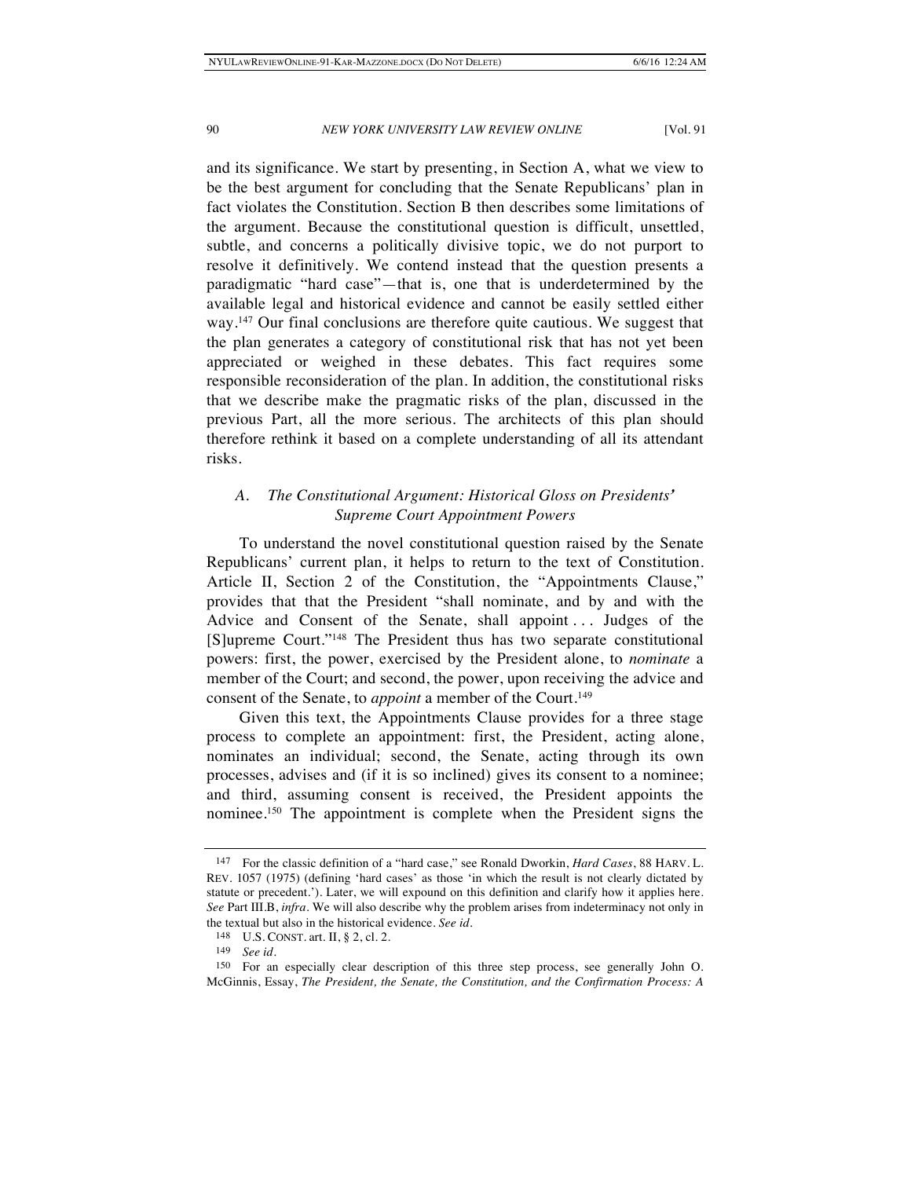and its significance. We start by presenting, in Section A, what we view to be the best argument for concluding that the Senate Republicans' plan in fact violates the Constitution. Section B then describes some limitations of the argument. Because the constitutional question is difficult, unsettled, subtle, and concerns a politically divisive topic, we do not purport to resolve it definitively. We contend instead that the question presents a paradigmatic "hard case"—that is, one that is underdetermined by the available legal and historical evidence and cannot be easily settled either way.147 Our final conclusions are therefore quite cautious. We suggest that the plan generates a category of constitutional risk that has not yet been appreciated or weighed in these debates. This fact requires some responsible reconsideration of the plan. In addition, the constitutional risks that we describe make the pragmatic risks of the plan, discussed in the previous Part, all the more serious. The architects of this plan should therefore rethink it based on a complete understanding of all its attendant risks.

## *A. The Constitutional Argument: Historical Gloss on Presidents' Supreme Court Appointment Powers*

To understand the novel constitutional question raised by the Senate Republicans' current plan, it helps to return to the text of Constitution. Article II, Section 2 of the Constitution, the "Appointments Clause," provides that that the President "shall nominate, and by and with the Advice and Consent of the Senate, shall appoint ... Judges of the [S]upreme Court."148 The President thus has two separate constitutional powers: first, the power, exercised by the President alone, to *nominate* a member of the Court; and second, the power, upon receiving the advice and consent of the Senate, to *appoint* a member of the Court.149

Given this text, the Appointments Clause provides for a three stage process to complete an appointment: first, the President, acting alone, nominates an individual; second, the Senate, acting through its own processes, advises and (if it is so inclined) gives its consent to a nominee; and third, assuming consent is received, the President appoints the nominee.150 The appointment is complete when the President signs the

<sup>147</sup> For the classic definition of a "hard case," see Ronald Dworkin, *Hard Cases*, 88 HARV. L. REV. 1057 (1975) (defining 'hard cases' as those 'in which the result is not clearly dictated by statute or precedent.'). Later, we will expound on this definition and clarify how it applies here. *See* Part III.B, *infra*. We will also describe why the problem arises from indeterminacy not only in the textual but also in the historical evidence. *See id.*

<sup>148</sup> U.S. CONST. art. II, § 2, cl. 2.

<sup>149</sup> *See id.*

<sup>150</sup> For an especially clear description of this three step process, see generally John O. McGinnis, Essay, *The President, the Senate, the Constitution, and the Confirmation Process: A*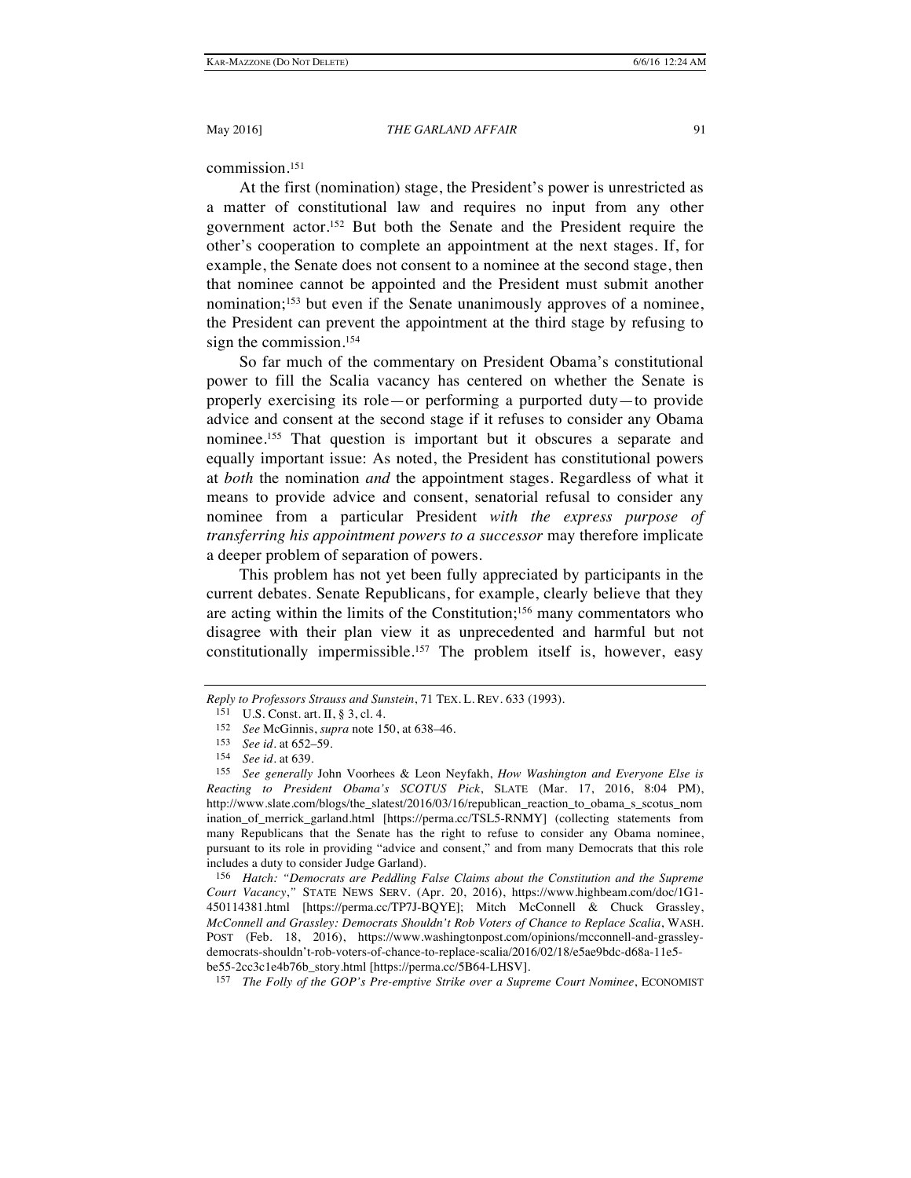commission.151

At the first (nomination) stage, the President's power is unrestricted as a matter of constitutional law and requires no input from any other government actor.152 But both the Senate and the President require the other's cooperation to complete an appointment at the next stages. If, for example, the Senate does not consent to a nominee at the second stage, then that nominee cannot be appointed and the President must submit another nomination;<sup>153</sup> but even if the Senate unanimously approves of a nominee, the President can prevent the appointment at the third stage by refusing to sign the commission.<sup>154</sup>

So far much of the commentary on President Obama's constitutional power to fill the Scalia vacancy has centered on whether the Senate is properly exercising its role—or performing a purported duty—to provide advice and consent at the second stage if it refuses to consider any Obama nominee.155 That question is important but it obscures a separate and equally important issue: As noted, the President has constitutional powers at *both* the nomination *and* the appointment stages. Regardless of what it means to provide advice and consent, senatorial refusal to consider any nominee from a particular President *with the express purpose of transferring his appointment powers to a successor* may therefore implicate a deeper problem of separation of powers.

This problem has not yet been fully appreciated by participants in the current debates. Senate Republicans, for example, clearly believe that they are acting within the limits of the Constitution;156 many commentators who disagree with their plan view it as unprecedented and harmful but not constitutionally impermissible.<sup>157</sup> The problem itself is, however, easy

- See id. at 652–59.
- 154 *See id.* at 639.

156 *Hatch: "Democrats are Peddling False Claims about the Constitution and the Supreme Court Vacancy*,*"* STATE NEWS SERV. (Apr. 20, 2016), https://www.highbeam.com/doc/1G1- 450114381.html [https://perma.cc/TP7J-BQYE]; Mitch McConnell & Chuck Grassley, *McConnell and Grassley: Democrats Shouldn't Rob Voters of Chance to Replace Scalia*, WASH. POST (Feb. 18, 2016), https://www.washingtonpost.com/opinions/mcconnell-and-grassleydemocrats-shouldn't-rob-voters-of-chance-to-replace-scalia/2016/02/18/e5ae9bdc-d68a-11e5 be55-2cc3c1e4b76b\_story.html [https://perma.cc/5B64-LHSV].

157 *The Folly of the GOP's Pre-emptive Strike over a Supreme Court Nominee*, ECONOMIST

*Reply to Professors Strauss and Sunstein*, 71 TEX. L. REV. 633 (1993).

<sup>151</sup> U.S. Const. art. II, § 3, cl. 4.

<sup>152</sup> *See* McGinnis, *supra* note 150, at 638–46.

<sup>155</sup> *See generally* John Voorhees & Leon Neyfakh, *How Washington and Everyone Else is Reacting to President Obama's SCOTUS Pick*, SLATE (Mar. 17, 2016, 8:04 PM), http://www.slate.com/blogs/the\_slatest/2016/03/16/republican\_reaction\_to\_obama\_s\_scotus\_nom ination of merrick garland.html [https://perma.cc/TSL5-RNMY] (collecting statements from many Republicans that the Senate has the right to refuse to consider any Obama nominee, pursuant to its role in providing "advice and consent," and from many Democrats that this role includes a duty to consider Judge Garland).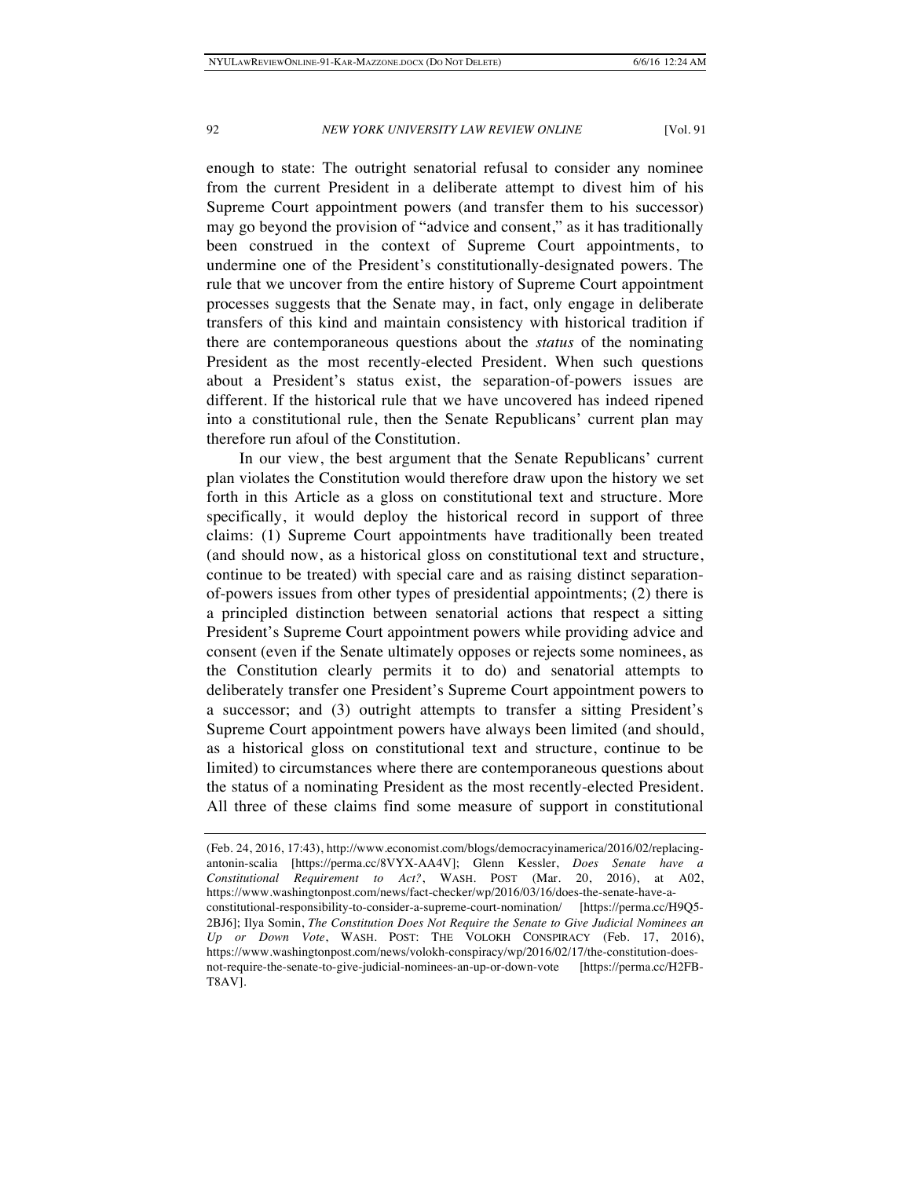enough to state: The outright senatorial refusal to consider any nominee from the current President in a deliberate attempt to divest him of his Supreme Court appointment powers (and transfer them to his successor) may go beyond the provision of "advice and consent," as it has traditionally been construed in the context of Supreme Court appointments, to undermine one of the President's constitutionally-designated powers. The rule that we uncover from the entire history of Supreme Court appointment processes suggests that the Senate may, in fact, only engage in deliberate transfers of this kind and maintain consistency with historical tradition if there are contemporaneous questions about the *status* of the nominating President as the most recently-elected President. When such questions about a President's status exist, the separation-of-powers issues are different. If the historical rule that we have uncovered has indeed ripened into a constitutional rule, then the Senate Republicans' current plan may therefore run afoul of the Constitution.

In our view, the best argument that the Senate Republicans' current plan violates the Constitution would therefore draw upon the history we set forth in this Article as a gloss on constitutional text and structure. More specifically, it would deploy the historical record in support of three claims: (1) Supreme Court appointments have traditionally been treated (and should now, as a historical gloss on constitutional text and structure, continue to be treated) with special care and as raising distinct separationof-powers issues from other types of presidential appointments; (2) there is a principled distinction between senatorial actions that respect a sitting President's Supreme Court appointment powers while providing advice and consent (even if the Senate ultimately opposes or rejects some nominees, as the Constitution clearly permits it to do) and senatorial attempts to deliberately transfer one President's Supreme Court appointment powers to a successor; and (3) outright attempts to transfer a sitting President's Supreme Court appointment powers have always been limited (and should, as a historical gloss on constitutional text and structure, continue to be limited) to circumstances where there are contemporaneous questions about the status of a nominating President as the most recently-elected President. All three of these claims find some measure of support in constitutional

<sup>(</sup>Feb. 24, 2016, 17:43), http://www.economist.com/blogs/democracyinamerica/2016/02/replacingantonin-scalia [https://perma.cc/8VYX-AA4V]; Glenn Kessler, *Does Senate have a Constitutional Requirement to Act?*, WASH. POST (Mar. 20, 2016), at A02, https://www.washingtonpost.com/news/fact-checker/wp/2016/03/16/does-the-senate-have-aconstitutional-responsibility-to-consider-a-supreme-court-nomination/ [https://perma.cc/H9Q5- 2BJ6]; Ilya Somin, *The Constitution Does Not Require the Senate to Give Judicial Nominees an Up or Down Vote*, WASH. POST: THE VOLOKH CONSPIRACY (Feb. 17, 2016), https://www.washingtonpost.com/news/volokh-conspiracy/wp/2016/02/17/the-constitution-doesnot-require-the-senate-to-give-judicial-nominees-an-up-or-down-vote [https://perma.cc/H2FB-T8AV].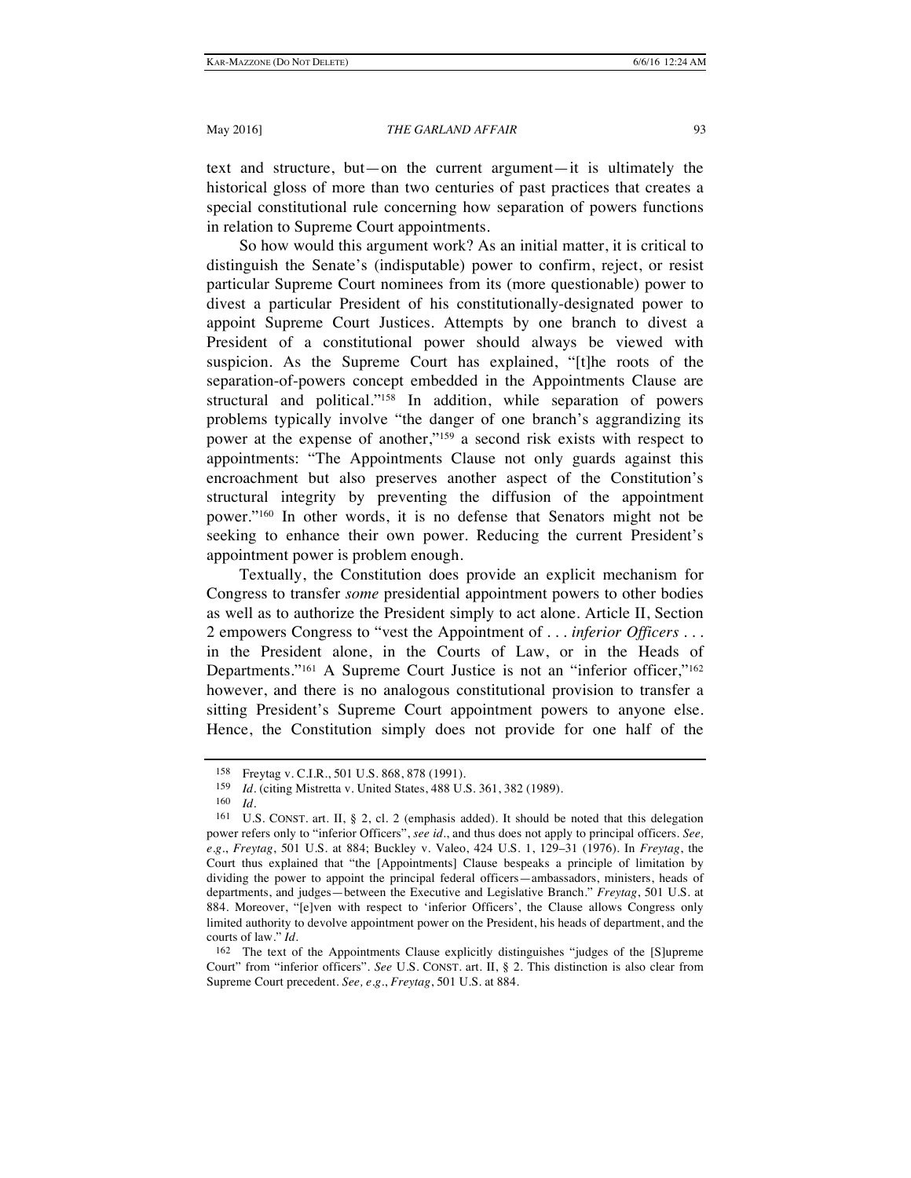text and structure, but—on the current argument—it is ultimately the historical gloss of more than two centuries of past practices that creates a special constitutional rule concerning how separation of powers functions in relation to Supreme Court appointments.

So how would this argument work? As an initial matter, it is critical to distinguish the Senate's (indisputable) power to confirm, reject, or resist particular Supreme Court nominees from its (more questionable) power to divest a particular President of his constitutionally-designated power to appoint Supreme Court Justices. Attempts by one branch to divest a President of a constitutional power should always be viewed with suspicion. As the Supreme Court has explained, "[t]he roots of the separation-of-powers concept embedded in the Appointments Clause are structural and political."158 In addition, while separation of powers problems typically involve "the danger of one branch's aggrandizing its power at the expense of another,"159 a second risk exists with respect to appointments: "The Appointments Clause not only guards against this encroachment but also preserves another aspect of the Constitution's structural integrity by preventing the diffusion of the appointment power."160 In other words, it is no defense that Senators might not be seeking to enhance their own power. Reducing the current President's appointment power is problem enough.

Textually, the Constitution does provide an explicit mechanism for Congress to transfer *some* presidential appointment powers to other bodies as well as to authorize the President simply to act alone. Article II, Section 2 empowers Congress to "vest the Appointment of . . . *inferior Officers* . . . in the President alone, in the Courts of Law, or in the Heads of Departments."<sup>161</sup> A Supreme Court Justice is not an "inferior officer,"<sup>162</sup> however, and there is no analogous constitutional provision to transfer a sitting President's Supreme Court appointment powers to anyone else. Hence, the Constitution simply does not provide for one half of the

<sup>158</sup> Freytag v. C.I.R., 501 U.S. 868, 878 (1991).<br>159 Id (citing Mistretta v. United States, 488 U.S.

<sup>159</sup> *Id.* (citing Mistretta v. United States, 488 U.S. 361, 382 (1989).<br>160 *Id* 

 $Id.$ 

 $161$  U.S. CONST. art. II, § 2, cl. 2 (emphasis added). It should be noted that this delegation power refers only to "inferior Officers", *see id.*, and thus does not apply to principal officers. *See, e.g.*, *Freytag*, 501 U.S. at 884; Buckley v. Valeo, 424 U.S. 1, 129–31 (1976). In *Freytag*, the Court thus explained that "the [Appointments] Clause bespeaks a principle of limitation by dividing the power to appoint the principal federal officers—ambassadors, ministers, heads of departments, and judges—between the Executive and Legislative Branch." *Freytag*, 501 U.S. at 884. Moreover, "[e]ven with respect to 'inferior Officers', the Clause allows Congress only limited authority to devolve appointment power on the President, his heads of department, and the courts of law." *Id.*

<sup>162</sup> The text of the Appointments Clause explicitly distinguishes "judges of the [S]upreme Court" from "inferior officers"*. See* U.S. CONST. art. II, § 2. This distinction is also clear from Supreme Court precedent. *See, e.g.*, *Freytag*, 501 U.S. at 884.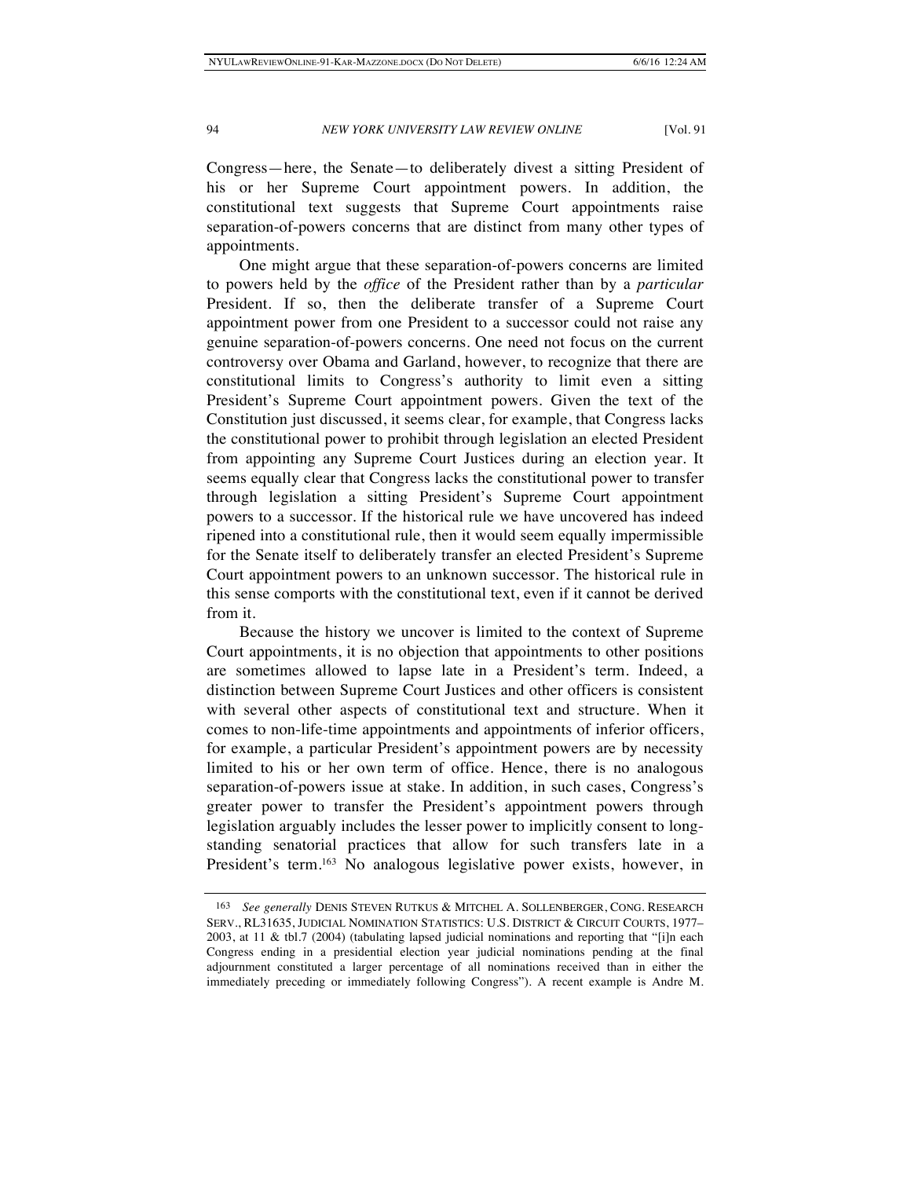Congress—here, the Senate—to deliberately divest a sitting President of his or her Supreme Court appointment powers. In addition, the constitutional text suggests that Supreme Court appointments raise separation-of-powers concerns that are distinct from many other types of appointments.

One might argue that these separation-of-powers concerns are limited to powers held by the *office* of the President rather than by a *particular* President. If so, then the deliberate transfer of a Supreme Court appointment power from one President to a successor could not raise any genuine separation-of-powers concerns. One need not focus on the current controversy over Obama and Garland, however, to recognize that there are constitutional limits to Congress's authority to limit even a sitting President's Supreme Court appointment powers. Given the text of the Constitution just discussed, it seems clear, for example, that Congress lacks the constitutional power to prohibit through legislation an elected President from appointing any Supreme Court Justices during an election year. It seems equally clear that Congress lacks the constitutional power to transfer through legislation a sitting President's Supreme Court appointment powers to a successor. If the historical rule we have uncovered has indeed ripened into a constitutional rule, then it would seem equally impermissible for the Senate itself to deliberately transfer an elected President's Supreme Court appointment powers to an unknown successor. The historical rule in this sense comports with the constitutional text, even if it cannot be derived from it.

Because the history we uncover is limited to the context of Supreme Court appointments, it is no objection that appointments to other positions are sometimes allowed to lapse late in a President's term. Indeed, a distinction between Supreme Court Justices and other officers is consistent with several other aspects of constitutional text and structure. When it comes to non-life-time appointments and appointments of inferior officers, for example, a particular President's appointment powers are by necessity limited to his or her own term of office. Hence, there is no analogous separation-of-powers issue at stake. In addition, in such cases, Congress's greater power to transfer the President's appointment powers through legislation arguably includes the lesser power to implicitly consent to longstanding senatorial practices that allow for such transfers late in a President's term.<sup>163</sup> No analogous legislative power exists, however, in

<sup>163</sup> *See generally* DENIS STEVEN RUTKUS & MITCHEL A. SOLLENBERGER, CONG. RESEARCH SERV., RL31635, JUDICIAL NOMINATION STATISTICS: U.S. DISTRICT & CIRCUIT COURTS, 1977– 2003, at 11 & tbl.7 (2004) (tabulating lapsed judicial nominations and reporting that "[i]n each Congress ending in a presidential election year judicial nominations pending at the final adjournment constituted a larger percentage of all nominations received than in either the immediately preceding or immediately following Congress"). A recent example is Andre M.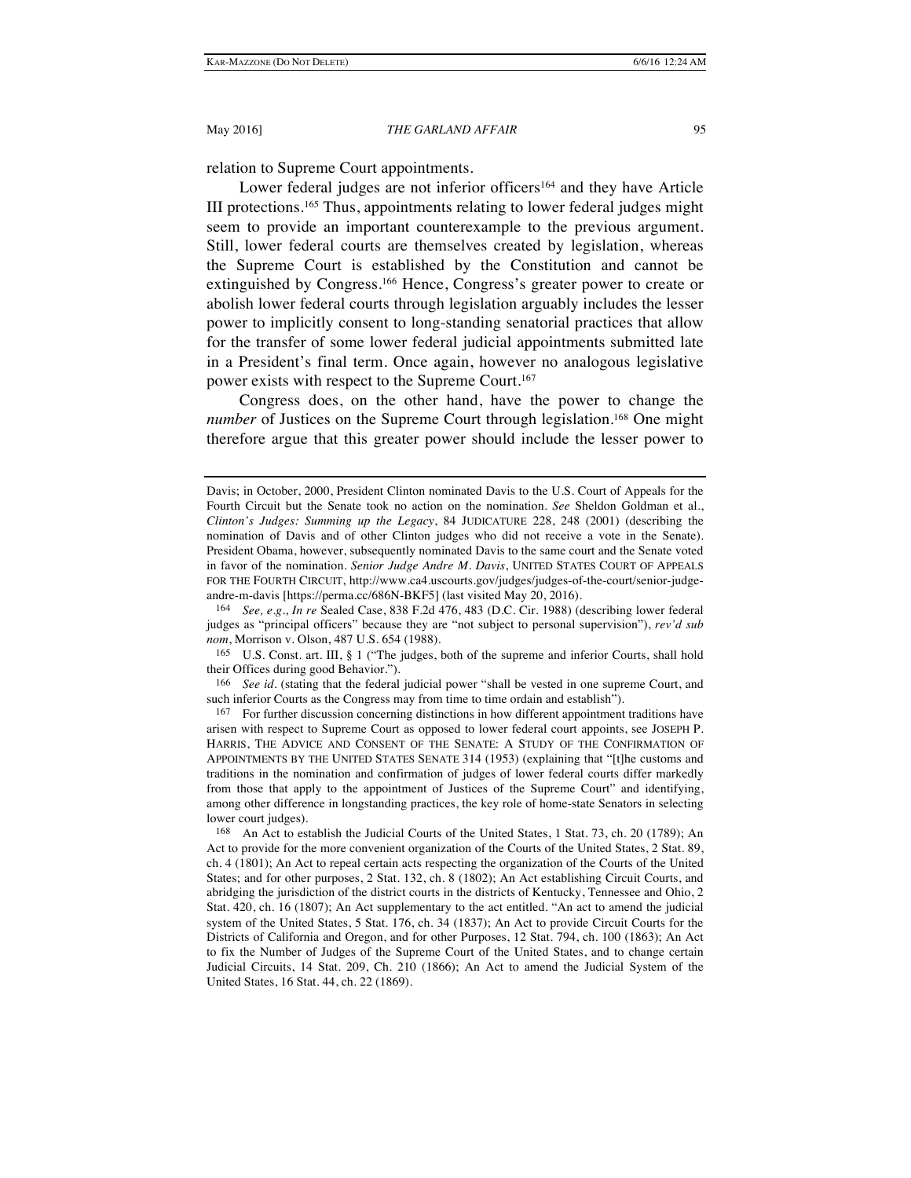relation to Supreme Court appointments.

Lower federal judges are not inferior officers<sup>164</sup> and they have Article III protections.165 Thus, appointments relating to lower federal judges might seem to provide an important counterexample to the previous argument. Still, lower federal courts are themselves created by legislation, whereas the Supreme Court is established by the Constitution and cannot be extinguished by Congress.<sup>166</sup> Hence, Congress's greater power to create or abolish lower federal courts through legislation arguably includes the lesser power to implicitly consent to long-standing senatorial practices that allow for the transfer of some lower federal judicial appointments submitted late in a President's final term. Once again, however no analogous legislative power exists with respect to the Supreme Court.167

Congress does, on the other hand, have the power to change the *number* of Justices on the Supreme Court through legislation.<sup>168</sup> One might therefore argue that this greater power should include the lesser power to

165 U.S. Const. art. III, § 1 ("The judges, both of the supreme and inferior Courts, shall hold their Offices during good Behavior."). 166 *See id.* (stating that the federal judicial power "shall be vested in one supreme Court, and

such inferior Courts as the Congress may from time to time ordain and establish").

167 For further discussion concerning distinctions in how different appointment traditions have arisen with respect to Supreme Court as opposed to lower federal court appoints, see JOSEPH P. HARRIS, THE ADVICE AND CONSENT OF THE SENATE: A STUDY OF THE CONFIRMATION OF APPOINTMENTS BY THE UNITED STATES SENATE 314 (1953) (explaining that "[t]he customs and traditions in the nomination and confirmation of judges of lower federal courts differ markedly from those that apply to the appointment of Justices of the Supreme Court" and identifying, among other difference in longstanding practices, the key role of home-state Senators in selecting lower court judges).

168 An Act to establish the Judicial Courts of the United States, 1 Stat. 73, ch. 20 (1789); An Act to provide for the more convenient organization of the Courts of the United States, 2 Stat. 89, ch. 4 (1801); An Act to repeal certain acts respecting the organization of the Courts of the United States; and for other purposes, 2 Stat. 132, ch. 8 (1802); An Act establishing Circuit Courts, and abridging the jurisdiction of the district courts in the districts of Kentucky, Tennessee and Ohio, 2 Stat. 420, ch. 16 (1807); An Act supplementary to the act entitled. "An act to amend the judicial system of the United States, 5 Stat. 176, ch. 34 (1837); An Act to provide Circuit Courts for the Districts of California and Oregon, and for other Purposes, 12 Stat. 794, ch. 100 (1863); An Act to fix the Number of Judges of the Supreme Court of the United States, and to change certain Judicial Circuits, 14 Stat. 209, Ch. 210 (1866); An Act to amend the Judicial System of the United States, 16 Stat. 44, ch. 22 (1869).

Davis; in October, 2000, President Clinton nominated Davis to the U.S. Court of Appeals for the Fourth Circuit but the Senate took no action on the nomination. *See* Sheldon Goldman et al., *Clinton's Judges: Summing up the Legacy*, 84 JUDICATURE 228, 248 (2001) (describing the nomination of Davis and of other Clinton judges who did not receive a vote in the Senate). President Obama, however, subsequently nominated Davis to the same court and the Senate voted in favor of the nomination. *Senior Judge Andre M. Davis*, UNITED STATES COURT OF APPEALS FOR THE FOURTH CIRCUIT, http://www.ca4.uscourts.gov/judges/judges-of-the-court/senior-judgeandre-m-davis [https://perma.cc/686N-BKF5] (last visited May 20, 2016).

<sup>164</sup> *See, e.g.*, *In re* Sealed Case, 838 F.2d 476, 483 (D.C. Cir. 1988) (describing lower federal judges as "principal officers" because they are "not subject to personal supervision"), *rev'd sub nom*, Morrison v. Olson, 487 U.S. 654 (1988).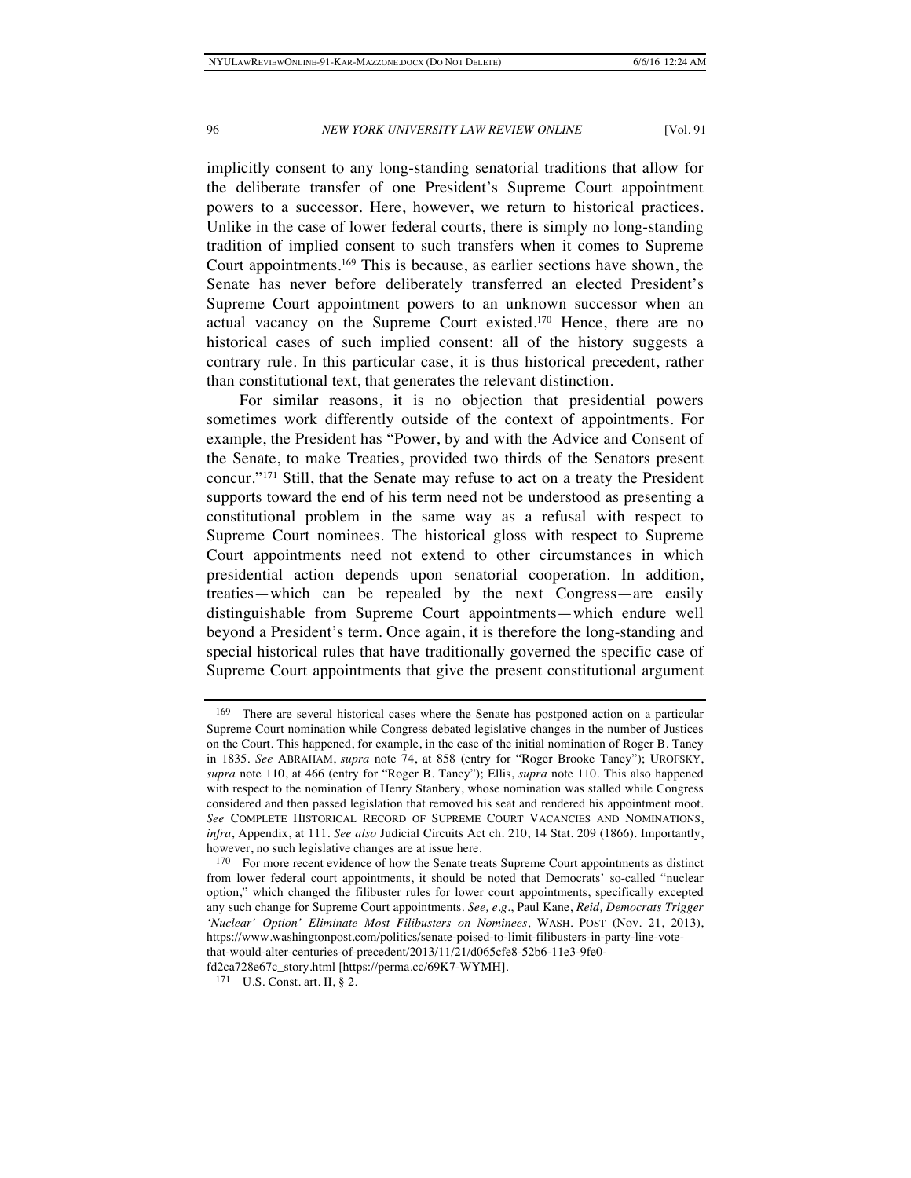implicitly consent to any long-standing senatorial traditions that allow for the deliberate transfer of one President's Supreme Court appointment powers to a successor. Here, however, we return to historical practices. Unlike in the case of lower federal courts, there is simply no long-standing tradition of implied consent to such transfers when it comes to Supreme Court appointments.169 This is because, as earlier sections have shown, the Senate has never before deliberately transferred an elected President's Supreme Court appointment powers to an unknown successor when an actual vacancy on the Supreme Court existed.170 Hence, there are no historical cases of such implied consent: all of the history suggests a contrary rule. In this particular case, it is thus historical precedent, rather than constitutional text, that generates the relevant distinction.

For similar reasons, it is no objection that presidential powers sometimes work differently outside of the context of appointments. For example, the President has "Power, by and with the Advice and Consent of the Senate, to make Treaties, provided two thirds of the Senators present concur."171 Still, that the Senate may refuse to act on a treaty the President supports toward the end of his term need not be understood as presenting a constitutional problem in the same way as a refusal with respect to Supreme Court nominees. The historical gloss with respect to Supreme Court appointments need not extend to other circumstances in which presidential action depends upon senatorial cooperation. In addition, treaties—which can be repealed by the next Congress—are easily distinguishable from Supreme Court appointments—which endure well beyond a President's term. Once again, it is therefore the long-standing and special historical rules that have traditionally governed the specific case of Supreme Court appointments that give the present constitutional argument

<sup>169</sup> There are several historical cases where the Senate has postponed action on a particular Supreme Court nomination while Congress debated legislative changes in the number of Justices on the Court. This happened, for example, in the case of the initial nomination of Roger B. Taney in 1835. *See* ABRAHAM, *supra* note 74, at 858 (entry for "Roger Brooke Taney"); UROFSKY, *supra* note 110, at 466 (entry for "Roger B. Taney"); Ellis, *supra* note 110. This also happened with respect to the nomination of Henry Stanbery, whose nomination was stalled while Congress considered and then passed legislation that removed his seat and rendered his appointment moot. *See* COMPLETE HISTORICAL RECORD OF SUPREME COURT VACANCIES AND NOMINATIONS, *infra*, Appendix, at 111. *See also* Judicial Circuits Act ch. 210, 14 Stat. 209 (1866). Importantly, however, no such legislative changes are at issue here.

<sup>170</sup> For more recent evidence of how the Senate treats Supreme Court appointments as distinct from lower federal court appointments, it should be noted that Democrats' so-called "nuclear option," which changed the filibuster rules for lower court appointments, specifically excepted any such change for Supreme Court appointments. *See, e.g.*, Paul Kane, *Reid, Democrats Trigger 'Nuclear' Option' Eliminate Most Filibusters on Nominees*, WASH. POST (Nov. 21, 2013), https://www.washingtonpost.com/politics/senate-poised-to-limit-filibusters-in-party-line-votethat-would-alter-centuries-of-precedent/2013/11/21/d065cfe8-52b6-11e3-9fe0-

fd2ca728e67c\_story.html [https://perma.cc/69K7-WYMH].

<sup>171</sup> U.S. Const. art. II, § 2.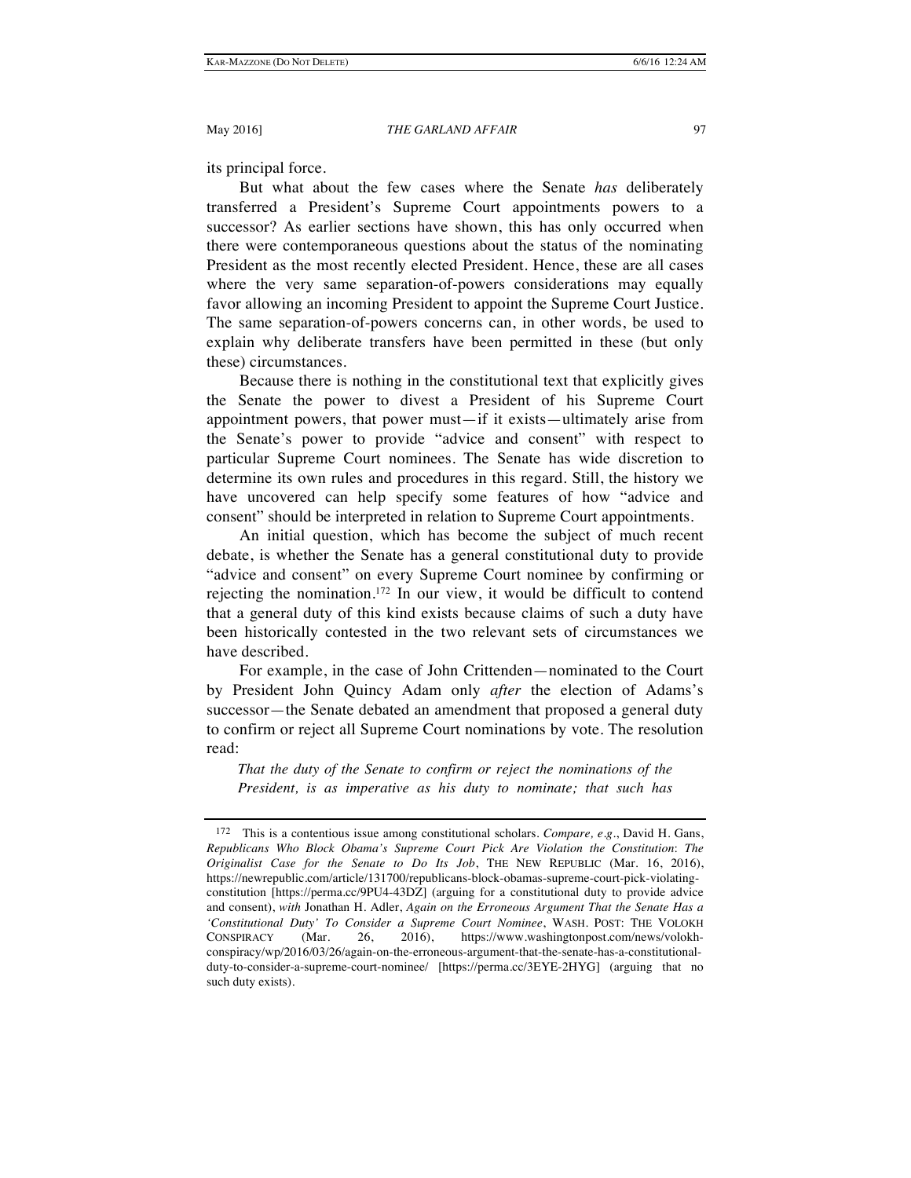its principal force.

But what about the few cases where the Senate *has* deliberately transferred a President's Supreme Court appointments powers to a successor? As earlier sections have shown, this has only occurred when there were contemporaneous questions about the status of the nominating President as the most recently elected President. Hence, these are all cases where the very same separation-of-powers considerations may equally favor allowing an incoming President to appoint the Supreme Court Justice. The same separation-of-powers concerns can, in other words, be used to explain why deliberate transfers have been permitted in these (but only these) circumstances.

Because there is nothing in the constitutional text that explicitly gives the Senate the power to divest a President of his Supreme Court appointment powers, that power must—if it exists—ultimately arise from the Senate's power to provide "advice and consent" with respect to particular Supreme Court nominees. The Senate has wide discretion to determine its own rules and procedures in this regard. Still, the history we have uncovered can help specify some features of how "advice and consent" should be interpreted in relation to Supreme Court appointments.

An initial question, which has become the subject of much recent debate, is whether the Senate has a general constitutional duty to provide "advice and consent" on every Supreme Court nominee by confirming or rejecting the nomination.172 In our view, it would be difficult to contend that a general duty of this kind exists because claims of such a duty have been historically contested in the two relevant sets of circumstances we have described.

For example, in the case of John Crittenden—nominated to the Court by President John Quincy Adam only *after* the election of Adams's successor—the Senate debated an amendment that proposed a general duty to confirm or reject all Supreme Court nominations by vote. The resolution read:

*That the duty of the Senate to confirm or reject the nominations of the President, is as imperative as his duty to nominate; that such has* 

<sup>172</sup> This is a contentious issue among constitutional scholars. *Compare, e.g.*, David H. Gans, *Republicans Who Block Obama's Supreme Court Pick Are Violation the Constitution*: *The Originalist Case for the Senate to Do Its Job*, THE NEW REPUBLIC (Mar. 16, 2016), https://newrepublic.com/article/131700/republicans-block-obamas-supreme-court-pick-violatingconstitution [https://perma.cc/9PU4-43DZ] (arguing for a constitutional duty to provide advice and consent), *with* Jonathan H. Adler, *Again on the Erroneous Argument That the Senate Has a 'Constitutional Duty' To Consider a Supreme Court Nominee*, WASH. POST: THE VOLOKH CONSPIRACY (Mar. 26, 2016), https://www.washingtonpost.com/news/volokhconspiracy/wp/2016/03/26/again-on-the-erroneous-argument-that-the-senate-has-a-constitutionalduty-to-consider-a-supreme-court-nominee/ [https://perma.cc/3EYE-2HYG] (arguing that no such duty exists).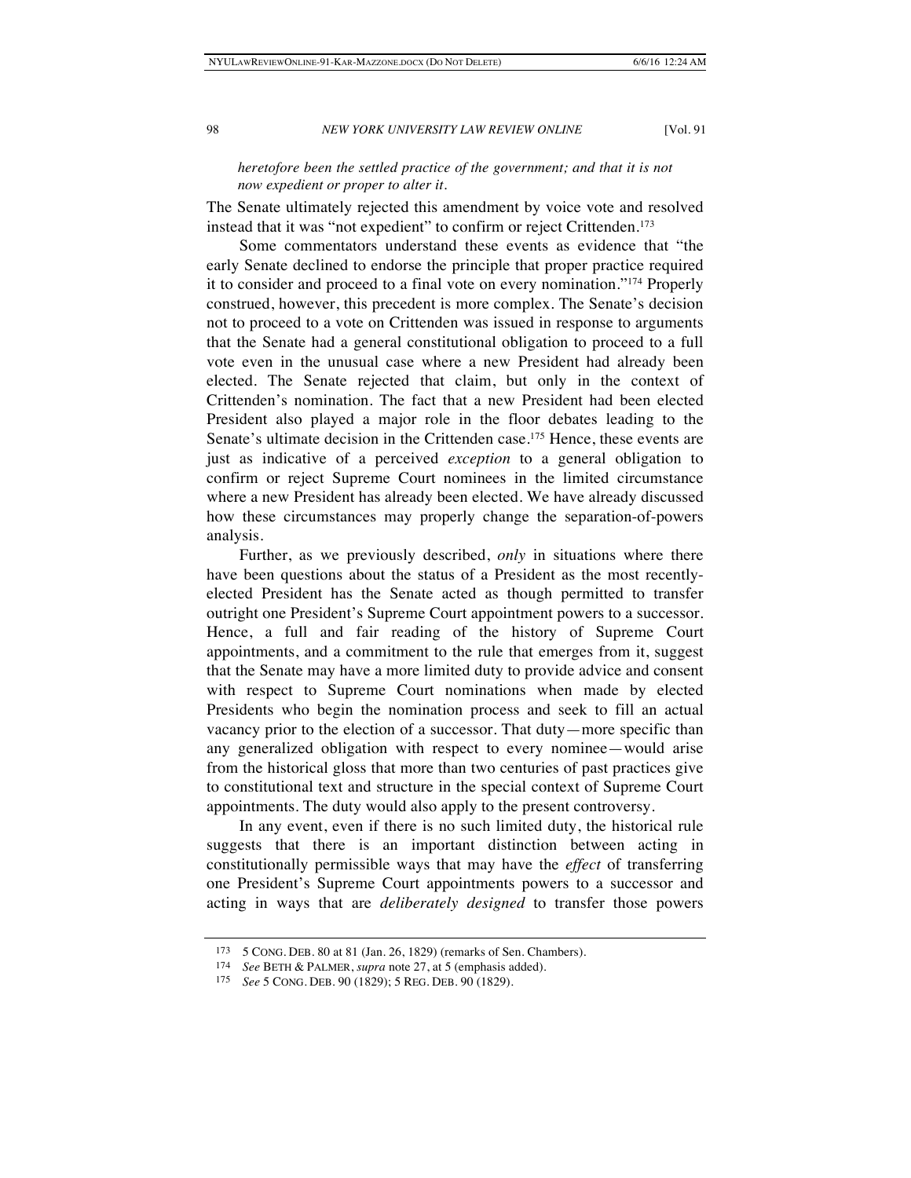*heretofore been the settled practice of the government; and that it is not now expedient or proper to alter it.*

The Senate ultimately rejected this amendment by voice vote and resolved instead that it was "not expedient" to confirm or reject Crittenden.173

Some commentators understand these events as evidence that "the early Senate declined to endorse the principle that proper practice required it to consider and proceed to a final vote on every nomination."174 Properly construed, however, this precedent is more complex. The Senate's decision not to proceed to a vote on Crittenden was issued in response to arguments that the Senate had a general constitutional obligation to proceed to a full vote even in the unusual case where a new President had already been elected. The Senate rejected that claim, but only in the context of Crittenden's nomination. The fact that a new President had been elected President also played a major role in the floor debates leading to the Senate's ultimate decision in the Crittenden case.<sup>175</sup> Hence, these events are just as indicative of a perceived *exception* to a general obligation to confirm or reject Supreme Court nominees in the limited circumstance where a new President has already been elected. We have already discussed how these circumstances may properly change the separation-of-powers analysis.

Further, as we previously described, *only* in situations where there have been questions about the status of a President as the most recentlyelected President has the Senate acted as though permitted to transfer outright one President's Supreme Court appointment powers to a successor. Hence, a full and fair reading of the history of Supreme Court appointments, and a commitment to the rule that emerges from it, suggest that the Senate may have a more limited duty to provide advice and consent with respect to Supreme Court nominations when made by elected Presidents who begin the nomination process and seek to fill an actual vacancy prior to the election of a successor. That duty—more specific than any generalized obligation with respect to every nominee—would arise from the historical gloss that more than two centuries of past practices give to constitutional text and structure in the special context of Supreme Court appointments. The duty would also apply to the present controversy.

In any event, even if there is no such limited duty, the historical rule suggests that there is an important distinction between acting in constitutionally permissible ways that may have the *effect* of transferring one President's Supreme Court appointments powers to a successor and acting in ways that are *deliberately designed* to transfer those powers

<sup>173</sup> 5 CONG. DEB. 80 at 81 (Jan. 26, 1829) (remarks of Sen. Chambers).

<sup>174</sup> *See* BETH & PALMER, *supra* note 27, at 5 (emphasis added).

<sup>175</sup> *See* 5 CONG. DEB. 90 (1829); 5 REG. DEB. 90 (1829).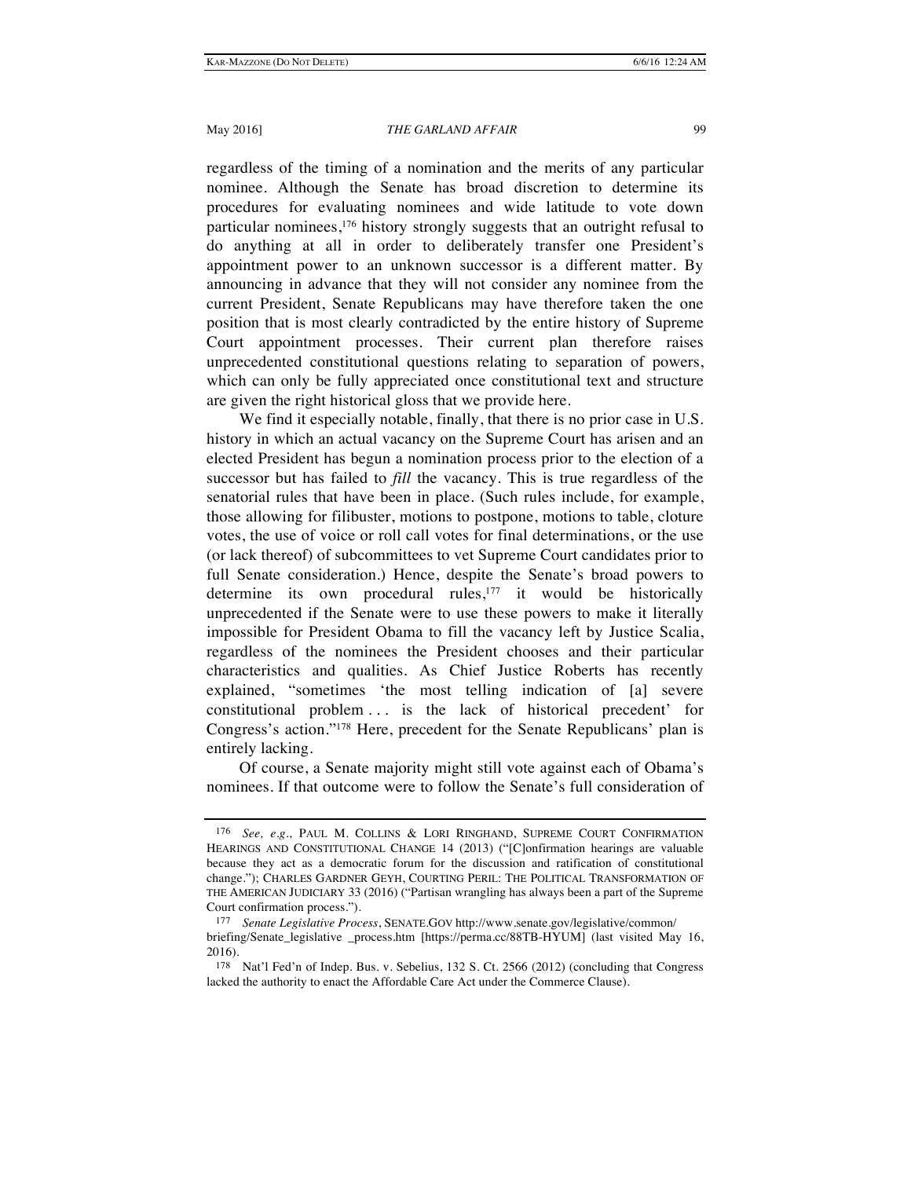regardless of the timing of a nomination and the merits of any particular nominee. Although the Senate has broad discretion to determine its procedures for evaluating nominees and wide latitude to vote down particular nominees,176 history strongly suggests that an outright refusal to do anything at all in order to deliberately transfer one President's appointment power to an unknown successor is a different matter. By announcing in advance that they will not consider any nominee from the current President, Senate Republicans may have therefore taken the one position that is most clearly contradicted by the entire history of Supreme Court appointment processes. Their current plan therefore raises unprecedented constitutional questions relating to separation of powers, which can only be fully appreciated once constitutional text and structure are given the right historical gloss that we provide here.

We find it especially notable, finally, that there is no prior case in U.S. history in which an actual vacancy on the Supreme Court has arisen and an elected President has begun a nomination process prior to the election of a successor but has failed to *fill* the vacancy. This is true regardless of the senatorial rules that have been in place. (Such rules include, for example, those allowing for filibuster, motions to postpone, motions to table, cloture votes, the use of voice or roll call votes for final determinations, or the use (or lack thereof) of subcommittees to vet Supreme Court candidates prior to full Senate consideration.) Hence, despite the Senate's broad powers to determine its own procedural rules,<sup>177</sup> it would be historically unprecedented if the Senate were to use these powers to make it literally impossible for President Obama to fill the vacancy left by Justice Scalia, regardless of the nominees the President chooses and their particular characteristics and qualities. As Chief Justice Roberts has recently explained, "sometimes 'the most telling indication of [a] severe constitutional problem . . . is the lack of historical precedent' for Congress's action."178 Here, precedent for the Senate Republicans' plan is entirely lacking.

Of course, a Senate majority might still vote against each of Obama's nominees. If that outcome were to follow the Senate's full consideration of

<sup>176</sup> *See, e.g.*, PAUL M. COLLINS & LORI RINGHAND, SUPREME COURT CONFIRMATION HEARINGS AND CONSTITUTIONAL CHANGE 14 (2013) ("[C]onfirmation hearings are valuable because they act as a democratic forum for the discussion and ratification of constitutional change."); CHARLES GARDNER GEYH, COURTING PERIL: THE POLITICAL TRANSFORMATION OF THE AMERICAN JUDICIARY 33 (2016) ("Partisan wrangling has always been a part of the Supreme Court confirmation process."). 177 *Senate Legislative Process*, SENATE.GOV http://www.senate.gov/legislative/common/

briefing/Senate\_legislative \_process.htm [https://perma.cc/88TB-HYUM] (last visited May 16, 2016).

<sup>178</sup> Nat'l Fed'n of Indep. Bus. v. Sebelius, 132 S. Ct. 2566 (2012) (concluding that Congress lacked the authority to enact the Affordable Care Act under the Commerce Clause).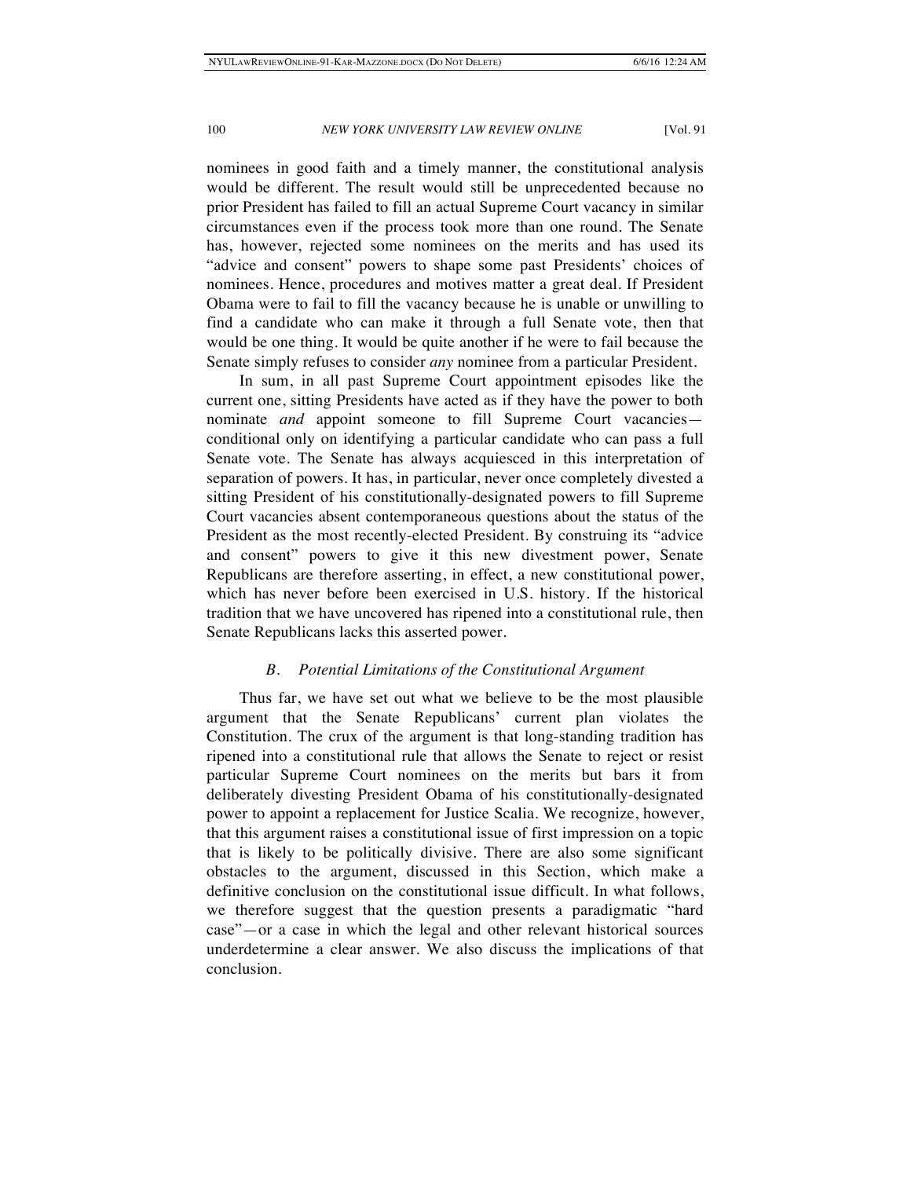nominees in good faith and a timely manner, the constitutional analysis would be different. The result would still be unprecedented because no prior President has failed to fill an actual Supreme Court vacancy in similar circumstances even if the process took more than one round. The Senate has, however, rejected some nominees on the merits and has used its "advice and consent" powers to shape some past Presidents' choices of nominees. Hence, procedures and motives matter a great deal. If President Obama were to fail to fill the vacancy because he is unable or unwilling to find a candidate who can make it through a full Senate vote, then that would be one thing. It would be quite another if he were to fail because the Senate simply refuses to consider *any* nominee from a particular President.

In sum, in all past Supreme Court appointment episodes like the current one, sitting Presidents have acted as if they have the power to both nominate *and* appoint someone to fill Supreme Court vacancies conditional only on identifying a particular candidate who can pass a full Senate vote. The Senate has always acquiesced in this interpretation of separation of powers. It has, in particular, never once completely divested a sitting President of his constitutionally-designated powers to fill Supreme Court vacancies absent contemporaneous questions about the status of the President as the most recently-elected President. By construing its "advice and consent" powers to give it this new divestment power, Senate Republicans are therefore asserting, in effect, a new constitutional power, which has never before been exercised in U.S. history. If the historical tradition that we have uncovered has ripened into a constitutional rule, then Senate Republicans lacks this asserted power.

#### *B. Potential Limitations of the Constitutional Argument*

Thus far, we have set out what we believe to be the most plausible argument that the Senate Republicans' current plan violates the Constitution. The crux of the argument is that long-standing tradition has ripened into a constitutional rule that allows the Senate to reject or resist particular Supreme Court nominees on the merits but bars it from deliberately divesting President Obama of his constitutionally-designated power to appoint a replacement for Justice Scalia. We recognize, however, that this argument raises a constitutional issue of first impression on a topic that is likely to be politically divisive. There are also some significant obstacles to the argument, discussed in this Section, which make a definitive conclusion on the constitutional issue difficult. In what follows, we therefore suggest that the question presents a paradigmatic "hard case"—or a case in which the legal and other relevant historical sources underdetermine a clear answer. We also discuss the implications of that conclusion.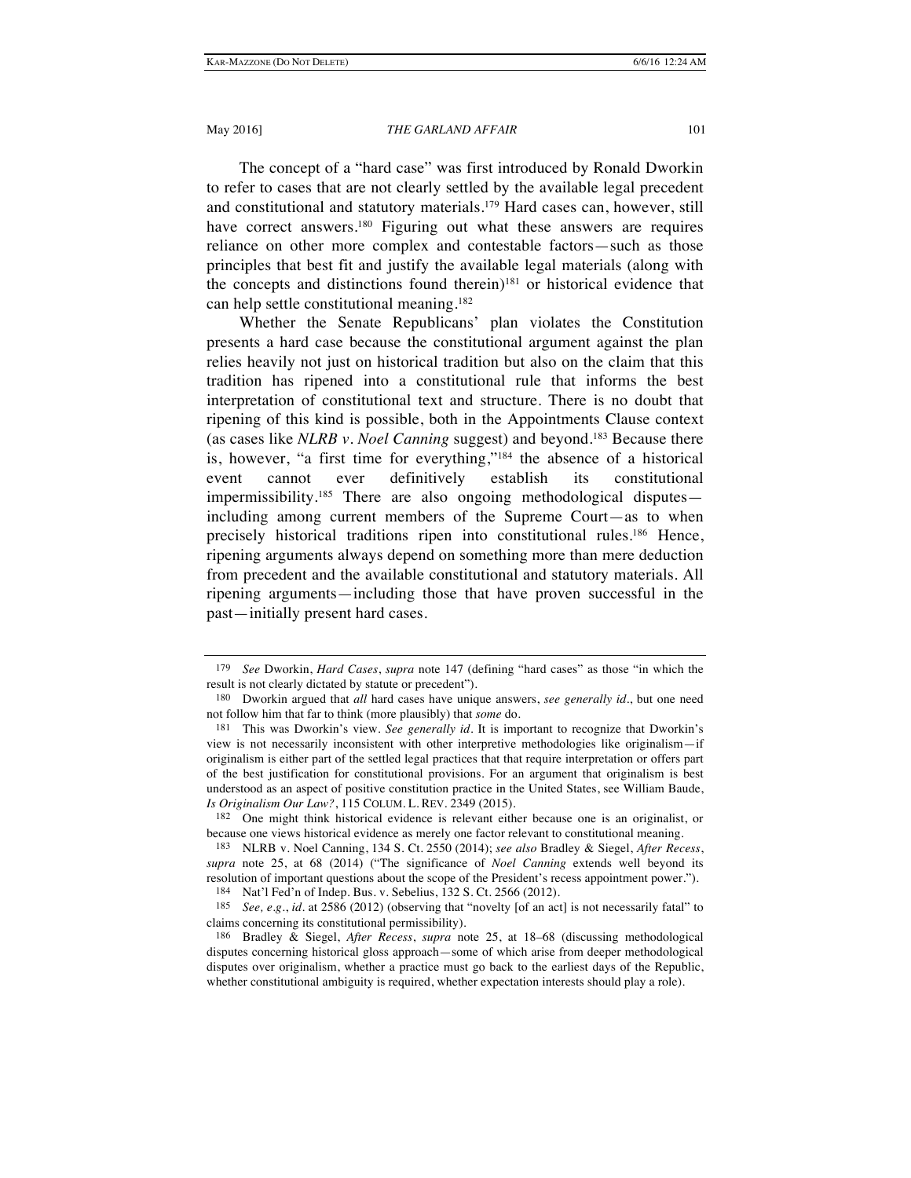The concept of a "hard case" was first introduced by Ronald Dworkin to refer to cases that are not clearly settled by the available legal precedent and constitutional and statutory materials.179 Hard cases can, however, still have correct answers.<sup>180</sup> Figuring out what these answers are requires reliance on other more complex and contestable factors—such as those principles that best fit and justify the available legal materials (along with the concepts and distinctions found therein)<sup>181</sup> or historical evidence that can help settle constitutional meaning.182

Whether the Senate Republicans' plan violates the Constitution presents a hard case because the constitutional argument against the plan relies heavily not just on historical tradition but also on the claim that this tradition has ripened into a constitutional rule that informs the best interpretation of constitutional text and structure. There is no doubt that ripening of this kind is possible, both in the Appointments Clause context (as cases like *NLRB v. Noel Canning* suggest) and beyond.183 Because there is, however, "a first time for everything,"184 the absence of a historical event cannot ever definitively establish its constitutional impermissibility.<sup>185</sup> There are also ongoing methodological disputes including among current members of the Supreme Court—as to when precisely historical traditions ripen into constitutional rules.186 Hence, ripening arguments always depend on something more than mere deduction from precedent and the available constitutional and statutory materials. All ripening arguments—including those that have proven successful in the past—initially present hard cases.

<sup>179</sup> *See* Dworkin, *Hard Cases*, *supra* note 147 (defining "hard cases" as those "in which the result is not clearly dictated by statute or precedent"). 180 Dworkin argued that *all* hard cases have unique answers, *see generally id.*, but one need

not follow him that far to think (more plausibly) that *some* do.<br><sup>181</sup> This was Dworkin's view. *See generally id*. It is important to recognize that Dworkin's

view is not necessarily inconsistent with other interpretive methodologies like originalism—if originalism is either part of the settled legal practices that that require interpretation or offers part of the best justification for constitutional provisions. For an argument that originalism is best understood as an aspect of positive constitution practice in the United States, see William Baude, *Is Originalism Our Law?*, 115 COLUM. L. REV. 2349 (2015).<br><sup>182</sup> One might think historical evidence is relevant either because one is an originalist, or

because one views historical evidence as merely one factor relevant to constitutional meaning. 183 NLRB v. Noel Canning, <sup>134</sup> S. Ct. <sup>2550</sup> (2014); *see also* Bradley & Siegel, *After Recess*,

*supra* note 25, at 68 (2014) ("The significance of *Noel Canning* extends well beyond its resolution of important questions about the scope of the President's recess appointment power.").

<sup>184</sup> Nat'l Fed'n of Indep. Bus. v. Sebelius, 132 S. Ct. 2566 (2012).

<sup>185</sup> *See, e.g.*, *id.* at 2586 (2012) (observing that "novelty [of an act] is not necessarily fatal" to claims concerning its constitutional permissibility).

<sup>186</sup> Bradley & Siegel, *After Recess*, *supra* note 25, at 18–68 (discussing methodological disputes concerning historical gloss approach—some of which arise from deeper methodological disputes over originalism, whether a practice must go back to the earliest days of the Republic, whether constitutional ambiguity is required, whether expectation interests should play a role).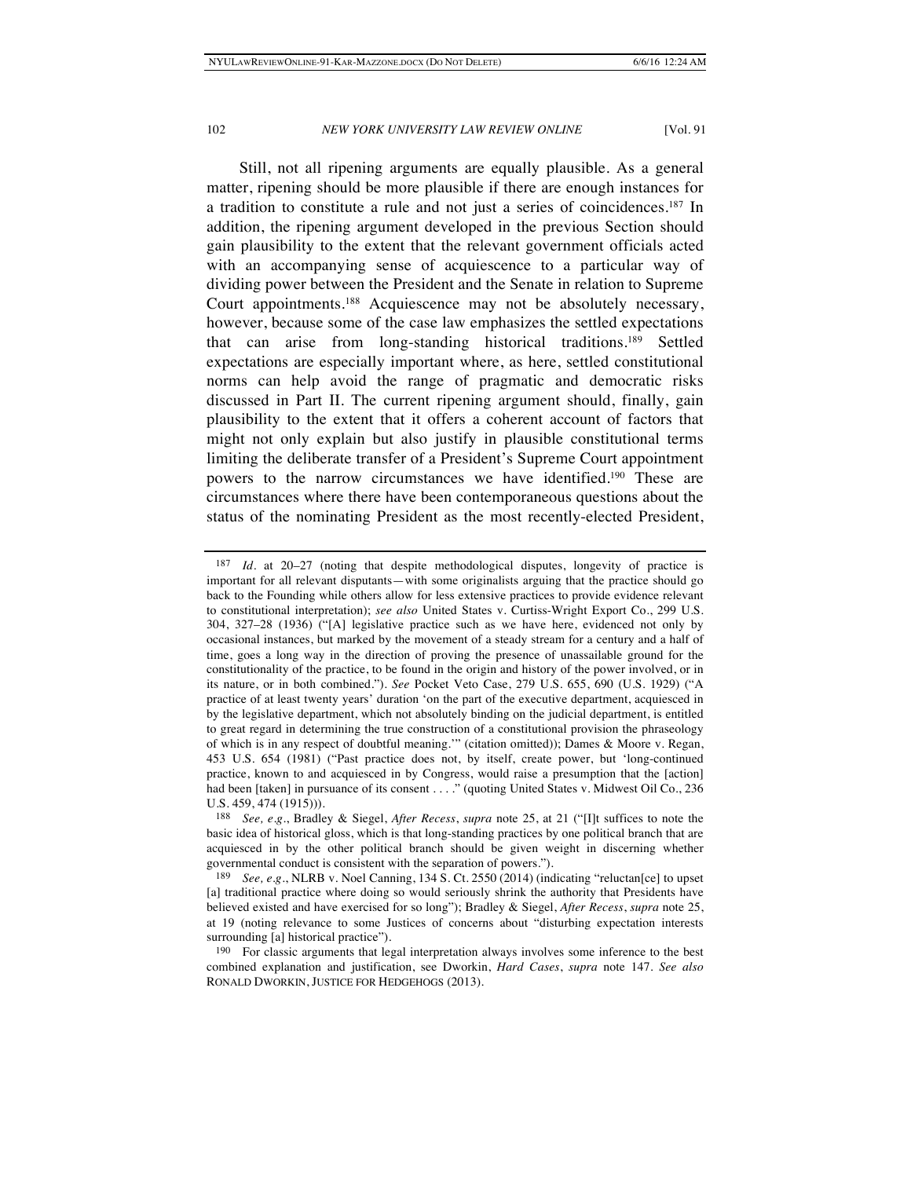Still, not all ripening arguments are equally plausible. As a general matter, ripening should be more plausible if there are enough instances for a tradition to constitute a rule and not just a series of coincidences.187 In addition, the ripening argument developed in the previous Section should gain plausibility to the extent that the relevant government officials acted with an accompanying sense of acquiescence to a particular way of dividing power between the President and the Senate in relation to Supreme Court appointments.188 Acquiescence may not be absolutely necessary, however, because some of the case law emphasizes the settled expectations that can arise from long-standing historical traditions.189 Settled expectations are especially important where, as here, settled constitutional norms can help avoid the range of pragmatic and democratic risks discussed in Part II. The current ripening argument should, finally, gain plausibility to the extent that it offers a coherent account of factors that might not only explain but also justify in plausible constitutional terms limiting the deliberate transfer of a President's Supreme Court appointment powers to the narrow circumstances we have identified.190 These are circumstances where there have been contemporaneous questions about the status of the nominating President as the most recently-elected President,

<sup>187</sup> *Id.* at 20–27 (noting that despite methodological disputes, longevity of practice is important for all relevant disputants—with some originalists arguing that the practice should go back to the Founding while others allow for less extensive practices to provide evidence relevant to constitutional interpretation); *see also* United States v. Curtiss-Wright Export Co., 299 U.S. 304, 327–28 (1936) ("[A] legislative practice such as we have here, evidenced not only by occasional instances, but marked by the movement of a steady stream for a century and a half of time, goes a long way in the direction of proving the presence of unassailable ground for the constitutionality of the practice, to be found in the origin and history of the power involved, or in its nature, or in both combined."). *See* Pocket Veto Case, 279 U.S. 655, 690 (U.S. 1929) ("A practice of at least twenty years' duration 'on the part of the executive department, acquiesced in by the legislative department, which not absolutely binding on the judicial department, is entitled to great regard in determining the true construction of a constitutional provision the phraseology of which is in any respect of doubtful meaning.'" (citation omitted)); Dames & Moore v. Regan, 453 U.S. 654 (1981) ("Past practice does not, by itself, create power, but 'long-continued practice, known to and acquiesced in by Congress, would raise a presumption that the [action] had been [taken] in pursuance of its consent . . . ." (quoting United States v. Midwest Oil Co., 236 U.S. 459, 474 (1915))).

<sup>188</sup> *See, e.g.*, Bradley & Siegel, *After Recess*, *supra* note 25, at 21 ("[I]t suffices to note the basic idea of historical gloss, which is that long-standing practices by one political branch that are acquiesced in by the other political branch should be given weight in discerning whether governmental conduct is consistent with the separation of powers.").

<sup>189</sup> *See, e.g.*, NLRB v. Noel Canning, 134 S. Ct. 2550 (2014) (indicating "reluctan[ce] to upset [a] traditional practice where doing so would seriously shrink the authority that Presidents have believed existed and have exercised for so long"); Bradley & Siegel, *After Recess*, *supra* note 25, at 19 (noting relevance to some Justices of concerns about "disturbing expectation interests surrounding [a] historical practice").

<sup>190</sup> For classic arguments that legal interpretation always involves some inference to the best combined explanation and justification, see Dworkin, *Hard Cases*, *supra* note 147. *See also* RONALD DWORKIN, JUSTICE FOR HEDGEHOGS (2013).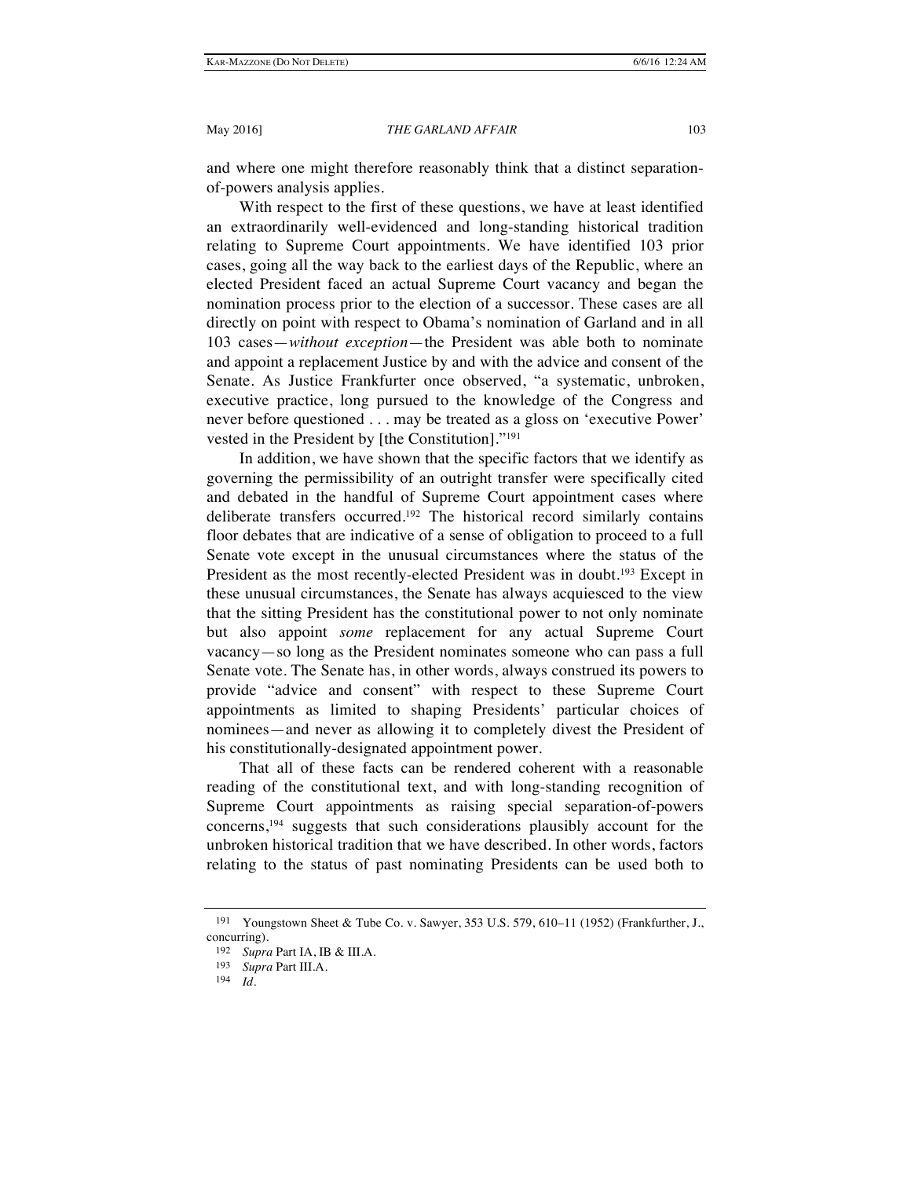and where one might therefore reasonably think that a distinct separationof-powers analysis applies.

With respect to the first of these questions, we have at least identified an extraordinarily well-evidenced and long-standing historical tradition relating to Supreme Court appointments. We have identified 103 prior cases, going all the way back to the earliest days of the Republic, where an elected President faced an actual Supreme Court vacancy and began the nomination process prior to the election of a successor. These cases are all directly on point with respect to Obama's nomination of Garland and in all 103 cases—*without exception*—the President was able both to nominate and appoint a replacement Justice by and with the advice and consent of the Senate. As Justice Frankfurter once observed, "a systematic, unbroken, executive practice, long pursued to the knowledge of the Congress and never before questioned . . . may be treated as a gloss on 'executive Power' vested in the President by [the Constitution]."191

In addition, we have shown that the specific factors that we identify as governing the permissibility of an outright transfer were specifically cited and debated in the handful of Supreme Court appointment cases where deliberate transfers occurred.192 The historical record similarly contains floor debates that are indicative of a sense of obligation to proceed to a full Senate vote except in the unusual circumstances where the status of the President as the most recently-elected President was in doubt.<sup>193</sup> Except in these unusual circumstances, the Senate has always acquiesced to the view that the sitting President has the constitutional power to not only nominate but also appoint *some* replacement for any actual Supreme Court vacancy—so long as the President nominates someone who can pass a full Senate vote. The Senate has, in other words, always construed its powers to provide "advice and consent" with respect to these Supreme Court appointments as limited to shaping Presidents' particular choices of nominees—and never as allowing it to completely divest the President of his constitutionally-designated appointment power.

That all of these facts can be rendered coherent with a reasonable reading of the constitutional text, and with long-standing recognition of Supreme Court appointments as raising special separation-of-powers concerns,194 suggests that such considerations plausibly account for the unbroken historical tradition that we have described. In other words, factors relating to the status of past nominating Presidents can be used both to

<sup>191</sup> Youngstown Sheet & Tube Co. v. Sawyer, 353 U.S. 579, 610–11 (1952) (Frankfurther, J., concurring).

<sup>192</sup> *Supra* Part IA, IB & III.A.

<sup>193</sup> *Supra* Part III.A.

<sup>194</sup> *Id.*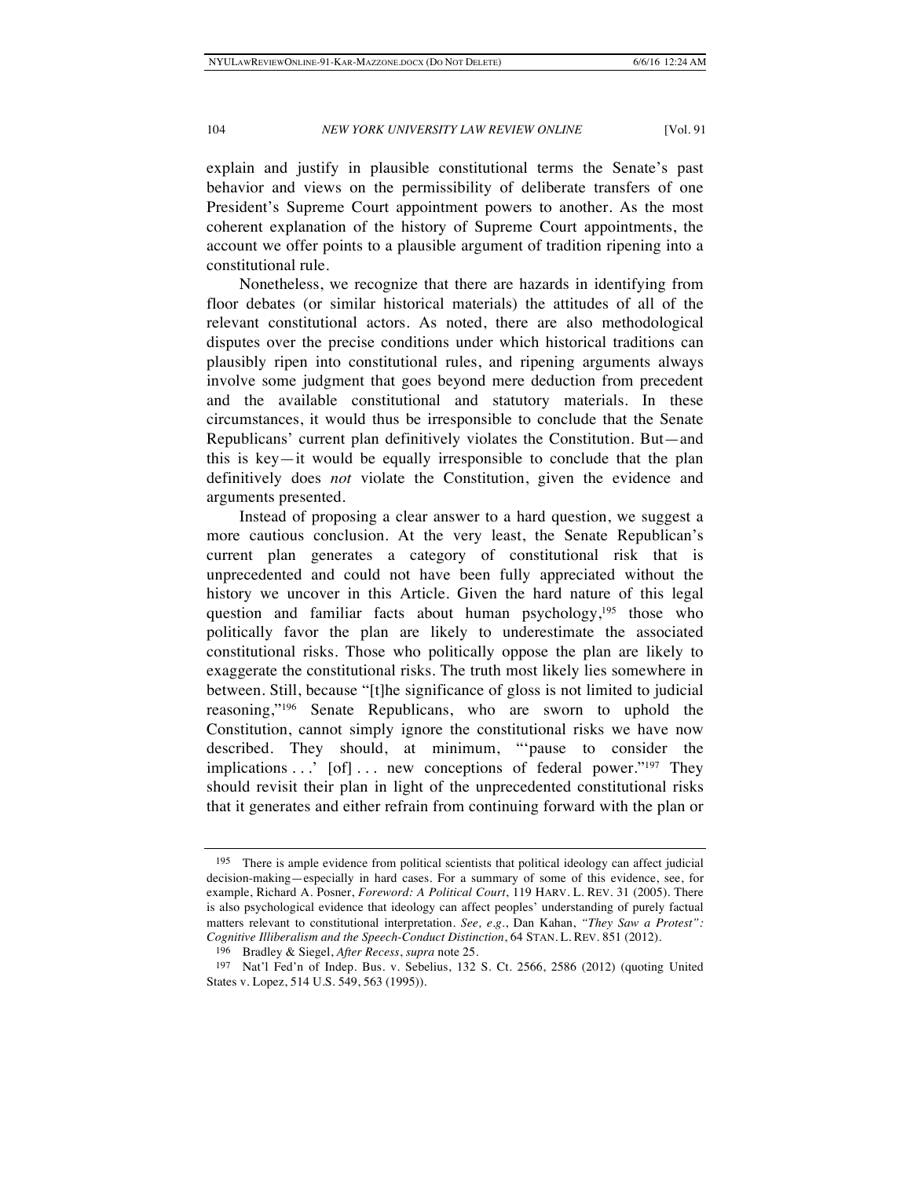explain and justify in plausible constitutional terms the Senate's past behavior and views on the permissibility of deliberate transfers of one President's Supreme Court appointment powers to another. As the most coherent explanation of the history of Supreme Court appointments, the account we offer points to a plausible argument of tradition ripening into a constitutional rule.

Nonetheless, we recognize that there are hazards in identifying from floor debates (or similar historical materials) the attitudes of all of the relevant constitutional actors. As noted, there are also methodological disputes over the precise conditions under which historical traditions can plausibly ripen into constitutional rules, and ripening arguments always involve some judgment that goes beyond mere deduction from precedent and the available constitutional and statutory materials. In these circumstances, it would thus be irresponsible to conclude that the Senate Republicans' current plan definitively violates the Constitution. But—and this is key—it would be equally irresponsible to conclude that the plan definitively does *not* violate the Constitution, given the evidence and arguments presented.

Instead of proposing a clear answer to a hard question, we suggest a more cautious conclusion. At the very least, the Senate Republican's current plan generates a category of constitutional risk that is unprecedented and could not have been fully appreciated without the history we uncover in this Article. Given the hard nature of this legal question and familiar facts about human psychology,<sup>195</sup> those who politically favor the plan are likely to underestimate the associated constitutional risks. Those who politically oppose the plan are likely to exaggerate the constitutional risks. The truth most likely lies somewhere in between. Still, because "[t]he significance of gloss is not limited to judicial reasoning,"196 Senate Republicans, who are sworn to uphold the Constitution, cannot simply ignore the constitutional risks we have now described. They should, at minimum, "'pause to consider the implications  $\therefore$  [of]  $\therefore$  new conceptions of federal power."<sup>197</sup> They should revisit their plan in light of the unprecedented constitutional risks that it generates and either refrain from continuing forward with the plan or

<sup>195</sup> There is ample evidence from political scientists that political ideology can affect judicial decision-making—especially in hard cases. For a summary of some of this evidence, see, for example, Richard A. Posner, *Foreword: A Political Court*, 119 HARV. L. REV. 31 (2005). There is also psychological evidence that ideology can affect peoples' understanding of purely factual matters relevant to constitutional interpretation. *See, e.g.*, Dan Kahan, *"They Saw a Protest": Cognitive Illiberalism and the Speech-Conduct Distinction*, 64 STAN. L. REV. 851 (2012).

<sup>196</sup> Bradley & Siegel, *After Recess*, *supra* note 25.

<sup>197</sup> Nat'l Fed'n of Indep. Bus. v. Sebelius, 132 S. Ct. 2566, 2586 (2012) (quoting United States v. Lopez, 514 U.S. 549, 563 (1995)).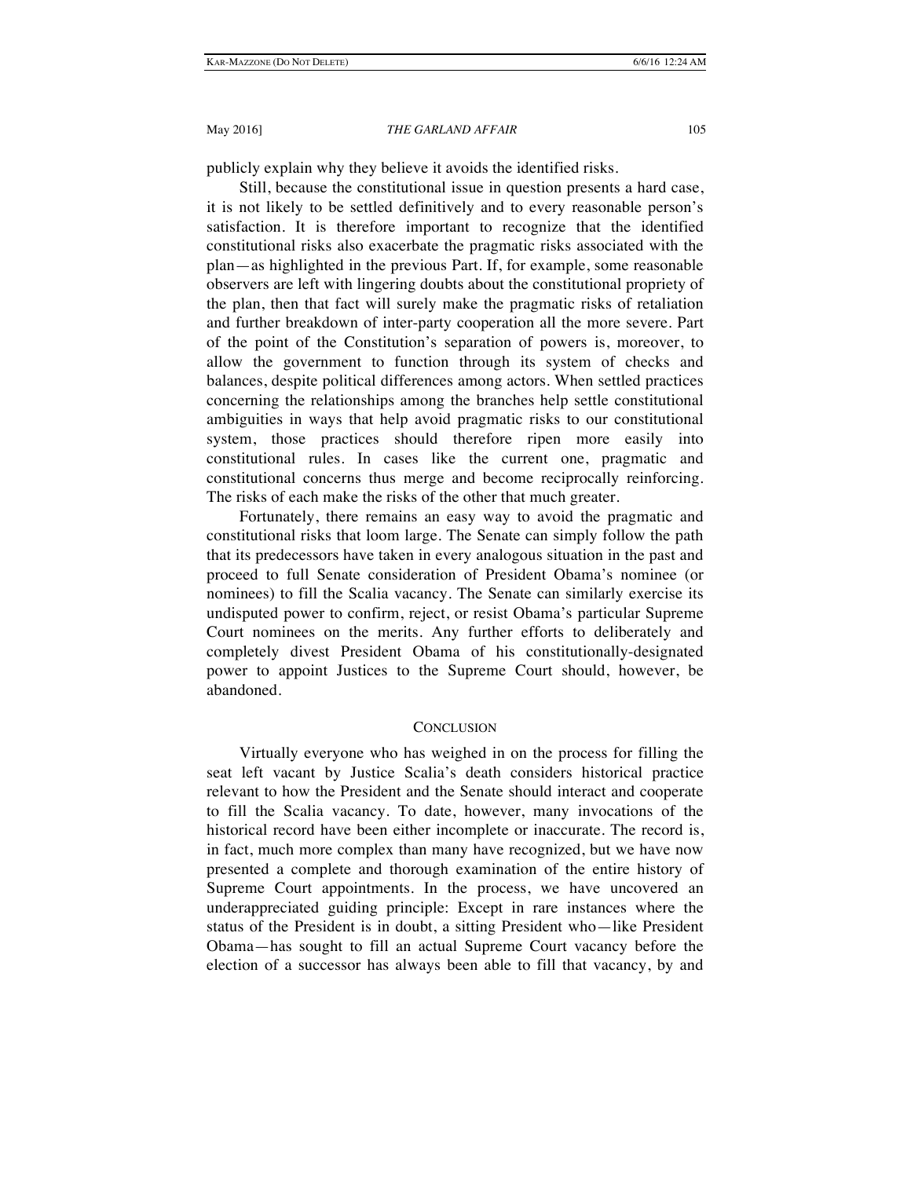publicly explain why they believe it avoids the identified risks.

Still, because the constitutional issue in question presents a hard case, it is not likely to be settled definitively and to every reasonable person's satisfaction. It is therefore important to recognize that the identified constitutional risks also exacerbate the pragmatic risks associated with the plan—as highlighted in the previous Part. If, for example, some reasonable observers are left with lingering doubts about the constitutional propriety of the plan, then that fact will surely make the pragmatic risks of retaliation and further breakdown of inter-party cooperation all the more severe. Part of the point of the Constitution's separation of powers is, moreover, to allow the government to function through its system of checks and balances, despite political differences among actors. When settled practices concerning the relationships among the branches help settle constitutional ambiguities in ways that help avoid pragmatic risks to our constitutional system, those practices should therefore ripen more easily into constitutional rules. In cases like the current one, pragmatic and constitutional concerns thus merge and become reciprocally reinforcing. The risks of each make the risks of the other that much greater.

Fortunately, there remains an easy way to avoid the pragmatic and constitutional risks that loom large. The Senate can simply follow the path that its predecessors have taken in every analogous situation in the past and proceed to full Senate consideration of President Obama's nominee (or nominees) to fill the Scalia vacancy. The Senate can similarly exercise its undisputed power to confirm, reject, or resist Obama's particular Supreme Court nominees on the merits. Any further efforts to deliberately and completely divest President Obama of his constitutionally-designated power to appoint Justices to the Supreme Court should, however, be abandoned.

#### **CONCLUSION**

Virtually everyone who has weighed in on the process for filling the seat left vacant by Justice Scalia's death considers historical practice relevant to how the President and the Senate should interact and cooperate to fill the Scalia vacancy. To date, however, many invocations of the historical record have been either incomplete or inaccurate. The record is, in fact, much more complex than many have recognized, but we have now presented a complete and thorough examination of the entire history of Supreme Court appointments. In the process, we have uncovered an underappreciated guiding principle: Except in rare instances where the status of the President is in doubt, a sitting President who—like President Obama—has sought to fill an actual Supreme Court vacancy before the election of a successor has always been able to fill that vacancy, by and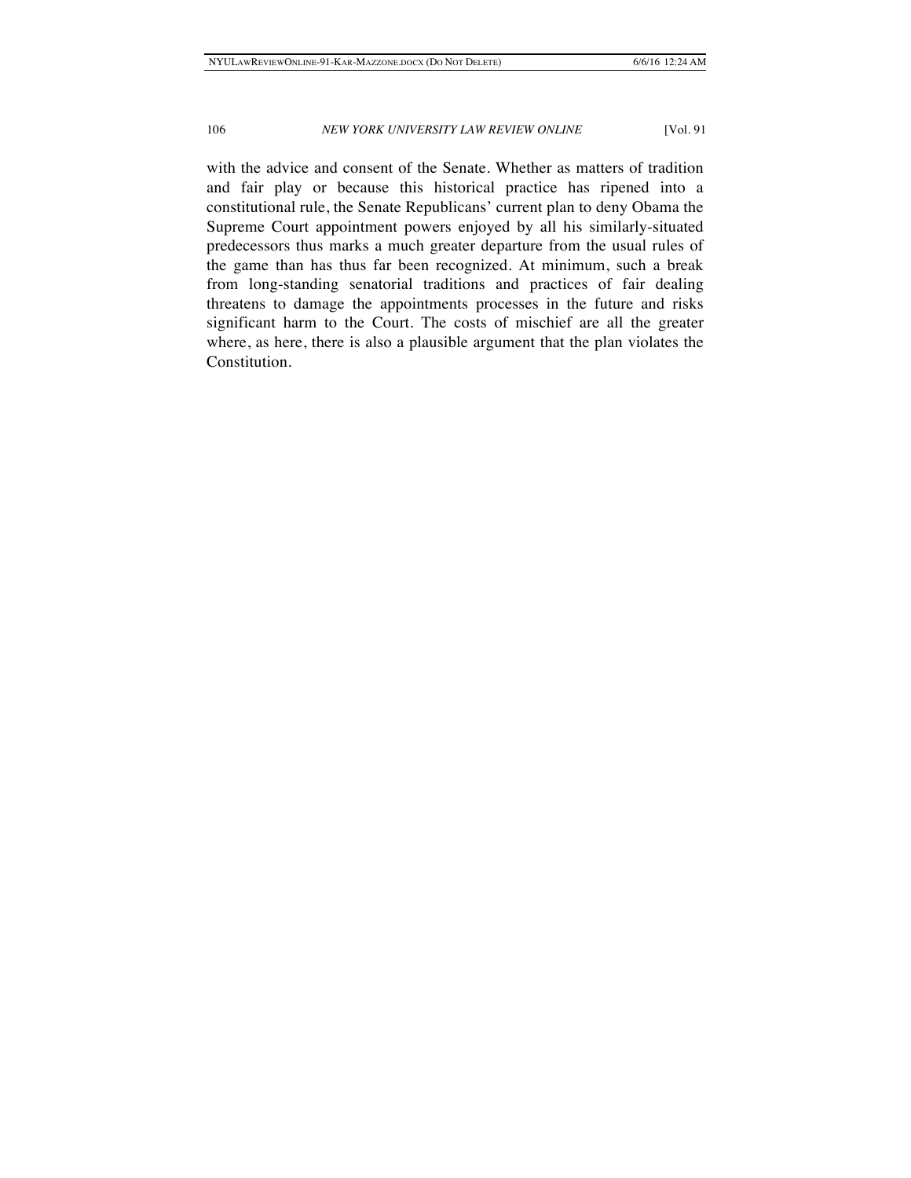with the advice and consent of the Senate. Whether as matters of tradition and fair play or because this historical practice has ripened into a constitutional rule, the Senate Republicans' current plan to deny Obama the Supreme Court appointment powers enjoyed by all his similarly-situated predecessors thus marks a much greater departure from the usual rules of the game than has thus far been recognized. At minimum, such a break from long-standing senatorial traditions and practices of fair dealing threatens to damage the appointments processes in the future and risks significant harm to the Court. The costs of mischief are all the greater where, as here, there is also a plausible argument that the plan violates the Constitution.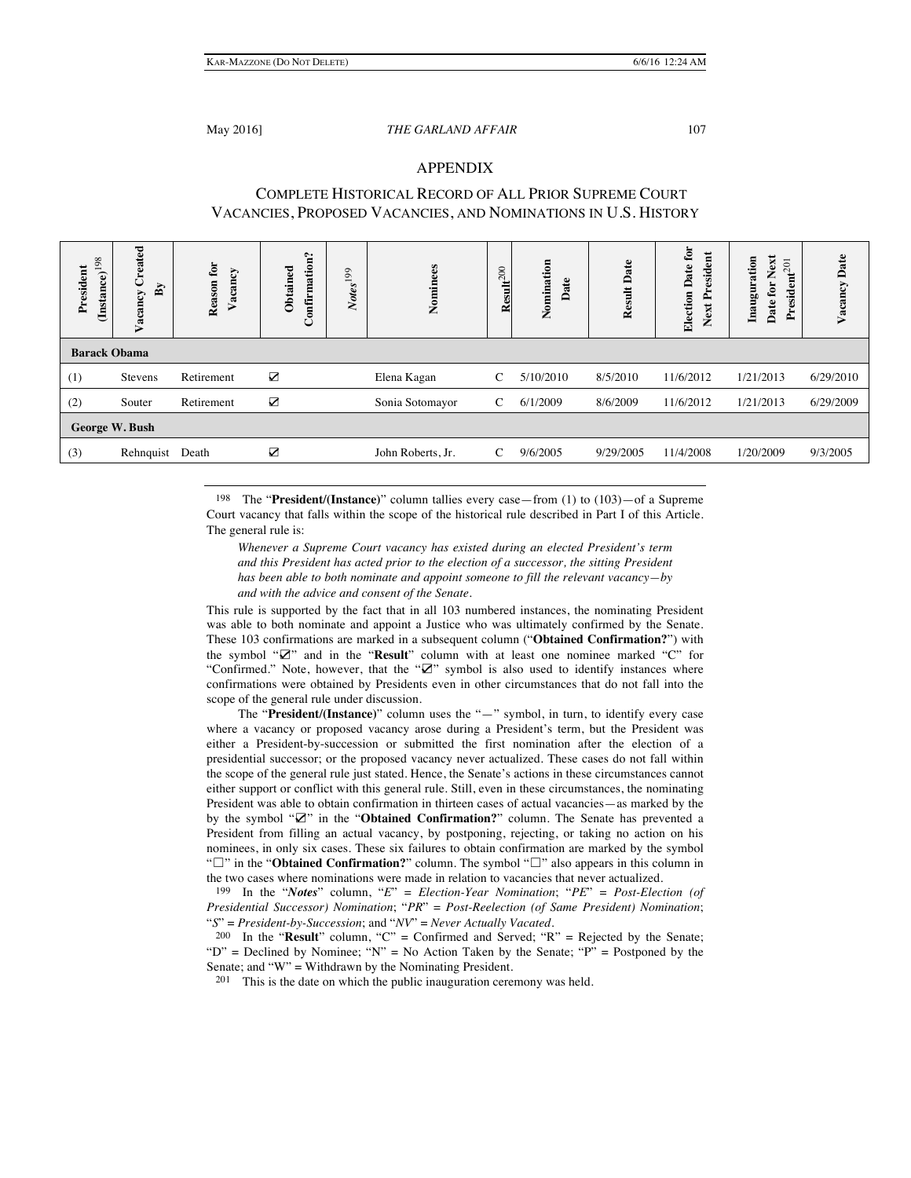#### APPENDIX

## COMPLETE HISTORICAL RECORD OF ALL PRIOR SUPREME COURT VACANCIES, PROPOSED VACANCIES, AND NOMINATIONS IN U.S. HISTORY

| ${\bf (Instance)^{198}}$<br>President | 럼<br>$\mathbf{B}$<br>P.<br>aca<br>⋗ | for<br>Vacancy<br>Reason | onfirmation?<br>್ಠ<br>Obtain | $\mathit{Notes}^{199}$ | Nominees          | 200<br>esult <sup>-</sup><br>≃ | Nomination<br>Date | Date<br>Result | Date for<br>$\mathbf{u}$<br>.<br>ज<br>Election<br>≏<br>Ħ<br>ż | Inauguration<br>Next<br>$\mathbf{President}^{201}$<br>for<br>Date | Vacancy Date |
|---------------------------------------|-------------------------------------|--------------------------|------------------------------|------------------------|-------------------|--------------------------------|--------------------|----------------|---------------------------------------------------------------|-------------------------------------------------------------------|--------------|
| <b>Barack Obama</b>                   |                                     |                          |                              |                        |                   |                                |                    |                |                                                               |                                                                   |              |
| (1)                                   | Stevens                             | Retirement               | ☑                            |                        | Elena Kagan       | $\mathcal{C}$                  | 5/10/2010          | 8/5/2010       | 11/6/2012                                                     | 1/21/2013                                                         | 6/29/2010    |
| (2)                                   | Souter                              | Retirement               | ☑                            |                        | Sonia Sotomayor   | C                              | 6/1/2009           | 8/6/2009       | 11/6/2012                                                     | 1/21/2013                                                         | 6/29/2009    |
| George W. Bush                        |                                     |                          |                              |                        |                   |                                |                    |                |                                                               |                                                                   |              |
| (3)                                   | Rehnquist Death                     |                          | ☑                            |                        | John Roberts, Jr. | C                              | 9/6/2005           | 9/29/2005      | 11/4/2008                                                     | 1/20/2009                                                         | 9/3/2005     |

198 The "**President/(Instance)**" column tallies every case—from (1) to (103)—of a Supreme Court vacancy that falls within the scope of the historical rule described in Part I of this Article. The general rule is:

*Whenever a Supreme Court vacancy has existed during an elected President's term and this President has acted prior to the election of a successor, the sitting President has been able to both nominate and appoint someone to fill the relevant vacancy—by and with the advice and consent of the Senate*.

This rule is supported by the fact that in all 103 numbered instances, the nominating President was able to both nominate and appoint a Justice who was ultimately confirmed by the Senate. These 103 confirmations are marked in a subsequent column ("**Obtained Confirmation?**") with the symbol "☑" and in the "**Result**" column with at least one nominee marked "C" for "Confirmed." Note, however, that the " $\mathbb{Z}$ " symbol is also used to identify instances where confirmations were obtained by Presidents even in other circumstances that do not fall into the scope of the general rule under discussion.

 The "**President/(Instance)**" column uses the "—" symbol, in turn, to identify every case where a vacancy or proposed vacancy arose during a President's term, but the President was either a President-by-succession or submitted the first nomination after the election of a presidential successor; or the proposed vacancy never actualized. These cases do not fall within the scope of the general rule just stated. Hence, the Senate's actions in these circumstances cannot either support or conflict with this general rule. Still, even in these circumstances, the nominating President was able to obtain confirmation in thirteen cases of actual vacancies—as marked by the by the symbol "☑" in the "**Obtained Confirmation?**" column. The Senate has prevented a President from filling an actual vacancy, by postponing, rejecting, or taking no action on his nominees, in only six cases. These six failures to obtain confirmation are marked by the symbol "☐" in the "**Obtained Confirmation?**" column. The symbol "☐" also appears in this column in the two cases where nominations were made in relation to vacancies that never actualized.

199 In the "*Notes*" column, "*E*" = *Election-Year Nomination*; "*PE*" = *Post-Election (of Presidential Successor) Nomination*; "*PR*" = *Post-Reelection (of Same President) Nomination*; "*S*" = *President-by-Succession*; and "*NV*" = *Never Actually Vacated*.

<sup>200</sup> In the "**Result**" column, "C" = Confirmed and Served; "R" = Rejected by the Senate; "D" = Declined by Nominee; "N" = No Action Taken by the Senate; "P" = Postponed by the Senate; and "W" = Withdrawn by the Nominating President.

201 This is the date on which the public inauguration ceremony was held.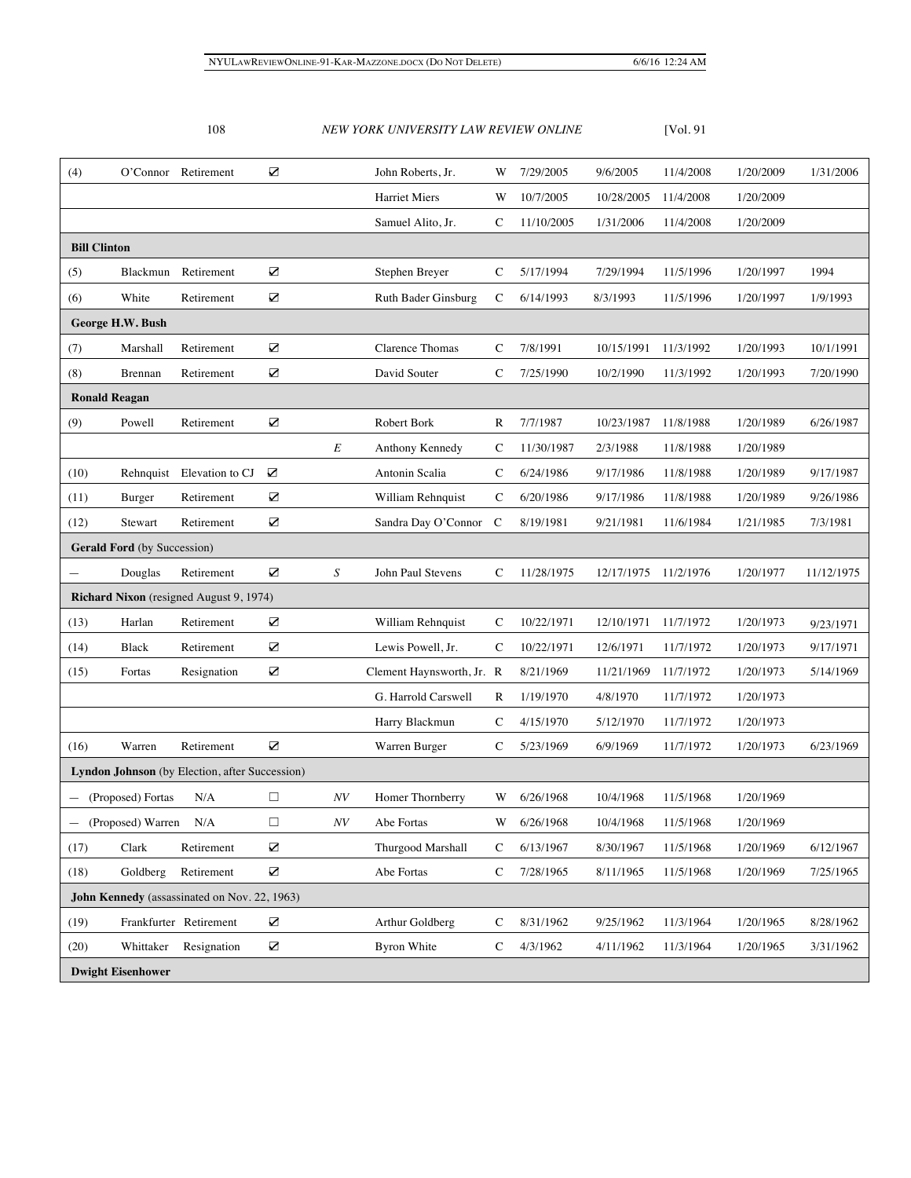108 *NEW YORK UNIVERSITY LAW REVIEW ONLINE* [Vol. 91

| (4)                 |                                    | O'Connor Retirement                                 | ☑                     |        | John Roberts, Jr.          | W             | 7/29/2005   | 9/6/2005   | 11/4/2008 | 1/20/2009 | 1/31/2006  |
|---------------------|------------------------------------|-----------------------------------------------------|-----------------------|--------|----------------------------|---------------|-------------|------------|-----------|-----------|------------|
|                     |                                    |                                                     |                       |        | Harriet Miers              | W             | 10/7/2005   | 10/28/2005 | 11/4/2008 | 1/20/2009 |            |
|                     |                                    |                                                     |                       |        | Samuel Alito, Jr.          | $\mathbf C$   | 11/10/2005  | 1/31/2006  | 11/4/2008 | 1/20/2009 |            |
| <b>Bill Clinton</b> |                                    |                                                     |                       |        |                            |               |             |            |           |           |            |
| (5)                 | Blackmun                           | Retirement                                          | ☑                     |        | Stephen Breyer             | C             | 5/17/1994   | 7/29/1994  | 11/5/1996 | 1/20/1997 | 1994       |
| (6)                 | White                              | Retirement                                          | $\boldsymbol{\nabla}$ |        | Ruth Bader Ginsburg        | C             | 6/14/1993   | 8/3/1993   | 11/5/1996 | 1/20/1997 | 1/9/1993   |
|                     | George H.W. Bush                   |                                                     |                       |        |                            |               |             |            |           |           |            |
| (7)                 | Marshall                           | Retirement                                          | ☑                     |        | Clarence Thomas            | C             | 7/8/1991    | 10/15/1991 | 11/3/1992 | 1/20/1993 | 10/1/1991  |
| (8)                 | Brennan                            | Retirement                                          | $\boldsymbol{\nabla}$ |        | David Souter               | C             | 7/25/1990   | 10/2/1990  | 11/3/1992 | 1/20/1993 | 7/20/1990  |
|                     | <b>Ronald Reagan</b>               |                                                     |                       |        |                            |               |             |            |           |           |            |
| (9)                 | Powell                             | Retirement                                          | ☑                     |        | Robert Bork                | R             | 7/7/1987    | 10/23/1987 | 11/8/1988 | 1/20/1989 | 6/26/1987  |
|                     |                                    |                                                     |                       | E      | Anthony Kennedy            | C             | 11/30/1987  | 2/3/1988   | 11/8/1988 | 1/20/1989 |            |
| (10)                |                                    | Rehnquist Elevation to CJ                           | ☑                     |        | Antonin Scalia             | $\mathsf{C}$  | 6/24/1986   | 9/17/1986  | 11/8/1988 | 1/20/1989 | 9/17/1987  |
| (11)                | Burger                             | Retirement                                          | ☑                     |        | William Rehnquist          | C             | 6/20/1986   | 9/17/1986  | 11/8/1988 | 1/20/1989 | 9/26/1986  |
| (12)                | Stewart                            | Retirement                                          | $\boldsymbol{\nabla}$ |        | Sandra Day O'Connor C      |               | 8/19/1981   | 9/21/1981  | 11/6/1984 | 1/21/1985 | 7/3/1981   |
|                     | <b>Gerald Ford</b> (by Succession) |                                                     |                       |        |                            |               |             |            |           |           |            |
|                     | Douglas                            | Retirement                                          | $\boldsymbol{\nabla}$ | S      | John Paul Stevens          | C             | 11/28/1975  | 12/17/1975 | 11/2/1976 | 1/20/1977 | 11/12/1975 |
|                     |                                    | Richard Nixon (resigned August 9, 1974)             |                       |        |                            |               |             |            |           |           |            |
| (13)                | Harlan                             | Retirement                                          | ☑                     |        | William Rehnquist          | C             | 10/22/1971  | 12/10/1971 | 11/7/1972 | 1/20/1973 | 9/23/1971  |
| (14)                | Black                              | Retirement                                          | ☑                     |        | Lewis Powell, Jr.          | C             | 10/22/1971  | 12/6/1971  | 11/7/1972 | 1/20/1973 | 9/17/1971  |
| (15)                | Fortas                             | Resignation                                         | $\boldsymbol{\nabla}$ |        | Clement Haynsworth, Jr. R. |               | 8/21/1969   | 11/21/1969 | 11/7/1972 | 1/20/1973 | 5/14/1969  |
|                     |                                    |                                                     |                       |        | G. Harrold Carswell        | R             | 1/19/1970   | 4/8/1970   | 11/7/1972 | 1/20/1973 |            |
|                     |                                    |                                                     |                       |        | Harry Blackmun             | $\mathsf{C}$  | 4/15/1970   | 5/12/1970  | 11/7/1972 | 1/20/1973 |            |
| (16)                | Warren                             | Retirement                                          | $\boldsymbol{\nabla}$ |        | Warren Burger              | C             | 5/23/1969   | 6/9/1969   | 11/7/1972 | 1/20/1973 | 6/23/1969  |
|                     |                                    | Lyndon Johnson (by Election, after Succession)      |                       |        |                            |               |             |            |           |           |            |
|                     | - (Proposed) Fortas                | N/A                                                 | □                     | N V    | Homer Thornberry           | W             | 6/26/1968   | 10/4/1968  | 11/5/1968 | 1/20/1969 |            |
|                     | - (Proposed) Warren                | N/A                                                 | $\Box$                | $N\!V$ | Abe Fortas                 |               | W 6/26/1968 | 10/4/1968  | 11/5/1968 | 1/20/1969 |            |
| (17)                | Clark                              | Retirement                                          | $\sum_{i=1}^{n}$      |        | Thurgood Marshall          | C             | 6/13/1967   | 8/30/1967  | 11/5/1968 | 1/20/1969 | 6/12/1967  |
| (18)                | Goldberg                           | Retirement                                          | $\sum_{i=1}^{n}$      |        | Abe Fortas                 | $\mathsf{C}$  | 7/28/1965   | 8/11/1965  | 11/5/1968 | 1/20/1969 | 7/25/1965  |
|                     |                                    | <b>John Kennedy</b> (assassinated on Nov. 22, 1963) |                       |        |                            |               |             |            |           |           |            |
| (19)                |                                    | Frankfurter Retirement                              | $\boldsymbol{\nabla}$ |        | Arthur Goldberg            | $\mathcal{C}$ | 8/31/1962   | 9/25/1962  | 11/3/1964 | 1/20/1965 | 8/28/1962  |
| (20)                | Whittaker                          | Resignation                                         | $\boldsymbol{\nabla}$ |        | <b>Byron White</b>         | $\mathbf C$   | 4/3/1962    | 4/11/1962  | 11/3/1964 | 1/20/1965 | 3/31/1962  |
|                     | <b>Dwight Eisenhower</b>           |                                                     |                       |        |                            |               |             |            |           |           |            |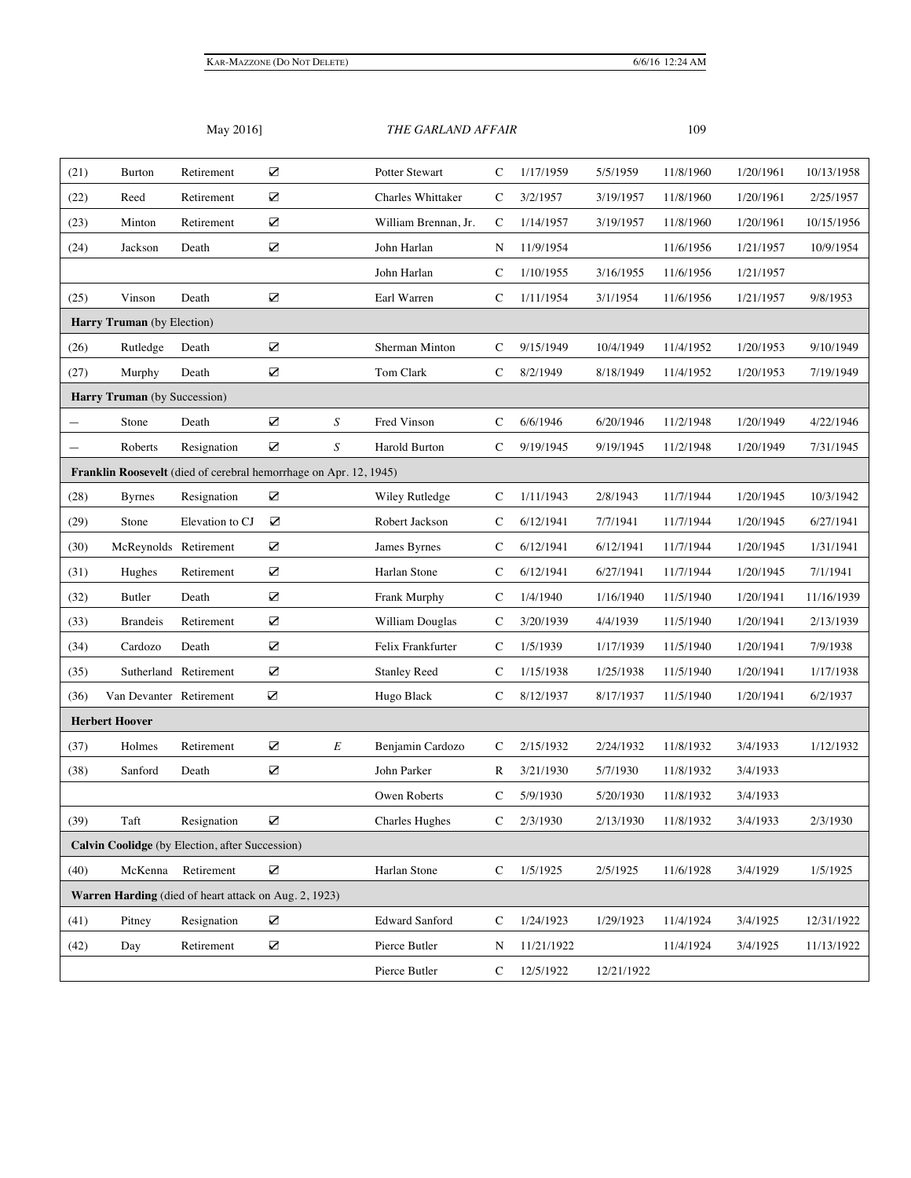| (21)                     | <b>Burton</b>                | Retirement                                                        | $\boldsymbol{\nabla}$ |   | Potter Stewart        | C             | 1/17/1959  | 5/5/1959   | 11/8/1960 | 1/20/1961 | 10/13/1958 |
|--------------------------|------------------------------|-------------------------------------------------------------------|-----------------------|---|-----------------------|---------------|------------|------------|-----------|-----------|------------|
| (22)                     | Reed                         | Retirement                                                        | $\boldsymbol{\nabla}$ |   | Charles Whittaker     | $\mathsf{C}$  | 3/2/1957   | 3/19/1957  | 11/8/1960 | 1/20/1961 | 2/25/1957  |
| (23)                     | Minton                       | Retirement                                                        | $\boldsymbol{\nabla}$ |   | William Brennan, Jr.  | $\mathcal{C}$ | 1/14/1957  | 3/19/1957  | 11/8/1960 | 1/20/1961 | 10/15/1956 |
| (24)                     | Jackson                      | Death                                                             | $\sum_{i=1}^{n}$      |   | John Harlan           | N             | 11/9/1954  |            | 11/6/1956 | 1/21/1957 | 10/9/1954  |
|                          |                              |                                                                   |                       |   | John Harlan           | C             | 1/10/1955  | 3/16/1955  | 11/6/1956 | 1/21/1957 |            |
| (25)                     | Vinson                       | Death                                                             | $\sum_{i=1}^{n}$      |   | Earl Warren           | $\mathbf C$   | 1/11/1954  | 3/1/1954   | 11/6/1956 | 1/21/1957 | 9/8/1953   |
|                          | Harry Truman (by Election)   |                                                                   |                       |   |                       |               |            |            |           |           |            |
| (26)                     | Rutledge                     | Death                                                             | $\sum_{i=1}^{n}$      |   | Sherman Minton        | $\mathsf{C}$  | 9/15/1949  | 10/4/1949  | 11/4/1952 | 1/20/1953 | 9/10/1949  |
| (27)                     | Murphy                       | Death                                                             | $\sum_{i=1}^{n}$      |   | Tom Clark             | C             | 8/2/1949   | 8/18/1949  | 11/4/1952 | 1/20/1953 | 7/19/1949  |
|                          | Harry Truman (by Succession) |                                                                   |                       |   |                       |               |            |            |           |           |            |
| $\overline{\phantom{0}}$ | Stone                        | Death                                                             | $\boldsymbol{\nabla}$ | S | Fred Vinson           | $\mathcal{C}$ | 6/6/1946   | 6/20/1946  | 11/2/1948 | 1/20/1949 | 4/22/1946  |
|                          | Roberts                      | Resignation                                                       | $\sum_{i=1}^{n}$      | S | <b>Harold Burton</b>  | C             | 9/19/1945  | 9/19/1945  | 11/2/1948 | 1/20/1949 | 7/31/1945  |
|                          |                              | Franklin Roosevelt (died of cerebral hemorrhage on Apr. 12, 1945) |                       |   |                       |               |            |            |           |           |            |
| (28)                     | <b>Byrnes</b>                | Resignation                                                       | ☑                     |   | Wiley Rutledge        | C             | 1/11/1943  | 2/8/1943   | 11/7/1944 | 1/20/1945 | 10/3/1942  |
| (29)                     | Stone                        | Elevation to CJ                                                   | $\boldsymbol{\nabla}$ |   | Robert Jackson        | C             | 6/12/1941  | 7/7/1941   | 11/7/1944 | 1/20/1945 | 6/27/1941  |
| (30)                     | McReynolds Retirement        |                                                                   | $\sum_{i=1}^{n}$      |   | James Byrnes          | C             | 6/12/1941  | 6/12/1941  | 11/7/1944 | 1/20/1945 | 1/31/1941  |
| (31)                     | Hughes                       | Retirement                                                        | $\boldsymbol{\nabla}$ |   | Harlan Stone          | $\mathbf C$   | 6/12/1941  | 6/27/1941  | 11/7/1944 | 1/20/1945 | 7/1/1941   |
| (32)                     | <b>Butler</b>                | Death                                                             | $\sum_{i=1}^{n}$      |   | Frank Murphy          | $\mathcal{C}$ | 1/4/1940   | 1/16/1940  | 11/5/1940 | 1/20/1941 | 11/16/1939 |
| (33)                     | <b>Brandeis</b>              | Retirement                                                        | $\sum_{i=1}^{n}$      |   | William Douglas       | C             | 3/20/1939  | 4/4/1939   | 11/5/1940 | 1/20/1941 | 2/13/1939  |
| (34)                     | Cardozo                      | Death                                                             | $\sum_{i=1}^{n}$      |   | Felix Frankfurter     | $\mathbf C$   | 1/5/1939   | 1/17/1939  | 11/5/1940 | 1/20/1941 | 7/9/1938   |
| (35)                     |                              | Sutherland Retirement                                             | $\sum_{i=1}^{n}$      |   | <b>Stanley Reed</b>   | C             | 1/15/1938  | 1/25/1938  | 11/5/1940 | 1/20/1941 | 1/17/1938  |
| (36)                     | Van Devanter Retirement      |                                                                   | $\boldsymbol{\nabla}$ |   | Hugo Black            | C             | 8/12/1937  | 8/17/1937  | 11/5/1940 | 1/20/1941 | 6/2/1937   |
|                          | <b>Herbert Hoover</b>        |                                                                   |                       |   |                       |               |            |            |           |           |            |
| (37)                     | Holmes                       | Retirement                                                        | ☑                     | E | Benjamin Cardozo      | C             | 2/15/1932  | 2/24/1932  | 11/8/1932 | 3/4/1933  | 1/12/1932  |
| (38)                     | Sanford                      | Death                                                             | $\sum_{i=1}^{n}$      |   | John Parker           | R             | 3/21/1930  | 5/7/1930   | 11/8/1932 | 3/4/1933  |            |
|                          |                              |                                                                   |                       |   | Owen Roberts          | $\mathcal{C}$ | 5/9/1930   | 5/20/1930  | 11/8/1932 | 3/4/1933  |            |
| (39)                     | Taft                         | Resignation                                                       | $\boldsymbol{\nabla}$ |   | <b>Charles Hughes</b> | $\mathsf{C}$  | 2/3/1930   | 2/13/1930  | 11/8/1932 | 3/4/1933  | 2/3/1930   |
|                          |                              | Calvin Coolidge (by Election, after Succession)                   |                       |   |                       |               |            |            |           |           |            |
| (40)                     | McKenna                      | Retirement                                                        | $\sum_{i=1}^{n}$      |   | Harlan Stone          | $\mathbf C$   | 1/5/1925   | 2/5/1925   | 11/6/1928 | 3/4/1929  | 1/5/1925   |
|                          |                              | Warren Harding (died of heart attack on Aug. 2, 1923)             |                       |   |                       |               |            |            |           |           |            |
| (41)                     | Pitney                       | Resignation                                                       | ☑                     |   | <b>Edward Sanford</b> | $\mathcal{C}$ | 1/24/1923  | 1/29/1923  | 11/4/1924 | 3/4/1925  | 12/31/1922 |
| (42)                     | Day                          | Retirement                                                        | $\boldsymbol{\nabla}$ |   | Pierce Butler         | N             | 11/21/1922 |            | 11/4/1924 | 3/4/1925  | 11/13/1922 |
|                          |                              |                                                                   |                       |   | Pierce Butler         | $\mathsf{C}$  | 12/5/1922  | 12/21/1922 |           |           |            |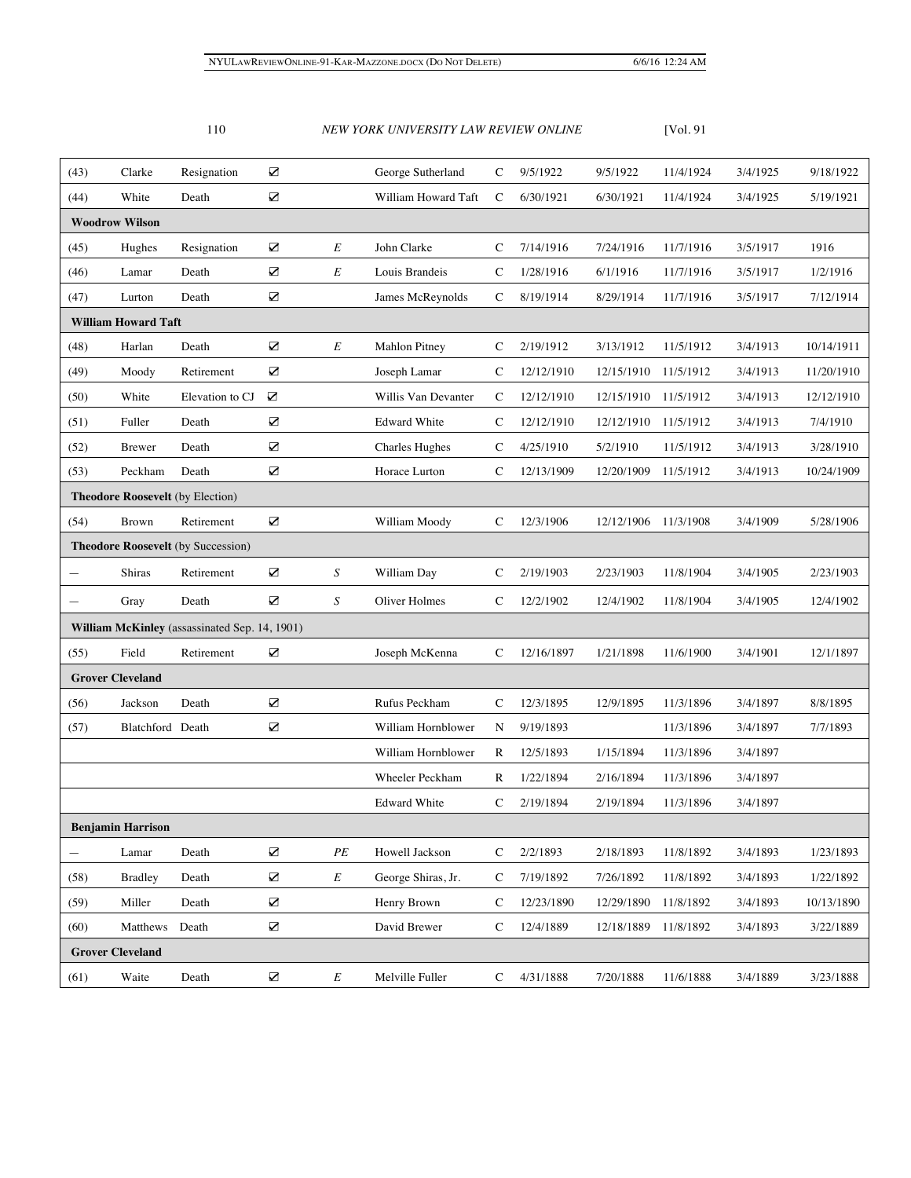## 110 *NEW YORK UNIVERSITY LAW REVIEW ONLINE* [Vol. 91

| (43)                     | Clarke                                  | Resignation                                   | ☑                     |                  | George Sutherland     | C             | 9/5/1922   | 9/5/1922   | 11/4/1924 | 3/4/1925 | 9/18/1922  |
|--------------------------|-----------------------------------------|-----------------------------------------------|-----------------------|------------------|-----------------------|---------------|------------|------------|-----------|----------|------------|
| (44)                     | White                                   | Death                                         | $\boldsymbol{\nabla}$ |                  | William Howard Taft   | $\mathsf{C}$  | 6/30/1921  | 6/30/1921  | 11/4/1924 | 3/4/1925 | 5/19/1921  |
|                          | <b>Woodrow Wilson</b>                   |                                               |                       |                  |                       |               |            |            |           |          |            |
| (45)                     | Hughes                                  | Resignation                                   | ☑                     | E                | John Clarke           | C             | 7/14/1916  | 7/24/1916  | 11/7/1916 | 3/5/1917 | 1916       |
| (46)                     | Lamar                                   | Death                                         | $\boldsymbol{\nabla}$ | E                | Louis Brandeis        | $\mathsf{C}$  | 1/28/1916  | 6/1/1916   | 11/7/1916 | 3/5/1917 | 1/2/1916   |
| (47)                     | Lurton                                  | Death                                         | $\boldsymbol{\nabla}$ |                  | James McReynolds      | C             | 8/19/1914  | 8/29/1914  | 11/7/1916 | 3/5/1917 | 7/12/1914  |
|                          | <b>William Howard Taft</b>              |                                               |                       |                  |                       |               |            |            |           |          |            |
| (48)                     | Harlan                                  | Death                                         | ☑                     | $\cal E$         | <b>Mahlon Pitney</b>  | C             | 2/19/1912  | 3/13/1912  | 11/5/1912 | 3/4/1913 | 10/14/1911 |
| (49)                     | Moody                                   | Retirement                                    | $\boldsymbol{\nabla}$ |                  | Joseph Lamar          | C             | 12/12/1910 | 12/15/1910 | 11/5/1912 | 3/4/1913 | 11/20/1910 |
| (50)                     | White                                   | Elevation to CJ                               | ☑                     |                  | Willis Van Devanter   | C             | 12/12/1910 | 12/15/1910 | 11/5/1912 | 3/4/1913 | 12/12/1910 |
| (51)                     | Fuller                                  | Death                                         | $\boldsymbol{\nabla}$ |                  | <b>Edward White</b>   | $\mathsf{C}$  | 12/12/1910 | 12/12/1910 | 11/5/1912 | 3/4/1913 | 7/4/1910   |
| (52)                     | Brewer                                  | Death                                         | $\boldsymbol{\nabla}$ |                  | <b>Charles Hughes</b> | $\mathsf{C}$  | 4/25/1910  | 5/2/1910   | 11/5/1912 | 3/4/1913 | 3/28/1910  |
| (53)                     | Peckham                                 | Death                                         | $\boldsymbol{\nabla}$ |                  | Horace Lurton         | $\mathsf{C}$  | 12/13/1909 | 12/20/1909 | 11/5/1912 | 3/4/1913 | 10/24/1909 |
|                          | <b>Theodore Roosevelt</b> (by Election) |                                               |                       |                  |                       |               |            |            |           |          |            |
| (54)                     | <b>Brown</b>                            | Retirement                                    | $\boldsymbol{\nabla}$ |                  | William Moody         | C             | 12/3/1906  | 12/12/1906 | 11/3/1908 | 3/4/1909 | 5/28/1906  |
|                          |                                         | Theodore Roosevelt (by Succession)            |                       |                  |                       |               |            |            |           |          |            |
|                          | Shiras                                  | Retirement                                    | $\boldsymbol{\nabla}$ | S                | William Day           | $\mathsf{C}$  | 2/19/1903  | 2/23/1903  | 11/8/1904 | 3/4/1905 | 2/23/1903  |
|                          | Gray                                    | Death                                         | $\boldsymbol{\nabla}$ | $\boldsymbol{S}$ | Oliver Holmes         | C             | 12/2/1902  | 12/4/1902  | 11/8/1904 | 3/4/1905 | 12/4/1902  |
|                          |                                         | William McKinley (assassinated Sep. 14, 1901) |                       |                  |                       |               |            |            |           |          |            |
| (55)                     | Field                                   | Retirement                                    | $\boldsymbol{\nabla}$ |                  | Joseph McKenna        | C             | 12/16/1897 | 1/21/1898  | 11/6/1900 | 3/4/1901 | 12/1/1897  |
|                          | <b>Grover Cleveland</b>                 |                                               |                       |                  |                       |               |            |            |           |          |            |
| (56)                     | Jackson                                 | Death                                         | ☑                     |                  | Rufus Peckham         | C             | 12/3/1895  | 12/9/1895  | 11/3/1896 | 3/4/1897 | 8/8/1895   |
| (57)                     | Blatchford Death                        |                                               | $\boldsymbol{\nabla}$ |                  | William Hornblower    | N             | 9/19/1893  |            | 11/3/1896 | 3/4/1897 | 7/7/1893   |
|                          |                                         |                                               |                       |                  | William Hornblower    | R             | 12/5/1893  | 1/15/1894  | 11/3/1896 | 3/4/1897 |            |
|                          |                                         |                                               |                       |                  | Wheeler Peckham       | R             | 1/22/1894  | 2/16/1894  | 11/3/1896 | 3/4/1897 |            |
|                          |                                         |                                               |                       |                  | <b>Edward White</b>   | C             | 2/19/1894  | 2/19/1894  | 11/3/1896 | 3/4/1897 |            |
|                          | <b>Benjamin Harrison</b>                |                                               |                       |                  |                       |               |            |            |           |          |            |
| $\overline{\phantom{0}}$ | Lamar                                   | Death                                         | $\boldsymbol{\nabla}$ | $\cal{P}E$       | Howell Jackson        | ${\bf C}$     | 2/2/1893   | 2/18/1893  | 11/8/1892 | 3/4/1893 | 1/23/1893  |
| (58)                     | <b>Bradley</b>                          | Death                                         | $\boldsymbol{\nabla}$ | $\cal E$         | George Shiras, Jr.    | $\mathbf C$   | 7/19/1892  | 7/26/1892  | 11/8/1892 | 3/4/1893 | 1/22/1892  |
| (59)                     | Miller                                  | Death                                         | $\boldsymbol{\nabla}$ |                  | Henry Brown           | ${\bf C}$     | 12/23/1890 | 12/29/1890 | 11/8/1892 | 3/4/1893 | 10/13/1890 |
| (60)                     | Matthews                                | Death                                         | $\boldsymbol{\nabla}$ |                  | David Brewer          | $\mathbf C$   | 12/4/1889  | 12/18/1889 | 11/8/1892 | 3/4/1893 | 3/22/1889  |
|                          | <b>Grover Cleveland</b>                 |                                               |                       |                  |                       |               |            |            |           |          |            |
| (61)                     | Waite                                   | Death                                         | $\boldsymbol{\Sigma}$ | $\cal E$         | Melville Fuller       | $\mathcal{C}$ | 4/31/1888  | 7/20/1888  | 11/6/1888 | 3/4/1889 | 3/23/1888  |
|                          |                                         |                                               |                       |                  |                       |               |            |            |           |          |            |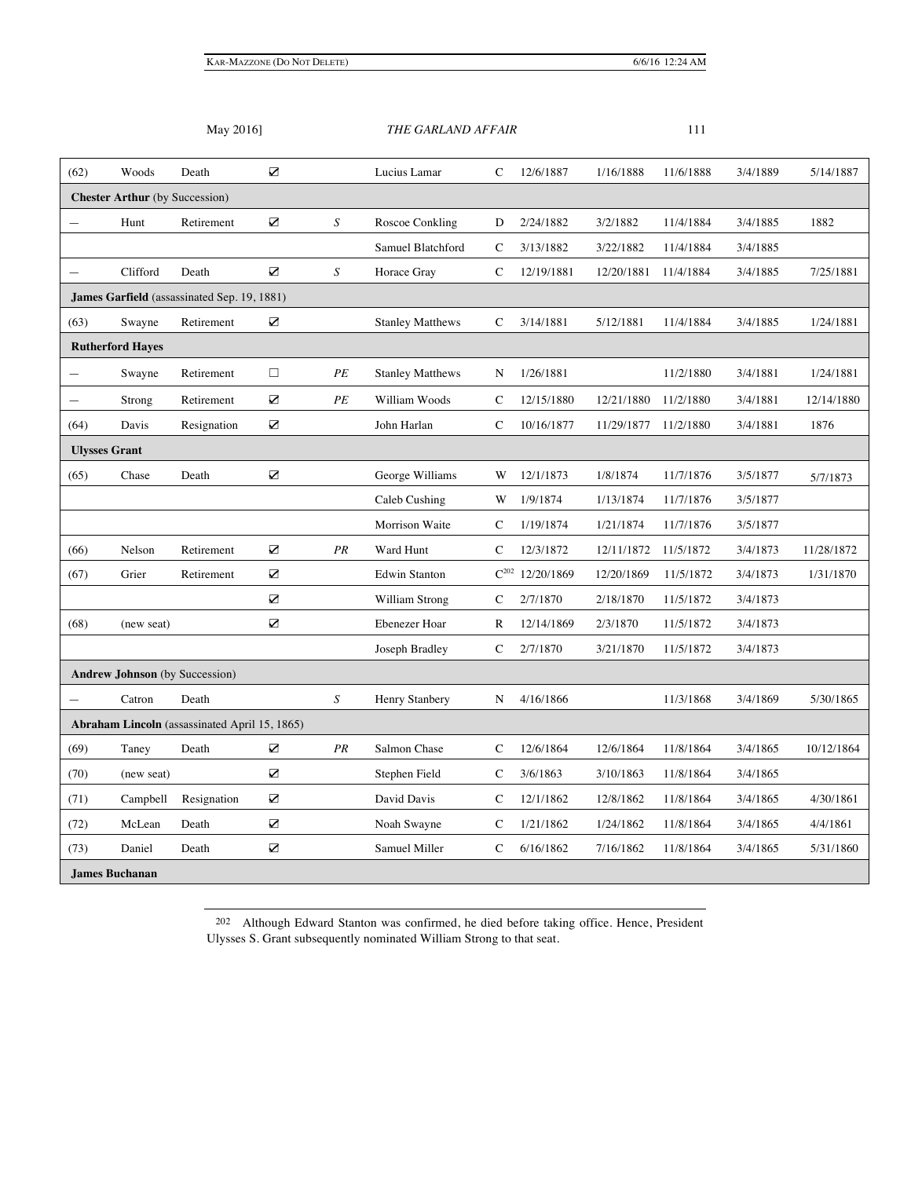| (62)                     | Woods                                 | Death                                         | ☑                       |    | Lucius Lamar            | $\mathsf{C}$ | 12/6/1887            | 1/16/1888  | 11/6/1888 | 3/4/1889 | 5/14/1887  |
|--------------------------|---------------------------------------|-----------------------------------------------|-------------------------|----|-------------------------|--------------|----------------------|------------|-----------|----------|------------|
|                          | <b>Chester Arthur</b> (by Succession) |                                               |                         |    |                         |              |                      |            |           |          |            |
| $\qquad \qquad -$        | Hunt                                  | Retirement                                    | ☑                       | S  | Roscoe Conkling         | D            | 2/24/1882            | 3/2/1882   | 11/4/1884 | 3/4/1885 | 1882       |
|                          |                                       |                                               |                         |    | Samuel Blatchford       | $\mathsf{C}$ | 3/13/1882            | 3/22/1882  | 11/4/1884 | 3/4/1885 |            |
|                          | Clifford                              | Death                                         | N                       | S  | Horace Gray             | $\mathsf{C}$ | 12/19/1881           | 12/20/1881 | 11/4/1884 | 3/4/1885 | 7/25/1881  |
|                          |                                       | James Garfield (assassinated Sep. 19, 1881)   |                         |    |                         |              |                      |            |           |          |            |
| (63)                     | Swayne                                | Retirement                                    | $\overline{\mathbf{z}}$ |    | <b>Stanley Matthews</b> | $\mathsf{C}$ | 3/14/1881            | 5/12/1881  | 11/4/1884 | 3/4/1885 | 1/24/1881  |
|                          | <b>Rutherford Hayes</b>               |                                               |                         |    |                         |              |                      |            |           |          |            |
|                          | Swayne                                | Retirement                                    | $\Box$                  | PE | <b>Stanley Matthews</b> | N            | 1/26/1881            |            | 11/2/1880 | 3/4/1881 | 1/24/1881  |
| $\overline{\phantom{0}}$ | Strong                                | Retirement                                    | ☑                       | PE | William Woods           | $\mathsf{C}$ | 12/15/1880           | 12/21/1880 | 11/2/1880 | 3/4/1881 | 12/14/1880 |
| (64)                     | Davis                                 | Resignation                                   | $\boldsymbol{\nabla}$   |    | John Harlan             | $\mathsf{C}$ | 10/16/1877           | 11/29/1877 | 11/2/1880 | 3/4/1881 | 1876       |
| <b>Ulysses Grant</b>     |                                       |                                               |                         |    |                         |              |                      |            |           |          |            |
| (65)                     | Chase                                 | Death                                         | ☑                       |    | George Williams         | W            | 12/1/1873            | 1/8/1874   | 11/7/1876 | 3/5/1877 | 5/7/1873   |
|                          |                                       |                                               |                         |    | Caleb Cushing           | W            | 1/9/1874             | 1/13/1874  | 11/7/1876 | 3/5/1877 |            |
|                          |                                       |                                               |                         |    | Morrison Waite          | C            | 1/19/1874            | 1/21/1874  | 11/7/1876 | 3/5/1877 |            |
| (66)                     | Nelson                                | Retirement                                    | ☑                       | PR | Ward Hunt               | $\mathsf{C}$ | 12/3/1872            | 12/11/1872 | 11/5/1872 | 3/4/1873 | 11/28/1872 |
| (67)                     | Grier                                 | Retirement                                    | ☑                       |    | <b>Edwin Stanton</b>    |              | $C^{202}$ 12/20/1869 | 12/20/1869 | 11/5/1872 | 3/4/1873 | 1/31/1870  |
|                          |                                       |                                               | N                       |    | William Strong          | $\mathsf{C}$ | 2/7/1870             | 2/18/1870  | 11/5/1872 | 3/4/1873 |            |
| (68)                     | (new seat)                            |                                               | $\boldsymbol{\nabla}$   |    | <b>Ebenezer Hoar</b>    | $\mathbb{R}$ | 12/14/1869           | 2/3/1870   | 11/5/1872 | 3/4/1873 |            |
|                          |                                       |                                               |                         |    | Joseph Bradley          | $\mathsf{C}$ | 2/7/1870             | 3/21/1870  | 11/5/1872 | 3/4/1873 |            |
|                          |                                       | <b>Andrew Johnson</b> (by Succession)         |                         |    |                         |              |                      |            |           |          |            |
|                          | Catron                                | Death                                         |                         | S  | <b>Henry Stanbery</b>   | N            | 4/16/1866            |            | 11/3/1868 | 3/4/1869 | 5/30/1865  |
|                          |                                       | Abraham Lincoln (assassinated April 15, 1865) |                         |    |                         |              |                      |            |           |          |            |
| (69)                     | Taney                                 | Death                                         | $\boldsymbol{\nabla}$   | PR | Salmon Chase            | $\mathsf{C}$ | 12/6/1864            | 12/6/1864  | 11/8/1864 | 3/4/1865 | 10/12/1864 |
| (70)                     | (new seat)                            |                                               | $\boldsymbol{\nabla}$   |    | Stephen Field           | $\mathsf{C}$ | 3/6/1863             | 3/10/1863  | 11/8/1864 | 3/4/1865 |            |
| (71)                     | Campbell                              | Resignation                                   | ☑                       |    | David Davis             | $\mathsf{C}$ | 12/1/1862            | 12/8/1862  | 11/8/1864 | 3/4/1865 | 4/30/1861  |
| (72)                     | McLean                                | Death                                         | $\boldsymbol{\nabla}$   |    | Noah Swayne             | $\mathsf{C}$ | 1/21/1862            | 1/24/1862  | 11/8/1864 | 3/4/1865 | 4/4/1861   |
| (73)                     | Daniel                                | Death                                         | $\overline{\mathbf{z}}$ |    | Samuel Miller           | $\mathsf{C}$ | 6/16/1862            | 7/16/1862  | 11/8/1864 | 3/4/1865 | 5/31/1860  |
|                          | <b>James Buchanan</b>                 |                                               |                         |    |                         |              |                      |            |           |          |            |

202 Although Edward Stanton was confirmed, he died before taking office. Hence, President Ulysses S. Grant subsequently nominated William Strong to that seat.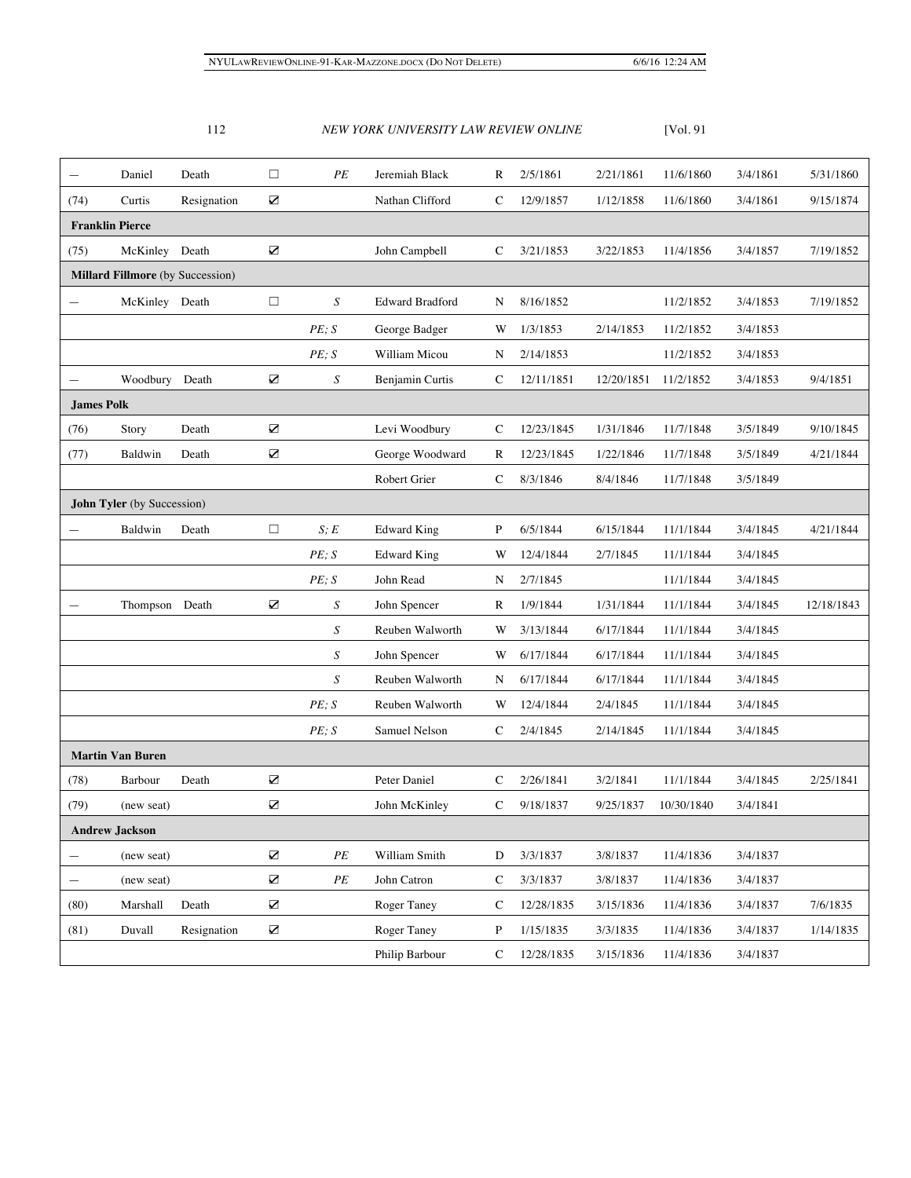|                   | Daniel                            | Death       | $\Box$                | $\cal PE$        | Jeremiah Black         | R            | 2/5/1861   | 2/21/1861  | 11/6/1860  | 3/4/1861 | 5/31/1860  |
|-------------------|-----------------------------------|-------------|-----------------------|------------------|------------------------|--------------|------------|------------|------------|----------|------------|
| (74)              | Curtis                            | Resignation | $\sum_{i=1}^{n}$      |                  | Nathan Clifford        | C            | 12/9/1857  | 1/12/1858  | 11/6/1860  | 3/4/1861 | 9/15/1874  |
|                   | <b>Franklin Pierce</b>            |             |                       |                  |                        |              |            |            |            |          |            |
| (75)              | McKinley                          | Death       | $\boldsymbol{\nabla}$ |                  | John Campbell          | C            | 3/21/1853  | 3/22/1853  | 11/4/1856  | 3/4/1857 | 7/19/1852  |
|                   | Millard Fillmore (by Succession)  |             |                       |                  |                        |              |            |            |            |          |            |
| $\qquad \qquad -$ | McKinley Death                    |             | $\Box$                | S                | <b>Edward Bradford</b> | N            | 8/16/1852  |            | 11/2/1852  | 3/4/1853 | 7/19/1852  |
|                   |                                   |             |                       | PE; S            | George Badger          | W            | 1/3/1853   | 2/14/1853  | 11/2/1852  | 3/4/1853 |            |
|                   |                                   |             |                       | PE; S            | William Micou          | N            | 2/14/1853  |            | 11/2/1852  | 3/4/1853 |            |
|                   | Woodbury Death                    |             | $\boldsymbol{\nabla}$ | ${\cal S}$       | Benjamin Curtis        | $\mathsf{C}$ | 12/11/1851 | 12/20/1851 | 11/2/1852  | 3/4/1853 | 9/4/1851   |
| <b>James Polk</b> |                                   |             |                       |                  |                        |              |            |            |            |          |            |
| (76)              | Story                             | Death       | $\boldsymbol{\nabla}$ |                  | Levi Woodbury          | C            | 12/23/1845 | 1/31/1846  | 11/7/1848  | 3/5/1849 | 9/10/1845  |
| (77)              | Baldwin                           | Death       | $\sum_{i=1}^{n}$      |                  | George Woodward        | R            | 12/23/1845 | 1/22/1846  | 11/7/1848  | 3/5/1849 | 4/21/1844  |
|                   |                                   |             |                       |                  | Robert Grier           | C            | 8/3/1846   | 8/4/1846   | 11/7/1848  | 3/5/1849 |            |
|                   | <b>John Tyler</b> (by Succession) |             |                       |                  |                        |              |            |            |            |          |            |
|                   | Baldwin                           | Death       | $\Box$                | S; E             | <b>Edward King</b>     | P            | 6/5/1844   | 6/15/1844  | 11/1/1844  | 3/4/1845 | 4/21/1844  |
|                   |                                   |             |                       | PE; S            | <b>Edward King</b>     | W            | 12/4/1844  | 2/7/1845   | 11/1/1844  | 3/4/1845 |            |
|                   |                                   |             |                       | PE; S            | John Read              | N            | 2/7/1845   |            | 11/1/1844  | 3/4/1845 |            |
| $\qquad \qquad -$ | Thompson Death                    |             | $\boldsymbol{\Sigma}$ | S                | John Spencer           | R            | 1/9/1844   | 1/31/1844  | 11/1/1844  | 3/4/1845 | 12/18/1843 |
|                   |                                   |             |                       | $\boldsymbol{S}$ | Reuben Walworth        | W            | 3/13/1844  | 6/17/1844  | 11/1/1844  | 3/4/1845 |            |
|                   |                                   |             |                       | $\boldsymbol{S}$ | John Spencer           | W            | 6/17/1844  | 6/17/1844  | 11/1/1844  | 3/4/1845 |            |
|                   |                                   |             |                       | S                | Reuben Walworth        | N            | 6/17/1844  | 6/17/1844  | 11/1/1844  | 3/4/1845 |            |
|                   |                                   |             |                       | PE; S            | Reuben Walworth        | W            | 12/4/1844  | 2/4/1845   | 11/1/1844  | 3/4/1845 |            |
|                   |                                   |             |                       | PE; S            | Samuel Nelson          | $\mathsf{C}$ | 2/4/1845   | 2/14/1845  | 11/1/1844  | 3/4/1845 |            |
|                   | <b>Martin Van Buren</b>           |             |                       |                  |                        |              |            |            |            |          |            |
| (78)              | Barbour                           | Death       | $\boldsymbol{\nabla}$ |                  | Peter Daniel           | $\mathsf{C}$ | 2/26/1841  | 3/2/1841   | 11/1/1844  | 3/4/1845 | 2/25/1841  |
| (79)              | (new seat)                        |             | N                     |                  | John McKinley          | C            | 9/18/1837  | 9/25/1837  | 10/30/1840 | 3/4/1841 |            |
|                   | <b>Andrew Jackson</b>             |             |                       |                  |                        |              |            |            |            |          |            |
|                   | (new seat)                        |             | $\boldsymbol{\Sigma}$ | PE               | William Smith          | D            | 3/3/1837   | 3/8/1837   | 11/4/1836  | 3/4/1837 |            |
|                   | (new seat)                        |             | $\boldsymbol{\nabla}$ | $\cal{P}E$       | John Catron            | ${\bf C}$    | 3/3/1837   | 3/8/1837   | 11/4/1836  | 3/4/1837 |            |
| (80)              | Marshall                          | Death       | $\boldsymbol{\Sigma}$ |                  | Roger Taney            | ${\bf C}$    | 12/28/1835 | 3/15/1836  | 11/4/1836  | 3/4/1837 | 7/6/1835   |
| (81)              | Duvall                            | Resignation | $\boldsymbol{\nabla}$ |                  | Roger Taney            | P            | 1/15/1835  | 3/3/1835   | 11/4/1836  | 3/4/1837 | 1/14/1835  |
|                   |                                   |             |                       |                  | Philip Barbour         | ${\bf C}$    | 12/28/1835 | 3/15/1836  | 11/4/1836  | 3/4/1837 |            |
|                   |                                   |             |                       |                  |                        |              |            |            |            |          |            |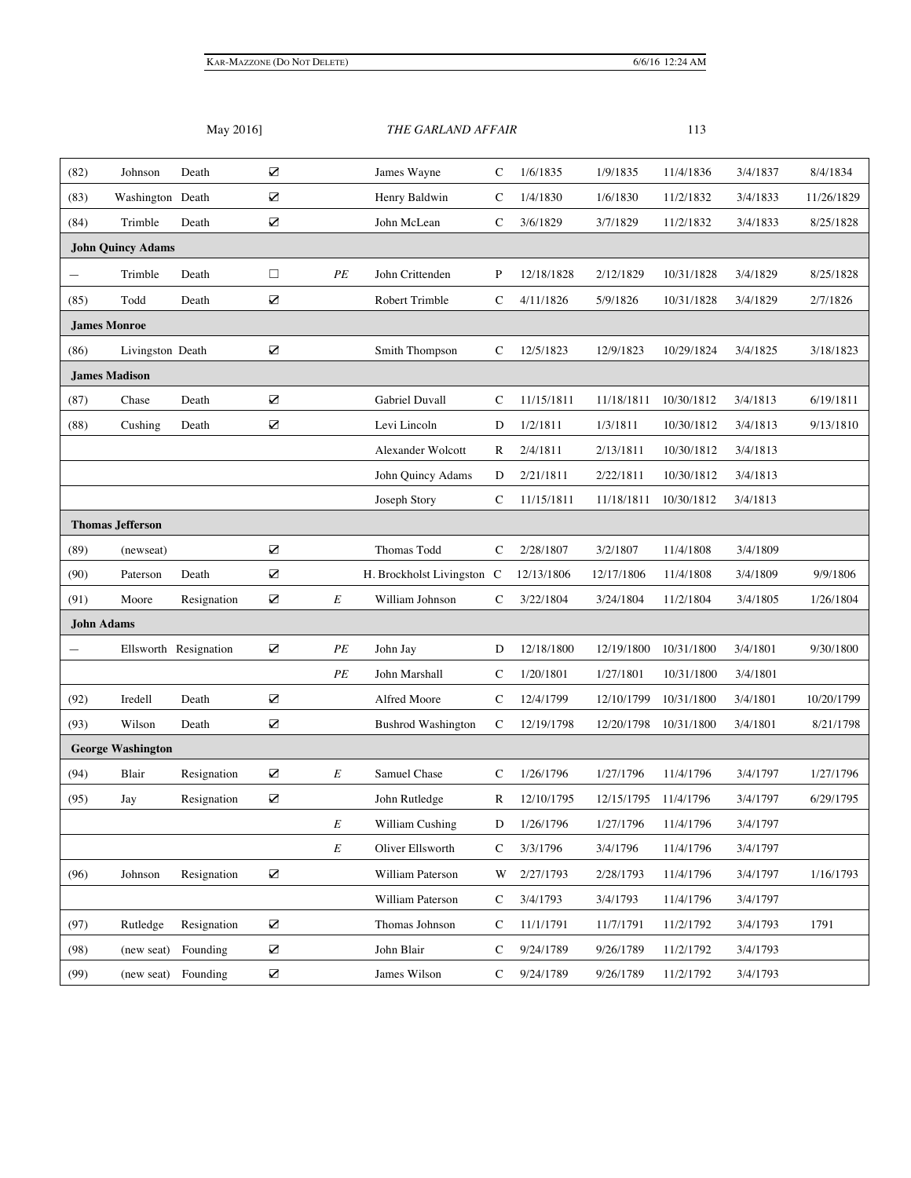| (82)              | Johnson                  | Death                 | ☑                       |          | James Wayne                | C             | 1/6/1835   | 1/9/1835   | 11/4/1836  | 3/4/1837 | 8/4/1834   |
|-------------------|--------------------------|-----------------------|-------------------------|----------|----------------------------|---------------|------------|------------|------------|----------|------------|
| (83)              | Washington Death         |                       | $\overline{\mathbf{z}}$ |          | Henry Baldwin              | C             | 1/4/1830   | 1/6/1830   | 11/2/1832  | 3/4/1833 | 11/26/1829 |
| (84)              | Trimble                  | Death                 | $\boldsymbol{\nabla}$   |          | John McLean                | ${\bf C}$     | 3/6/1829   | 3/7/1829   | 11/2/1832  | 3/4/1833 | 8/25/1828  |
|                   | <b>John Quincy Adams</b> |                       |                         |          |                            |               |            |            |            |          |            |
| $\qquad \qquad -$ | Trimble                  | Death                 | □                       | РE       | John Crittenden            | P             | 12/18/1828 | 2/12/1829  | 10/31/1828 | 3/4/1829 | 8/25/1828  |
| (85)              | Todd                     | Death                 | $\boldsymbol{\nabla}$   |          | Robert Trimble             | C             | 4/11/1826  | 5/9/1826   | 10/31/1828 | 3/4/1829 | 2/7/1826   |
|                   | <b>James Monroe</b>      |                       |                         |          |                            |               |            |            |            |          |            |
| (86)              | Livingston Death         |                       | $\boldsymbol{\nabla}$   |          | Smith Thompson             | C             | 12/5/1823  | 12/9/1823  | 10/29/1824 | 3/4/1825 | 3/18/1823  |
|                   | <b>James Madison</b>     |                       |                         |          |                            |               |            |            |            |          |            |
| (87)              | Chase                    | Death                 | $\boldsymbol{\nabla}$   |          | Gabriel Duvall             | C             | 11/15/1811 | 11/18/1811 | 10/30/1812 | 3/4/1813 | 6/19/1811  |
| (88)              | Cushing                  | Death                 | $\boldsymbol{\nabla}$   |          | Levi Lincoln               | D             | 1/2/1811   | 1/3/1811   | 10/30/1812 | 3/4/1813 | 9/13/1810  |
|                   |                          |                       |                         |          | Alexander Wolcott          | R             | 2/4/1811   | 2/13/1811  | 10/30/1812 | 3/4/1813 |            |
|                   |                          |                       |                         |          | John Quincy Adams          | D             | 2/21/1811  | 2/22/1811  | 10/30/1812 | 3/4/1813 |            |
|                   |                          |                       |                         |          | Joseph Story               | C             | 11/15/1811 | 11/18/1811 | 10/30/1812 | 3/4/1813 |            |
|                   | <b>Thomas Jefferson</b>  |                       |                         |          |                            |               |            |            |            |          |            |
| (89)              | (newseat)                |                       | ☑                       |          | <b>Thomas Todd</b>         | C             | 2/28/1807  | 3/2/1807   | 11/4/1808  | 3/4/1809 |            |
| (90)              | Paterson                 | Death                 | $\boldsymbol{\nabla}$   |          | H. Brockholst Livingston C |               | 12/13/1806 | 12/17/1806 | 11/4/1808  | 3/4/1809 | 9/9/1806   |
| (91)              | Moore                    | Resignation           | $\boldsymbol{\nabla}$   | $\cal E$ | William Johnson            | C             | 3/22/1804  | 3/24/1804  | 11/2/1804  | 3/4/1805 | 1/26/1804  |
| <b>John Adams</b> |                          |                       |                         |          |                            |               |            |            |            |          |            |
|                   |                          | Ellsworth Resignation | ☑                       | РE       | John Jay                   | D             | 12/18/1800 | 12/19/1800 | 10/31/1800 | 3/4/1801 | 9/30/1800  |
|                   |                          |                       |                         | PE       | John Marshall              | C             | 1/20/1801  | 1/27/1801  | 10/31/1800 | 3/4/1801 |            |
| (92)              | Iredell                  | Death                 | $\boldsymbol{\nabla}$   |          | Alfred Moore               | C             | 12/4/1799  | 12/10/1799 | 10/31/1800 | 3/4/1801 | 10/20/1799 |
| (93)              | Wilson                   | Death                 | $\boldsymbol{\nabla}$   |          | Bushrod Washington         | C             | 12/19/1798 | 12/20/1798 | 10/31/1800 | 3/4/1801 | 8/21/1798  |
|                   | <b>George Washington</b> |                       |                         |          |                            |               |            |            |            |          |            |
| (94)              | Blair                    | Resignation           | ☑                       | E        | Samuel Chase               | C             | 1/26/1796  | 1/27/1796  | 11/4/1796  | 3/4/1797 | 1/27/1796  |
| (95)              | Jay                      | Resignation           | ☑                       |          | John Rutledge              | R             | 12/10/1795 | 12/15/1795 | 11/4/1796  | 3/4/1797 | 6/29/1795  |
|                   |                          |                       |                         | E        | William Cushing            | D             | 1/26/1796  | 1/27/1796  | 11/4/1796  | 3/4/1797 |            |
|                   |                          |                       |                         | $\cal E$ | Oliver Ellsworth           | C             | 3/3/1796   | 3/4/1796   | 11/4/1796  | 3/4/1797 |            |
| (96)              | Johnson                  | Resignation           | $\boldsymbol{\nabla}$   |          | William Paterson           | W             | 2/27/1793  | 2/28/1793  | 11/4/1796  | 3/4/1797 | 1/16/1793  |
|                   |                          |                       |                         |          | William Paterson           | $\mathcal{C}$ | 3/4/1793   | 3/4/1793   | 11/4/1796  | 3/4/1797 |            |
| (97)              | Rutledge                 | Resignation           | $\sum_{i=1}^{n}$        |          | Thomas Johnson             | C             | 11/1/1791  | 11/7/1791  | 11/2/1792  | 3/4/1793 | 1791       |
| (98)              | (new seat)               | Founding              | $\boldsymbol{\nabla}$   |          | John Blair                 | $\mathsf{C}$  | 9/24/1789  | 9/26/1789  | 11/2/1792  | 3/4/1793 |            |
| (99)              | (new seat)               | Founding              | $\boldsymbol{\nabla}$   |          | James Wilson               | $\mathbf C$   | 9/24/1789  | 9/26/1789  | 11/2/1792  | 3/4/1793 |            |